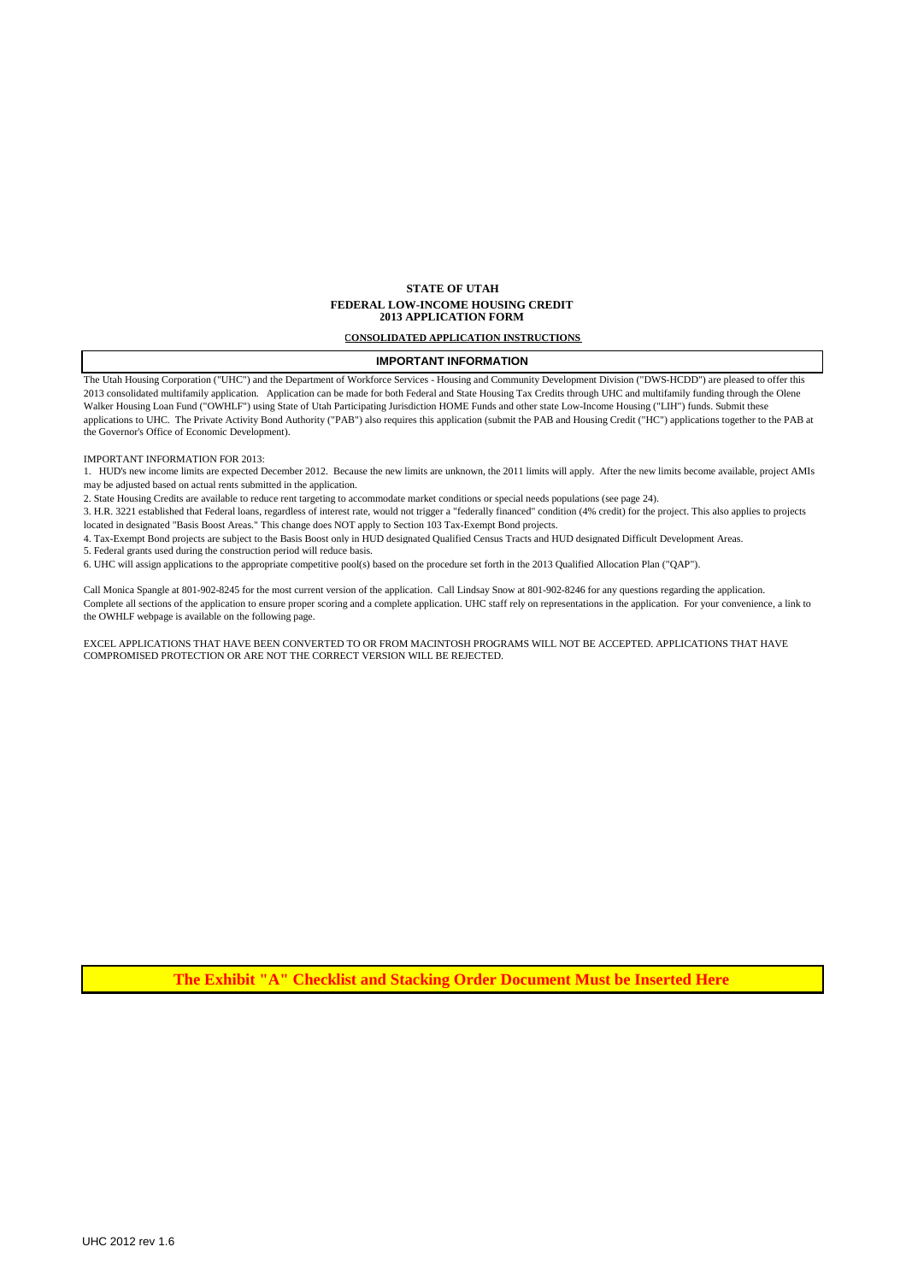#### **STATE OF UTAH FEDERAL LOW-INCOME HOUSING CREDIT 2013 APPLICATION FORM**

#### **CONSOLIDATED APPLICATION INSTRUCTIONS**

#### **IMPORTANT INFORMATION**

The Utah Housing Corporation ("UHC") and the Department of Workforce Services - Housing and Community Development Division ("DWS-HCDD") are pleased to offer this 2013 consolidated multifamily application. Application can be made for both Federal and State Housing Tax Credits through UHC and multifamily funding through the Olene Walker Housing Loan Fund ("OWHLF") using State of Utah Participating Jurisdiction HOME Funds and other state Low-Income Housing ("LIH") funds. Submit these applications to UHC. The Private Activity Bond Authority ("PAB") also requires this application (submit the PAB and Housing Credit ("HC") applications together to the PAB at the Governor's Office of Economic Development).

#### IMPORTANT INFORMATION FOR 2013:

1. HUD's new income limits are expected December 2012. Because the new limits are unknown, the 2011 limits will apply. After the new limits become available, project AMIs may be adjusted based on actual rents submitted in the application.

2. State Housing Credits are available to reduce rent targeting to accommodate market conditions or special needs populations (see page 24).

3. H.R. 3221 established that Federal loans, regardless of interest rate, would not trigger a "federally financed" condition (4% credit) for the project. This also applies to projects located in designated "Basis Boost Areas." This change does NOT apply to Section 103 Tax-Exempt Bond projects.

4. Tax-Exempt Bond projects are subject to the Basis Boost only in HUD designated Qualified Census Tracts and HUD designated Difficult Development Areas.

5. Federal grants used during the construction period will reduce basis.

6. UHC will assign applications to the appropriate competitive pool(s) based on the procedure set forth in the 2013 Qualified Allocation Plan ("QAP").

Call Monica Spangle at 801-902-8245 for the most current version of the application. Call Lindsay Snow at 801-902-8246 for any questions regarding the application. Complete all sections of the application to ensure proper scoring and a complete application. UHC staff rely on representations in the application. For your convenience, a link to the OWHLF webpage is available on the following page.

EXCEL APPLICATIONS THAT HAVE BEEN CONVERTED TO OR FROM MACINTOSH PROGRAMS WILL NOT BE ACCEPTED. APPLICATIONS THAT HAVE COMPROMISED PROTECTION OR ARE NOT THE CORRECT VERSION WILL BE REJECTED.

**The Exhibit "A" Checklist and Stacking Order Document Must be Inserted Here**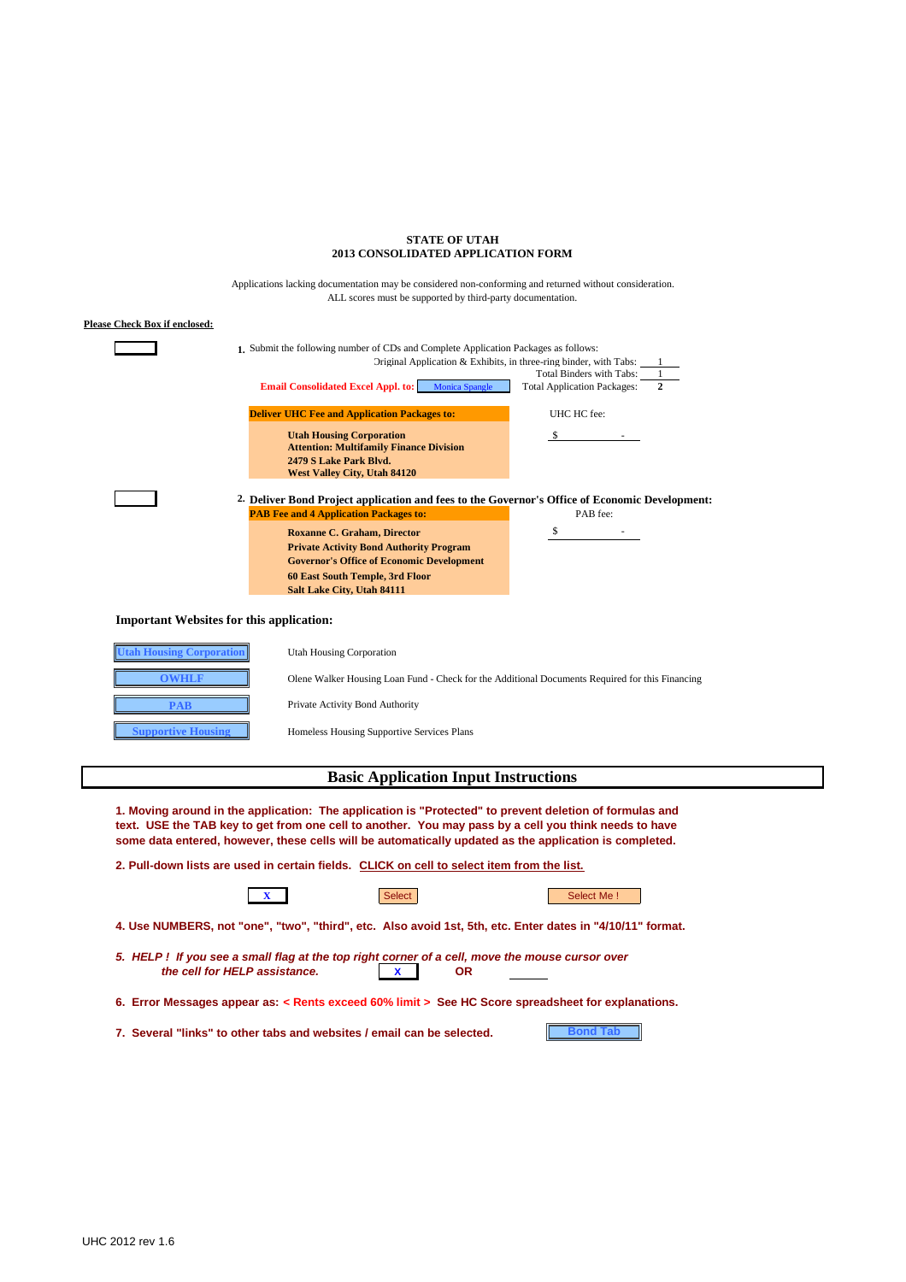#### **2013 CONSOLIDATED APPLICATION FORM STATE OF UTAH**

| Applications lacking documentation may be considered non-conforming and returned without consideration.<br>ALL scores must be supported by third-party documentation. |                                                                                                                                                                                                                                |                                                                |  |  |  |
|-----------------------------------------------------------------------------------------------------------------------------------------------------------------------|--------------------------------------------------------------------------------------------------------------------------------------------------------------------------------------------------------------------------------|----------------------------------------------------------------|--|--|--|
| Please Check Box if enclosed:                                                                                                                                         |                                                                                                                                                                                                                                |                                                                |  |  |  |
|                                                                                                                                                                       | 1. Submit the following number of CDs and Complete Application Packages as follows:<br>Original Application & Exhibits, in three-ring binder, with Tabs:<br><b>Email Consolidated Excel Appl. to:</b><br><b>Monica Spangle</b> | Total Binders with Tabs:<br><b>Total Application Packages:</b> |  |  |  |
|                                                                                                                                                                       | <b>Deliver UHC Fee and Application Packages to:</b>                                                                                                                                                                            | UHC HC fee:                                                    |  |  |  |
|                                                                                                                                                                       | <b>Utah Housing Corporation</b><br><b>Attention: Multifamily Finance Division</b><br>2479 S Lake Park Blvd.<br>West Valley City, Utah 84120                                                                                    | $\mathcal{S}$                                                  |  |  |  |
|                                                                                                                                                                       | 2. Deliver Bond Project application and fees to the Governor's Office of Economic Development:                                                                                                                                 |                                                                |  |  |  |
|                                                                                                                                                                       | <b>PAB Fee and 4 Application Packages to:</b>                                                                                                                                                                                  | PAB fee:                                                       |  |  |  |
|                                                                                                                                                                       | <b>Roxanne C. Graham, Director</b><br><b>Private Activity Bond Authority Program</b><br><b>Governor's Office of Economic Development</b><br>60 East South Temple, 3rd Floor<br>Salt Lake City, Utah 84111                      | \$                                                             |  |  |  |
| <b>Important Websites for this application:</b>                                                                                                                       |                                                                                                                                                                                                                                |                                                                |  |  |  |
| <b>Utah Housing Corporation</b>                                                                                                                                       | <b>Utah Housing Corporation</b>                                                                                                                                                                                                |                                                                |  |  |  |
| <b>OWHLF</b>                                                                                                                                                          | Olene Walker Housing Loan Fund - Check for the Additional Documents Required for this Financing                                                                                                                                |                                                                |  |  |  |
| <b>PAB</b>                                                                                                                                                            | Private Activity Bond Authority                                                                                                                                                                                                |                                                                |  |  |  |
| <b>Supportive Housing</b>                                                                                                                                             | Homeless Housing Supportive Services Plans                                                                                                                                                                                     |                                                                |  |  |  |

# **Basic Application Input Instructions**

**1. Moving around in the application: The application is "Protected" to prevent deletion of formulas and text. USE the TAB key to get from one cell to another. You may pass by a cell you think needs to have some data entered, however, these cells will be automatically updated as the application is completed.**

| 2. Pull-down lists are used in certain fields. CLICK on cell to select item from the list.                                                   |               |            |  |  |  |
|----------------------------------------------------------------------------------------------------------------------------------------------|---------------|------------|--|--|--|
|                                                                                                                                              | <b>Select</b> | Select Me! |  |  |  |
| 4. Use NUMBERS, not "one", "two", "third", etc. Also avoid 1st, 5th, etc. Enter dates in "4/10/11" format.                                   |               |            |  |  |  |
| 5. HELP! If you see a small flag at the top right corner of a cell, move the mouse cursor over<br>the cell for HELP assistance.<br><b>OR</b> |               |            |  |  |  |
| 6. Error Messages appear as: $\lt$ Rents exceed 60% limit $>$ See HC Score spreadsheet for explanations.                                     |               |            |  |  |  |
| 7. Several "links" to other tabs and websites / email can be selected.                                                                       |               |            |  |  |  |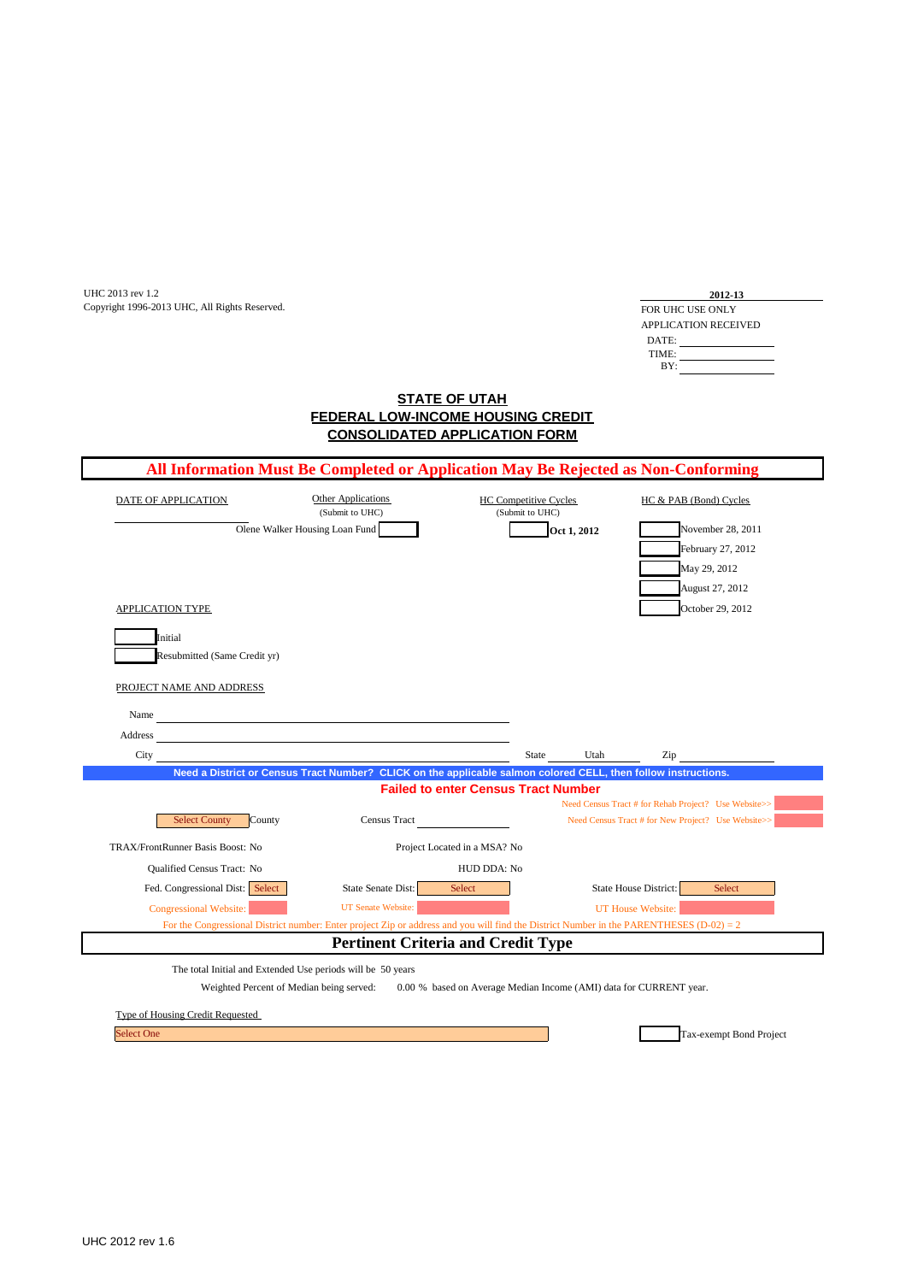Copyright 1996-2013 UHC, All Rights Reserved. UHC 2013 rev 1.2

| 2012-13              |  |
|----------------------|--|
| FOR UHC USE ONLY     |  |
| APPLICATION RECEIVED |  |
| DATE:                |  |
| TIME:                |  |
| RY.                  |  |

## **STATE OF UTAH CONSOLIDATED APPLICATION FORM FEDERAL LOW-INCOME HOUSING CREDIT**

|                                  | All Information Must Be Completed or Application May Be Rejected as Non-Conforming                                                        |                                                 |             |                                                      |
|----------------------------------|-------------------------------------------------------------------------------------------------------------------------------------------|-------------------------------------------------|-------------|------------------------------------------------------|
| DATE OF APPLICATION              | Other Applications<br>(Submit to UHC)                                                                                                     | <b>HC Competitive Cycles</b><br>(Submit to UHC) |             | HC & PAB (Bond) Cycles                               |
|                                  | Olene Walker Housing Loan Fund                                                                                                            |                                                 | Oct 1, 2012 | November 28, 2011                                    |
|                                  |                                                                                                                                           |                                                 |             | February 27, 2012                                    |
|                                  |                                                                                                                                           |                                                 |             | May 29, 2012                                         |
|                                  |                                                                                                                                           |                                                 |             | August 27, 2012                                      |
| <b>APPLICATION TYPE</b>          |                                                                                                                                           |                                                 |             | October 29, 2012                                     |
| Initial                          |                                                                                                                                           |                                                 |             |                                                      |
| Resubmitted (Same Credit yr)     |                                                                                                                                           |                                                 |             |                                                      |
| PROJECT NAME AND ADDRESS         |                                                                                                                                           |                                                 |             |                                                      |
| Name                             |                                                                                                                                           |                                                 |             |                                                      |
| Address                          |                                                                                                                                           |                                                 |             |                                                      |
| City                             |                                                                                                                                           | State                                           | Utah        | Zip                                                  |
|                                  | Need a District or Census Tract Number? CLICK on the applicable salmon colored CELL, then follow instructions.                            |                                                 |             |                                                      |
|                                  |                                                                                                                                           | <b>Failed to enter Census Tract Number</b>      |             |                                                      |
|                                  |                                                                                                                                           |                                                 |             | Need Census Tract # for Rehab Project? Use Website>> |
| <b>Select County</b><br>County   | Census Tract                                                                                                                              |                                                 |             | Need Census Tract # for New Project? Use Website>>   |
| TRAX/FrontRunner Basis Boost: No |                                                                                                                                           | Project Located in a MSA? No                    |             |                                                      |
| Qualified Census Tract: No       |                                                                                                                                           | HUD DDA: No                                     |             |                                                      |
| Fed. Congressional Dist: Select  | State Senate Dist:                                                                                                                        | Select                                          |             | State House District:<br>Select                      |
| Congressional Website:           | UT Senate Website:                                                                                                                        |                                                 |             | UT House Website:                                    |
|                                  | For the Congressional District number: Enter project Zip or address and you will find the District Number in the PARENTHESES (D-02) = $2$ |                                                 |             |                                                      |
|                                  | <b>Pertinent Criteria and Credit Type</b>                                                                                                 |                                                 |             |                                                      |
|                                  | The total Initial and Extended Use periods will be 50 years                                                                               |                                                 |             |                                                      |
|                                  | Weighted Percent of Median being served: 0.00 % based on Average Median Income (AMI) data for CURRENT year.                               |                                                 |             |                                                      |
|                                  |                                                                                                                                           |                                                 |             |                                                      |
| Type of Housing Credit Requested |                                                                                                                                           |                                                 |             |                                                      |
| <b>Select One</b>                |                                                                                                                                           |                                                 |             | Tax-exempt Bond Project                              |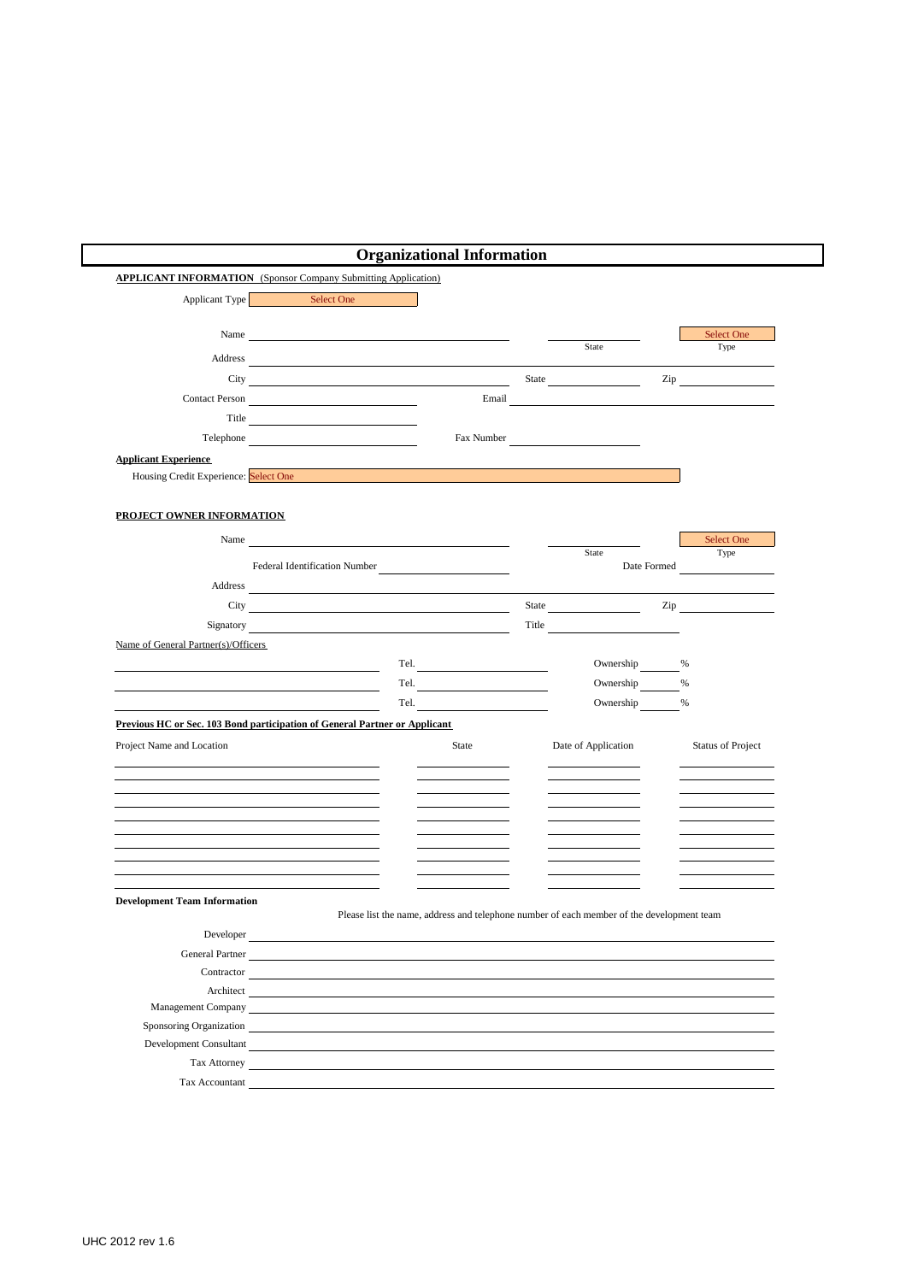| <b>APPLICANT INFORMATION</b> (Sponsor Company Submitting Application)      |                                                                                                                                                                                                                                 |              |                                                                                           |             |                                                                                                                                                                                                                                |
|----------------------------------------------------------------------------|---------------------------------------------------------------------------------------------------------------------------------------------------------------------------------------------------------------------------------|--------------|-------------------------------------------------------------------------------------------|-------------|--------------------------------------------------------------------------------------------------------------------------------------------------------------------------------------------------------------------------------|
| Applicant Type                                                             | <b>Select One</b>                                                                                                                                                                                                               |              |                                                                                           |             |                                                                                                                                                                                                                                |
|                                                                            |                                                                                                                                                                                                                                 |              |                                                                                           |             |                                                                                                                                                                                                                                |
|                                                                            | Name was a series of the series of the series of the series of the series of the series of the series of the series of the series of the series of the series of the series of the series of the series of the series of the s  |              |                                                                                           |             | Select One                                                                                                                                                                                                                     |
|                                                                            |                                                                                                                                                                                                                                 |              | State                                                                                     |             | Type                                                                                                                                                                                                                           |
|                                                                            |                                                                                                                                                                                                                                 |              |                                                                                           |             |                                                                                                                                                                                                                                |
|                                                                            | City State State State State State State State State State State State State State State State State State State State State State State State State State State State State State State State State State State State State S  |              |                                                                                           |             | Zip and the same state of the state of the state of the state of the state of the state of the state of the state of the state of the state of the state of the state of the state of the state of the state of the state of t |
|                                                                            | Contact Person                                                                                                                                                                                                                  |              | Email <u>Finance</u>                                                                      |             |                                                                                                                                                                                                                                |
|                                                                            |                                                                                                                                                                                                                                 |              |                                                                                           |             |                                                                                                                                                                                                                                |
|                                                                            |                                                                                                                                                                                                                                 |              | Fax Number                                                                                |             |                                                                                                                                                                                                                                |
| <b>Applicant Experience</b>                                                |                                                                                                                                                                                                                                 |              |                                                                                           |             |                                                                                                                                                                                                                                |
| Housing Credit Experience: Select One                                      |                                                                                                                                                                                                                                 |              |                                                                                           |             |                                                                                                                                                                                                                                |
|                                                                            |                                                                                                                                                                                                                                 |              |                                                                                           |             |                                                                                                                                                                                                                                |
| PROJECT OWNER INFORMATION                                                  |                                                                                                                                                                                                                                 |              |                                                                                           |             |                                                                                                                                                                                                                                |
|                                                                            | Name and the contract of the contract of the contract of the contract of the contract of the contract of the contract of the contract of the contract of the contract of the contract of the contract of the contract of the c  |              |                                                                                           |             | <b>Select One</b>                                                                                                                                                                                                              |
|                                                                            |                                                                                                                                                                                                                                 |              | State                                                                                     |             | Type                                                                                                                                                                                                                           |
|                                                                            | Federal Identification Number                                                                                                                                                                                                   |              |                                                                                           | Date Formed |                                                                                                                                                                                                                                |
| Address                                                                    |                                                                                                                                                                                                                                 |              |                                                                                           |             |                                                                                                                                                                                                                                |
|                                                                            | City of the contract of the contract of the contract of the contract of the contract of the contract of the contract of the contract of the contract of the contract of the contract of the contract of the contract of the co  |              | State <u>______</u>                                                                       |             | Zip                                                                                                                                                                                                                            |
|                                                                            |                                                                                                                                                                                                                                 |              |                                                                                           |             |                                                                                                                                                                                                                                |
| Name of General Partner(s)/Officers                                        |                                                                                                                                                                                                                                 |              |                                                                                           |             |                                                                                                                                                                                                                                |
|                                                                            |                                                                                                                                                                                                                                 |              | Ownership %                                                                               |             |                                                                                                                                                                                                                                |
|                                                                            |                                                                                                                                                                                                                                 |              | Ownership                                                                                 |             | $\%$                                                                                                                                                                                                                           |
|                                                                            |                                                                                                                                                                                                                                 |              | Ownership                                                                                 |             | %                                                                                                                                                                                                                              |
| Previous HC or Sec. 103 Bond participation of General Partner or Applicant |                                                                                                                                                                                                                                 |              |                                                                                           |             |                                                                                                                                                                                                                                |
|                                                                            |                                                                                                                                                                                                                                 |              |                                                                                           |             |                                                                                                                                                                                                                                |
| Project Name and Location                                                  |                                                                                                                                                                                                                                 | <b>State</b> | Date of Application                                                                       |             | <b>Status of Project</b>                                                                                                                                                                                                       |
|                                                                            |                                                                                                                                                                                                                                 |              |                                                                                           |             |                                                                                                                                                                                                                                |
|                                                                            |                                                                                                                                                                                                                                 |              |                                                                                           |             |                                                                                                                                                                                                                                |
|                                                                            |                                                                                                                                                                                                                                 |              |                                                                                           |             |                                                                                                                                                                                                                                |
|                                                                            |                                                                                                                                                                                                                                 |              |                                                                                           |             |                                                                                                                                                                                                                                |
|                                                                            |                                                                                                                                                                                                                                 |              |                                                                                           |             |                                                                                                                                                                                                                                |
|                                                                            |                                                                                                                                                                                                                                 |              |                                                                                           |             |                                                                                                                                                                                                                                |
|                                                                            |                                                                                                                                                                                                                                 |              |                                                                                           |             |                                                                                                                                                                                                                                |
| <b>Development Team Information</b>                                        |                                                                                                                                                                                                                                 |              |                                                                                           |             |                                                                                                                                                                                                                                |
|                                                                            |                                                                                                                                                                                                                                 |              | Please list the name, address and telephone number of each member of the development team |             |                                                                                                                                                                                                                                |
| Developer                                                                  |                                                                                                                                                                                                                                 |              |                                                                                           |             |                                                                                                                                                                                                                                |
| General Partner                                                            |                                                                                                                                                                                                                                 |              |                                                                                           |             |                                                                                                                                                                                                                                |
| Contractor                                                                 |                                                                                                                                                                                                                                 |              |                                                                                           |             |                                                                                                                                                                                                                                |
|                                                                            | Architect and the state of the state of the state of the state of the state of the state of the state of the state of the state of the state of the state of the state of the state of the state of the state of the state of t |              |                                                                                           |             |                                                                                                                                                                                                                                |
| Management Company                                                         |                                                                                                                                                                                                                                 |              |                                                                                           |             |                                                                                                                                                                                                                                |
|                                                                            | Sponsoring Organization                                                                                                                                                                                                         |              |                                                                                           |             |                                                                                                                                                                                                                                |
|                                                                            | Development Consultant                                                                                                                                                                                                          |              |                                                                                           |             |                                                                                                                                                                                                                                |
| Tax Attorney                                                               |                                                                                                                                                                                                                                 |              |                                                                                           |             |                                                                                                                                                                                                                                |
|                                                                            |                                                                                                                                                                                                                                 |              |                                                                                           |             |                                                                                                                                                                                                                                |
| Tax Accountant                                                             |                                                                                                                                                                                                                                 |              |                                                                                           |             |                                                                                                                                                                                                                                |

 $\overline{\phantom{0}}$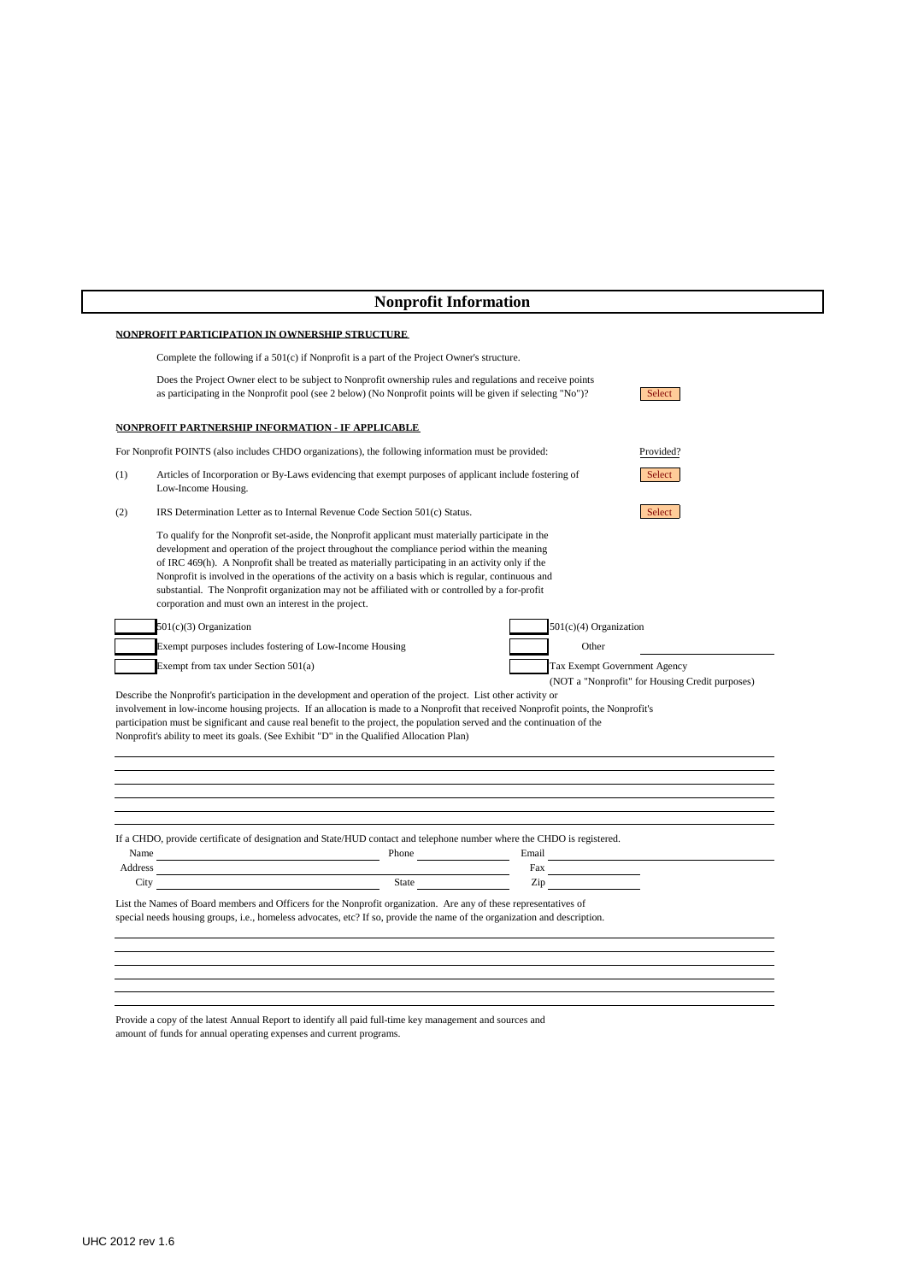## **Nonprofit Information**

#### **NONPROFIT PARTICIPATION IN OWNERSHIP STRUCTURE**

|     | Complete the following if a 501(c) if Nonprofit is a part of the Project Owner's structure.                                                                                                                                                                                                                                                                                                                                                                                                                                                                                 |                                                                                                                  |  |  |  |
|-----|-----------------------------------------------------------------------------------------------------------------------------------------------------------------------------------------------------------------------------------------------------------------------------------------------------------------------------------------------------------------------------------------------------------------------------------------------------------------------------------------------------------------------------------------------------------------------------|------------------------------------------------------------------------------------------------------------------|--|--|--|
|     | Does the Project Owner elect to be subject to Nonprofit ownership rules and regulations and receive points<br>as participating in the Nonprofit pool (see 2 below) (No Nonprofit points will be given if selecting "No")?                                                                                                                                                                                                                                                                                                                                                   | Select                                                                                                           |  |  |  |
|     | NONPROFIT PARTNERSHIP INFORMATION - IF APPLICABLE                                                                                                                                                                                                                                                                                                                                                                                                                                                                                                                           |                                                                                                                  |  |  |  |
|     | For Nonprofit POINTS (also includes CHDO organizations), the following information must be provided:                                                                                                                                                                                                                                                                                                                                                                                                                                                                        | Provided?                                                                                                        |  |  |  |
| (1) | Low-Income Housing.                                                                                                                                                                                                                                                                                                                                                                                                                                                                                                                                                         | Articles of Incorporation or By-Laws evidencing that exempt purposes of applicant include fostering of<br>Select |  |  |  |
| (2) | IRS Determination Letter as to Internal Revenue Code Section 501(c) Status.                                                                                                                                                                                                                                                                                                                                                                                                                                                                                                 | Select                                                                                                           |  |  |  |
|     | To qualify for the Nonprofit set-aside, the Nonprofit applicant must materially participate in the<br>development and operation of the project throughout the compliance period within the meaning<br>of IRC 469(h). A Nonprofit shall be treated as materially participating in an activity only if the<br>Nonprofit is involved in the operations of the activity on a basis which is regular, continuous and<br>substantial. The Nonprofit organization may not be affiliated with or controlled by a for-profit<br>corporation and must own an interest in the project. |                                                                                                                  |  |  |  |
|     | $501(c)(3)$ Organization                                                                                                                                                                                                                                                                                                                                                                                                                                                                                                                                                    | $501(c)(4)$ Organization                                                                                         |  |  |  |
|     | Exempt purposes includes fostering of Low-Income Housing                                                                                                                                                                                                                                                                                                                                                                                                                                                                                                                    | Other                                                                                                            |  |  |  |
|     | Exempt from tax under Section 501(a)                                                                                                                                                                                                                                                                                                                                                                                                                                                                                                                                        | Tax Exempt Government Agency                                                                                     |  |  |  |
|     | Describe the Nonprofit's participation in the development and operation of the project. List other activity or<br>involvement in low-income housing projects. If an allocation is made to a Nonprofit that received Nonprofit points, the Nonprofit's                                                                                                                                                                                                                                                                                                                       |                                                                                                                  |  |  |  |
|     | participation must be significant and cause real benefit to the project, the population served and the continuation of the<br>Nonprofit's ability to meet its goals. (See Exhibit "D" in the Qualified Allocation Plan)                                                                                                                                                                                                                                                                                                                                                     |                                                                                                                  |  |  |  |
|     | If a CHDO, provide certificate of designation and State/HUD contact and telephone number where the CHDO is registered.<br>Name Phone                                                                                                                                                                                                                                                                                                                                                                                                                                        |                                                                                                                  |  |  |  |
|     | Address City State State State State State State State State State State State State State State State State State State State State State State State State State State State State State State State State State State State                                                                                                                                                                                                                                                                                                                                              | $\begin{tabular}{ c c } \hline \text{Fax} & \text{Iax} & \text{Iax} \\ \hline \end{tabular}$<br>Zip              |  |  |  |

Provide a copy of the latest Annual Report to identify all paid full-time key management and sources and amount of funds for annual operating expenses and current programs.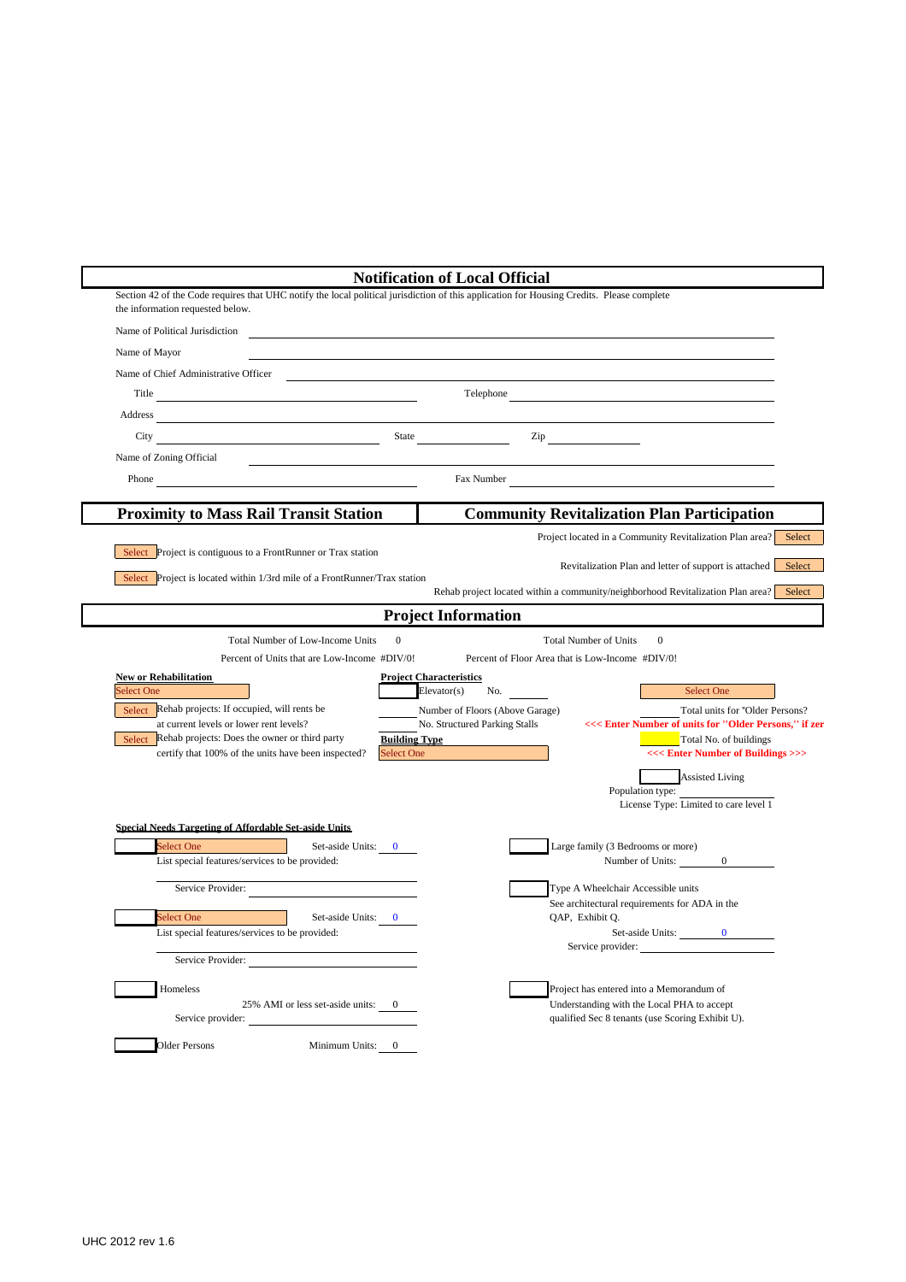| <b>Notification of Local Official</b>                                                                                                                                                                                         |
|-------------------------------------------------------------------------------------------------------------------------------------------------------------------------------------------------------------------------------|
| Section 42 of the Code requires that UHC notify the local political jurisdiction of this application for Housing Credits. Please complete                                                                                     |
|                                                                                                                                                                                                                               |
|                                                                                                                                                                                                                               |
|                                                                                                                                                                                                                               |
| Telephone and the contract of the contract of the contract of the contract of the contract of the contract of the contract of the contract of the contract of the contract of the contract of the contract of the contract of |
|                                                                                                                                                                                                                               |
|                                                                                                                                                                                                                               |
|                                                                                                                                                                                                                               |
| Fax Number                                                                                                                                                                                                                    |
| <b>Proximity to Mass Rail Transit Station</b><br><b>Community Revitalization Plan Participation</b>                                                                                                                           |
| Project located in a Community Revitalization Plan area?<br>Select                                                                                                                                                            |
| Select Project is contiguous to a FrontRunner or Trax station<br>Revitalization Plan and letter of support is attached<br>Select                                                                                              |
| Select Project is located within 1/3rd mile of a FrontRunner/Trax station                                                                                                                                                     |
| Rehab project located within a community/neighborhood Revitalization Plan area?<br>Select                                                                                                                                     |
| <b>Project Information</b>                                                                                                                                                                                                    |
| $\mathbf{0}$<br>$\Omega$<br><b>Total Number of Units</b>                                                                                                                                                                      |
| Percent of Units that are Low-Income #DIV/0!<br>Percent of Floor Area that is Low-Income #DIV/0!<br><b>Project Characteristics</b>                                                                                            |
| Elevantor(s)<br><b>Select One</b><br>No.                                                                                                                                                                                      |
| Number of Floors (Above Garage)<br>Total units for "Older Persons?                                                                                                                                                            |
| <<< Enter Number of units for "Older Persons," if zer<br>No. Structured Parking Stalls<br><b>Total No. of buildings</b><br><b>Building Type</b>                                                                               |
| <<<<<br>Enter Number of Buildings<>><br>Select One                                                                                                                                                                            |
| <b>Assisted Living</b>                                                                                                                                                                                                        |
| Population type:<br>License Type: Limited to care level 1                                                                                                                                                                     |
|                                                                                                                                                                                                                               |
| Set-aside Units: 0<br>Large family (3 Bedrooms or more)                                                                                                                                                                       |
| Number of Units: 0                                                                                                                                                                                                            |
| Type A Wheelchair Accessible units<br>Service Provider:                                                                                                                                                                       |
| See architectural requirements for ADA in the<br>QAP, Exhibit Q.<br>Set-aside Units: 0                                                                                                                                        |
| Set-aside Units: 0                                                                                                                                                                                                            |
| Service provider:                                                                                                                                                                                                             |
|                                                                                                                                                                                                                               |
|                                                                                                                                                                                                                               |
| Project has entered into a Memorandum of<br>25% AMI or less set-aside units: 0<br>Understanding with the Local PHA to accept                                                                                                  |
|                                                                                                                                                                                                                               |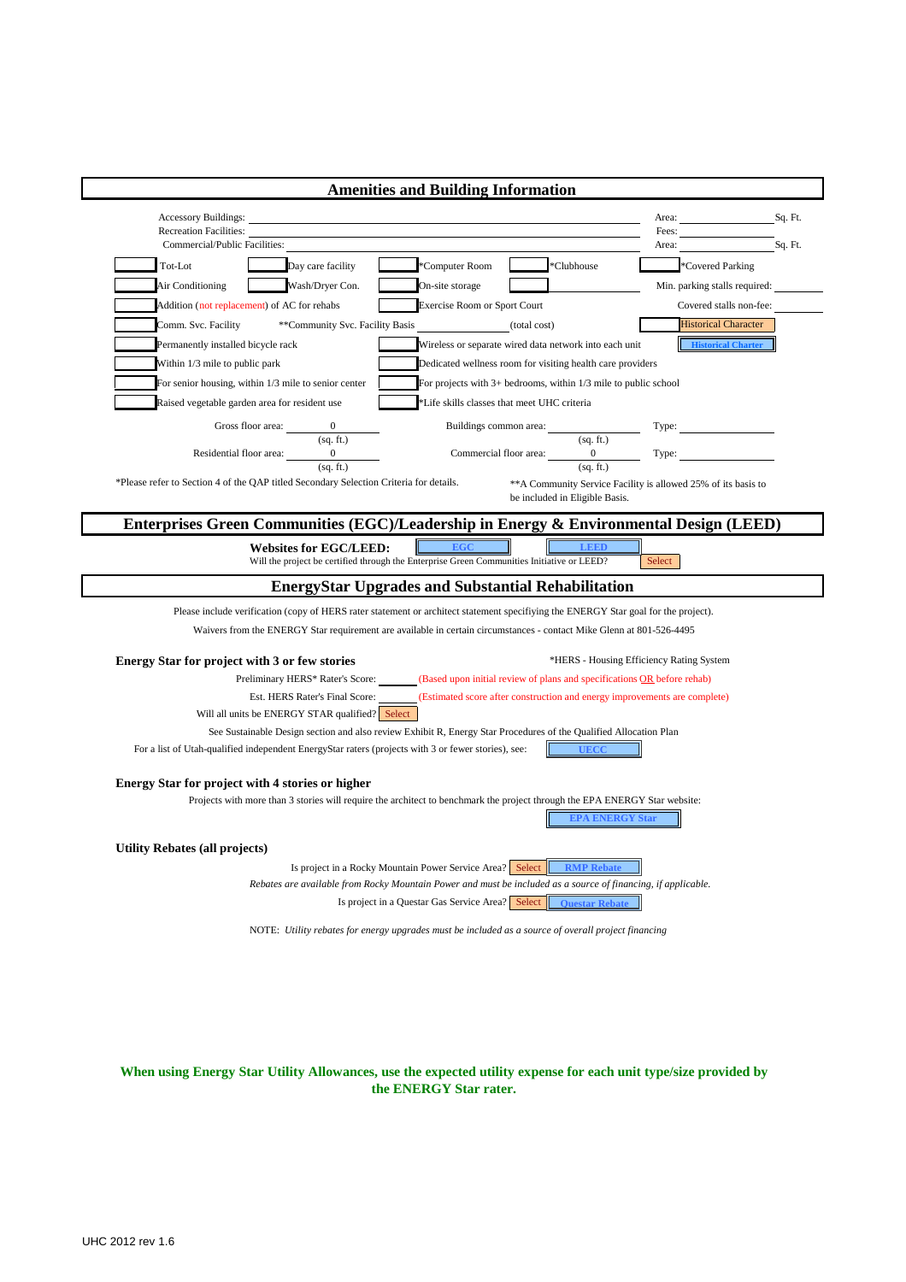| <b>Amenities and Building Information</b>                                                                                                                                                                                                          |                                                                |         |
|----------------------------------------------------------------------------------------------------------------------------------------------------------------------------------------------------------------------------------------------------|----------------------------------------------------------------|---------|
| Accessory Buildings:                                                                                                                                                                                                                               | Area:                                                          | Sq. Ft. |
| <b>Recreation Facilities:</b>                                                                                                                                                                                                                      | Fees:                                                          |         |
| Commercial/Public Facilities:                                                                                                                                                                                                                      | Area:                                                          | Sq. Ft. |
| *Clubhouse<br>Tot-Lot<br>Day care facility<br>*Computer Room                                                                                                                                                                                       | *Covered Parking                                               |         |
| Air Conditioning<br>Wash/Dryer Con.<br>On-site storage                                                                                                                                                                                             | Min. parking stalls required:                                  |         |
| Addition (not replacement) of AC for rehabs<br><b>Exercise Room or Sport Court</b>                                                                                                                                                                 | Covered stalls non-fee:                                        |         |
| Comm. Svc. Facility<br>**Community Svc. Facility Basis<br>(total cost)                                                                                                                                                                             | <b>Historical Character</b>                                    |         |
| Permanently installed bicycle rack<br>Wireless or separate wired data network into each unit                                                                                                                                                       | <b>Historical Charter</b>                                      |         |
| Within 1/3 mile to public park<br>Dedicated wellness room for visiting health care providers                                                                                                                                                       |                                                                |         |
| For senior housing, within 1/3 mile to senior center<br>For projects with 3+ bedrooms, within 1/3 mile to public school                                                                                                                            |                                                                |         |
| Raised vegetable garden area for resident use<br>*Life skills classes that meet UHC criteria                                                                                                                                                       |                                                                |         |
| Gross floor area: $\frac{0}{(sq. ft.)}$<br>Buildings common area:                                                                                                                                                                                  | $\frac{1}{\text{(sq. ft.)}}$ Type:                             |         |
|                                                                                                                                                                                                                                                    |                                                                |         |
| Residential floor area: $\frac{0}{(sq. ft.)}$<br>Commercial floor area: $\frac{0}{(sq. ft.)}$ Type:                                                                                                                                                |                                                                |         |
| *Please refer to Section 4 of the OAP titled Secondary Selection Criteria for details.                                                                                                                                                             | ** A Community Service Facility is allowed 25% of its basis to |         |
| be included in Eligible Basis.                                                                                                                                                                                                                     |                                                                |         |
|                                                                                                                                                                                                                                                    |                                                                |         |
| Enterprises Green Communities (EGC)/Leadership in Energy & Environmental Design (LEED)<br><b>Websites for EGC/LEED:</b><br><b>EGC</b><br><b>LEED</b><br>Will the project be certified through the Enterprise Green Communities Initiative or LEED? | Select                                                         |         |
| <b>EnergyStar Upgrades and Substantial Rehabilitation</b>                                                                                                                                                                                          |                                                                |         |
| Please include verification (copy of HERS rater statement or architect statement specifiying the ENERGY Star goal for the project).                                                                                                                |                                                                |         |
| Waivers from the ENERGY Star requirement are available in certain circumstances - contact Mike Glenn at 801-526-4495                                                                                                                               |                                                                |         |
| Energy Star for project with 3 or few stories                                                                                                                                                                                                      | *HERS - Housing Efficiency Rating System                       |         |
| Preliminary HERS* Rater's Score:<br>(Based upon initial review of plans and specifications OR before rehab)                                                                                                                                        |                                                                |         |
| Est. HERS Rater's Final Score:<br>(Estimated score after construction and energy improvements are complete)                                                                                                                                        |                                                                |         |
| Will all units be ENERGY STAR qualified? Select                                                                                                                                                                                                    |                                                                |         |
| See Sustainable Design section and also review Exhibit R, Energy Star Procedures of the Qualified Allocation Plan                                                                                                                                  |                                                                |         |
| For a list of Utah-qualified independent EnergyStar raters (projects with 3 or fewer stories), see:<br><b>UECC</b>                                                                                                                                 |                                                                |         |
|                                                                                                                                                                                                                                                    |                                                                |         |
| Energy Star for project with 4 stories or higher                                                                                                                                                                                                   |                                                                |         |
| Projects with more than 3 stories will require the architect to benchmark the project through the EPA ENERGY Star website:                                                                                                                         | <b>EPA ENERGY Star</b>                                         |         |
|                                                                                                                                                                                                                                                    |                                                                |         |
| Utility Rebates (all projects)                                                                                                                                                                                                                     |                                                                |         |
| Is project in a Rocky Mountain Power Service Area? Select<br><b>RMP</b> Rebate                                                                                                                                                                     |                                                                |         |
| Rebates are available from Rocky Mountain Power and must be included as a source of financing, if applicable.                                                                                                                                      |                                                                |         |
| Is project in a Questar Gas Service Area? Select<br><b>Questar Rebate</b>                                                                                                                                                                          |                                                                |         |

#### **When using Energy Star Utility Allowances, use the expected utility expense for each unit type/size provided by the ENERGY Star rater.**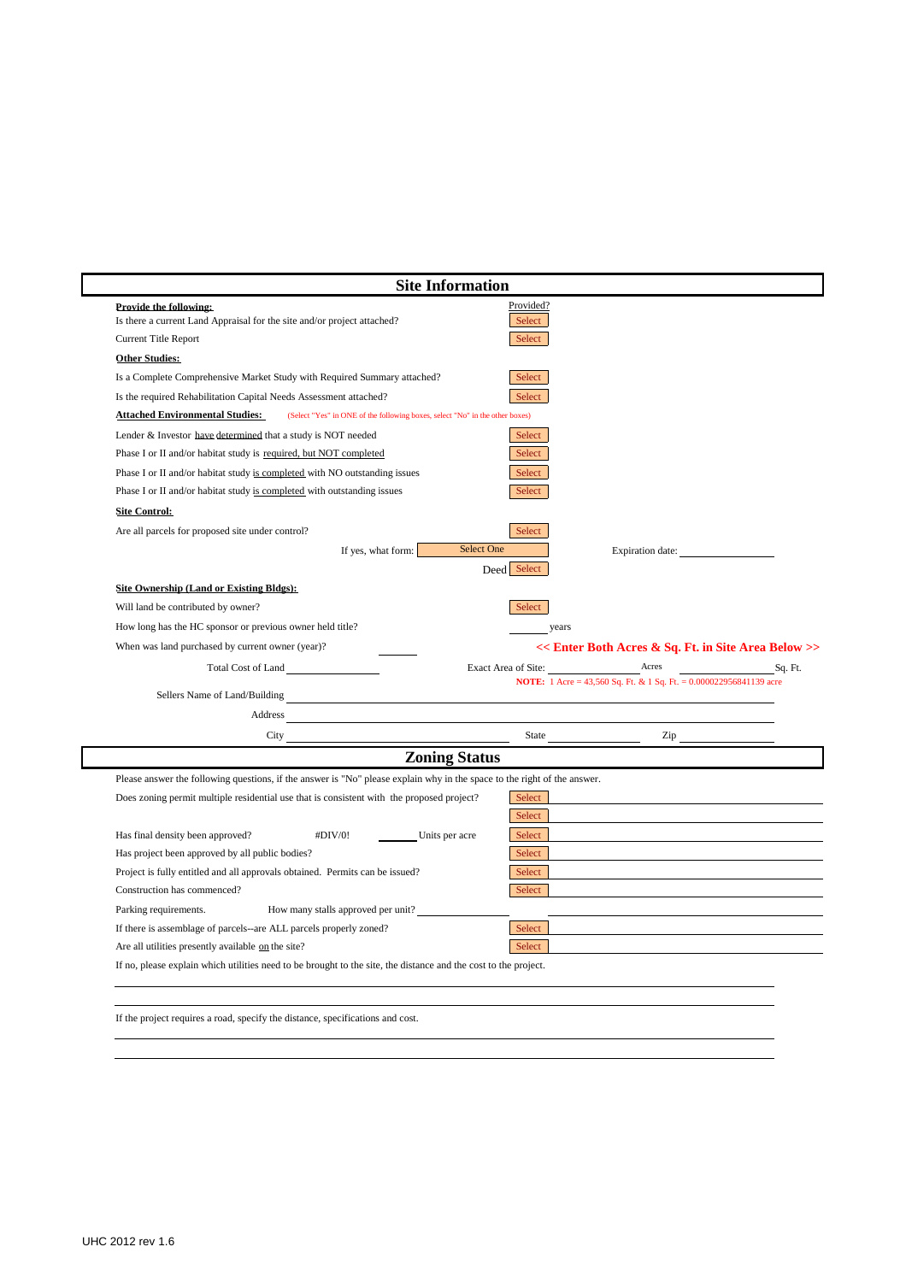| Provide the following:                                                                                                   |                     |                                                                             |         |
|--------------------------------------------------------------------------------------------------------------------------|---------------------|-----------------------------------------------------------------------------|---------|
|                                                                                                                          | Provided?           |                                                                             |         |
| Is there a current Land Appraisal for the site and/or project attached?                                                  | Select<br>Select    |                                                                             |         |
| <b>Current Title Report</b>                                                                                              |                     |                                                                             |         |
| <b>Other Studies:</b>                                                                                                    |                     |                                                                             |         |
| Is a Complete Comprehensive Market Study with Required Summary attached?                                                 | Select              |                                                                             |         |
| Is the required Rehabilitation Capital Needs Assessment attached?                                                        | Select              |                                                                             |         |
| <b>Attached Environmental Studies:</b><br>(Select "Yes" in ONE of the following boxes, select "No" in the other boxes)   |                     |                                                                             |         |
| Lender & Investor have determined that a study is NOT needed                                                             | Select              |                                                                             |         |
| Phase I or II and/or habitat study is required, but NOT completed                                                        | Select              |                                                                             |         |
| Phase I or II and/or habitat study is completed with NO outstanding issues                                               | Select              |                                                                             |         |
| Phase I or II and/or habitat study is completed with outstanding issues                                                  | Select              |                                                                             |         |
| <b>Site Control:</b>                                                                                                     |                     |                                                                             |         |
| Are all parcels for proposed site under control?                                                                         | Select              |                                                                             |         |
| If yes, what form:                                                                                                       | <b>Select One</b>   | Expiration date:                                                            |         |
|                                                                                                                          | Deed Select         |                                                                             |         |
| <b>Site Ownership (Land or Existing Bldgs):</b>                                                                          |                     |                                                                             |         |
| Will land be contributed by owner?                                                                                       | Select              |                                                                             |         |
| How long has the HC sponsor or previous owner held title?                                                                | years               |                                                                             |         |
| When was land purchased by current owner (year)?                                                                         |                     | << Enter Both Acres & Sq. Ft. in Site Area Below >>                         |         |
| Total Cost of Land                                                                                                       | Exact Area of Site: | Acres                                                                       | Sq. Ft. |
|                                                                                                                          |                     | <b>NOTE:</b> 1 Acre = 43,560 Sq. Ft. & 1 Sq. Ft. = $0.000022956841139$ acre |         |
| Sellers Name of Land/Building                                                                                            |                     |                                                                             |         |
| Address                                                                                                                  |                     |                                                                             |         |
| City                                                                                                                     |                     | State<br>$\mathsf{Zip}$                                                     |         |
| <b>Zoning Status</b>                                                                                                     |                     |                                                                             |         |
| Please answer the following questions, if the answer is "No" please explain why in the space to the right of the answer. |                     |                                                                             |         |
| Does zoning permit multiple residential use that is consistent with the proposed project?                                | Select              |                                                                             |         |
|                                                                                                                          | Select              |                                                                             |         |
| #DIV/0!<br>Units per acre<br>Has final density been approved?                                                            | Select              |                                                                             |         |
| Has project been approved by all public bodies?                                                                          | Select              |                                                                             |         |
| Project is fully entitled and all approvals obtained. Permits can be issued?                                             | Select              |                                                                             |         |
| Construction has commenced?                                                                                              | Select              |                                                                             |         |
| How many stalls approved per unit?<br>Parking requirements.                                                              |                     |                                                                             |         |
| If there is assemblage of parcels--are ALL parcels properly zoned?                                                       | Select              |                                                                             |         |
| Are all utilities presently available on the site?                                                                       | Select              |                                                                             |         |
|                                                                                                                          |                     |                                                                             |         |
| If no, please explain which utilities need to be brought to the site, the distance and the cost to the project.          |                     |                                                                             |         |
|                                                                                                                          |                     |                                                                             |         |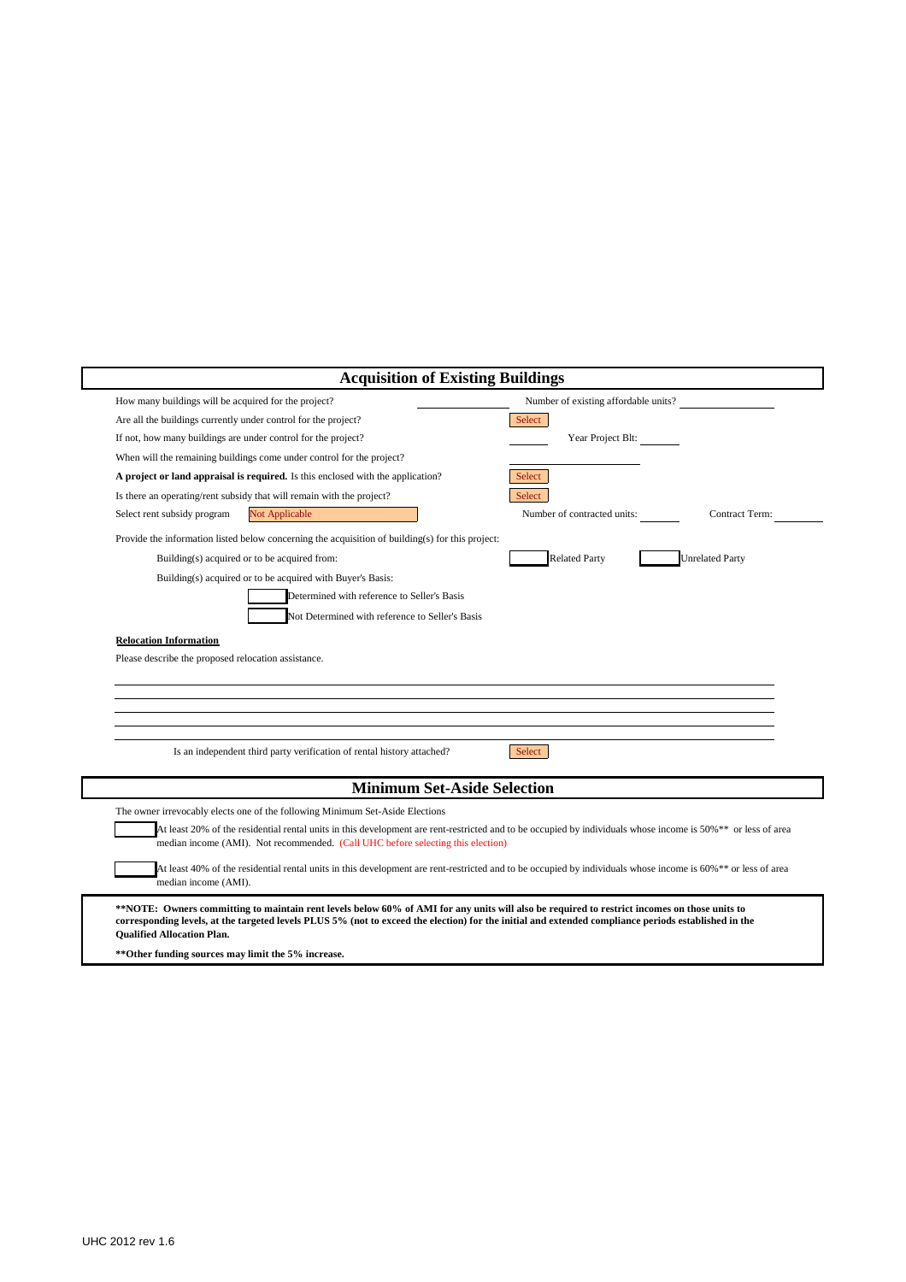|                                                                                                  | <b>Acquisition of Existing Buildings</b>                                                                                                                                                                                                                                                                                         |  |  |  |  |
|--------------------------------------------------------------------------------------------------|----------------------------------------------------------------------------------------------------------------------------------------------------------------------------------------------------------------------------------------------------------------------------------------------------------------------------------|--|--|--|--|
| How many buildings will be acquired for the project?                                             | Number of existing affordable units?                                                                                                                                                                                                                                                                                             |  |  |  |  |
| Are all the buildings currently under control for the project?                                   | Select                                                                                                                                                                                                                                                                                                                           |  |  |  |  |
| If not, how many buildings are under control for the project?                                    | Year Project Blt:                                                                                                                                                                                                                                                                                                                |  |  |  |  |
| When will the remaining buildings come under control for the project?                            |                                                                                                                                                                                                                                                                                                                                  |  |  |  |  |
| A project or land appraisal is required. Is this enclosed with the application?                  | Select                                                                                                                                                                                                                                                                                                                           |  |  |  |  |
| Is there an operating/rent subsidy that will remain with the project?                            | Select                                                                                                                                                                                                                                                                                                                           |  |  |  |  |
| Not Applicable<br>Select rent subsidy program                                                    | Number of contracted units:<br>Contract Term:                                                                                                                                                                                                                                                                                    |  |  |  |  |
| Provide the information listed below concerning the acquisition of building(s) for this project: |                                                                                                                                                                                                                                                                                                                                  |  |  |  |  |
| Building(s) acquired or to be acquired from:                                                     | <b>Related Party</b><br><b>Unrelated Party</b>                                                                                                                                                                                                                                                                                   |  |  |  |  |
| Building(s) acquired or to be acquired with Buyer's Basis:                                       |                                                                                                                                                                                                                                                                                                                                  |  |  |  |  |
| Determined with reference to Seller's Basis                                                      |                                                                                                                                                                                                                                                                                                                                  |  |  |  |  |
| Not Determined with reference to Seller's Basis                                                  |                                                                                                                                                                                                                                                                                                                                  |  |  |  |  |
|                                                                                                  |                                                                                                                                                                                                                                                                                                                                  |  |  |  |  |
|                                                                                                  |                                                                                                                                                                                                                                                                                                                                  |  |  |  |  |
| Is an independent third party verification of rental history attached?                           | Select                                                                                                                                                                                                                                                                                                                           |  |  |  |  |
| <b>Minimum Set-Aside Selection</b>                                                               |                                                                                                                                                                                                                                                                                                                                  |  |  |  |  |
| The owner irrevocably elects one of the following Minimum Set-Aside Elections                    |                                                                                                                                                                                                                                                                                                                                  |  |  |  |  |
| median income (AMI). Not recommended. (Call UHC before selecting this election)                  |                                                                                                                                                                                                                                                                                                                                  |  |  |  |  |
| median income (AMI).                                                                             | At least 20% of the residential rental units in this development are rent-restricted and to be occupied by individuals whose income is 50%** or less of area<br>At least 40% of the residential rental units in this development are rent-restricted and to be occupied by individuals whose income is $60\%$ ** or less of area |  |  |  |  |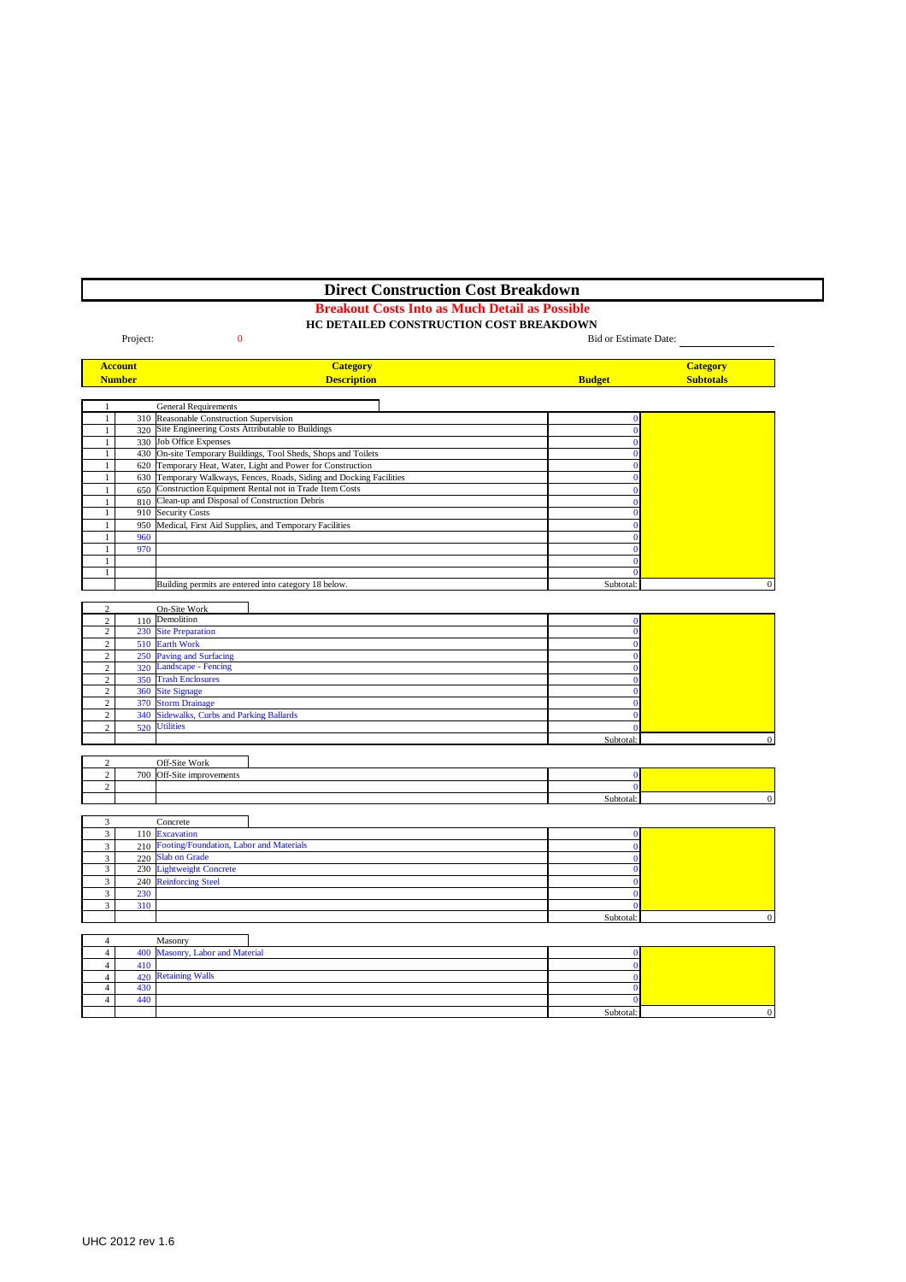# **Direct Construction Cost Breakdown**

## **Breakout Costs Into as Much Detail as Possible**

#### **HC DETAILED CONSTRUCTION COST BREAKDOWN**

|                         | Project:       | $\bf{0}$                                                                                                                  | Bid or Estimate Date:    |                  |
|-------------------------|----------------|---------------------------------------------------------------------------------------------------------------------------|--------------------------|------------------|
|                         |                |                                                                                                                           |                          |                  |
|                         | <b>Account</b> | <b>Category</b>                                                                                                           |                          | <b>Category</b>  |
| <b>Number</b>           |                | <b>Description</b>                                                                                                        | <b>Budget</b>            | <b>Subtotals</b> |
|                         |                |                                                                                                                           |                          |                  |
| 1                       |                | <b>General Requirements</b>                                                                                               |                          |                  |
| $\mathbf{1}$            |                | 310 Reasonable Construction Supervision                                                                                   | $\bf{0}$                 |                  |
| $\,1$                   | 320            | Site Engineering Costs Attributable to Buildings                                                                          | $\mathbf{0}$             |                  |
| $\mathbf{1}$            |                | 330 Job Office Expenses                                                                                                   | $\Omega$                 |                  |
| 1                       |                | 430 On-site Temporary Buildings, Tool Sheds, Shops and Toilets                                                            | $\Omega$                 |                  |
| 1                       |                | 620 Temporary Heat, Water, Light and Power for Construction                                                               | $\Omega$                 |                  |
| 1                       | 630            | Temporary Walkways, Fences, Roads, Siding and Docking Facilities<br>Construction Equipment Rental not in Trade Item Costs | $\Omega$                 |                  |
| $\mathbf{1}$            | 650            | Clean-up and Disposal of Construction Debris                                                                              | $\mathbf{0}$             |                  |
| 1<br>$\mathbf{1}$       | 810<br>910     | <b>Security Costs</b>                                                                                                     | $\mathbf{0}$             |                  |
| 1                       | 950            | Medical, First Aid Supplies, and Temporary Facilities                                                                     | $\mathbf{0}$             |                  |
| $\mathbf{1}$            | 960            |                                                                                                                           | $\Omega$                 |                  |
| $\mathbf{1}$            | 970            |                                                                                                                           | $\mathbf{0}$             |                  |
| $\mathbf{1}$            |                |                                                                                                                           | $\Omega$                 |                  |
| $\mathbf{1}$            |                |                                                                                                                           | $\Omega$                 |                  |
|                         |                | Building permits are entered into category 18 below.                                                                      | Subtotal:                | $\mathbf{0}$     |
|                         |                |                                                                                                                           |                          |                  |
| $\overline{c}$          |                | On-Site Work                                                                                                              |                          |                  |
| $\overline{2}$          |                | 110 Demolition                                                                                                            | $\Omega$                 |                  |
| $\overline{c}$          |                | 230 Site Preparation                                                                                                      | $\mathbf{0}$             |                  |
| $\overline{c}$          | 510            | <b>Earth Work</b>                                                                                                         | $\mathbf{0}$             |                  |
| $\boldsymbol{2}$        | 250            | Paving and Surfacing                                                                                                      | $\mathbf{0}$             |                  |
| $\overline{c}$          | 320            | <b>Landscape - Fencing</b>                                                                                                | $\Omega$                 |                  |
| $\overline{c}$          | 350            | <b>Trash Enclosures</b>                                                                                                   | $\mathbf{0}$             |                  |
| $\overline{c}$          | 360            | <b>Site Signage</b>                                                                                                       | $\bf{0}$                 |                  |
| $\overline{c}$          |                | 370 Storm Drainage                                                                                                        | $\mathbf{0}$             |                  |
| $\overline{c}$          | 340            | <b>Sidewalks, Curbs and Parking Ballards</b>                                                                              | $\Omega$                 |                  |
| 2                       | 520            | <b>Utilities</b>                                                                                                          | $\mathbf{0}$             |                  |
|                         |                |                                                                                                                           | Subtotal:                | $\mathbf{0}$     |
|                         |                |                                                                                                                           |                          |                  |
| $\overline{c}$          |                | Off-Site Work                                                                                                             |                          |                  |
| $\overline{c}$          | 700            | Off-Site improvements                                                                                                     | $\bf{0}$<br>$\mathbf{0}$ |                  |
| $\boldsymbol{2}$        |                |                                                                                                                           |                          |                  |
|                         |                |                                                                                                                           | Subtotal:                | $\Omega$         |
| 3                       |                | Concrete                                                                                                                  |                          |                  |
| $\overline{\mathbf{3}}$ |                | 110 Excavation                                                                                                            | $\mathbf{0}$             |                  |
| $\overline{\mathbf{3}}$ |                | 210 Footing/Foundation, Labor and Materials                                                                               | $\Omega$                 |                  |
| $\overline{\mathbf{3}}$ | 220            | <b>Slab on Grade</b>                                                                                                      | $\Omega$                 |                  |
| 3                       |                | 230 Lightweight Concrete                                                                                                  | $\mathbf{0}$             |                  |
| $\overline{\mathbf{3}}$ | 240            | <b>Reinforcing Steel</b>                                                                                                  | $\Omega$                 |                  |
| 3                       | 230            |                                                                                                                           | $\Omega$                 |                  |
| $\overline{\mathbf{3}}$ | 310            |                                                                                                                           | $\Omega$                 |                  |
|                         |                |                                                                                                                           | Subtotal:                | $\Omega$         |
|                         |                |                                                                                                                           |                          |                  |
| $\overline{4}$          |                | Masonry                                                                                                                   |                          |                  |

|     | 400 Masonry, Labor and Material |           |  |
|-----|---------------------------------|-----------|--|
|     |                                 |           |  |
|     | 420 Retaining Walls             |           |  |
| 430 |                                 |           |  |
| 140 |                                 |           |  |
|     |                                 | Subtotal: |  |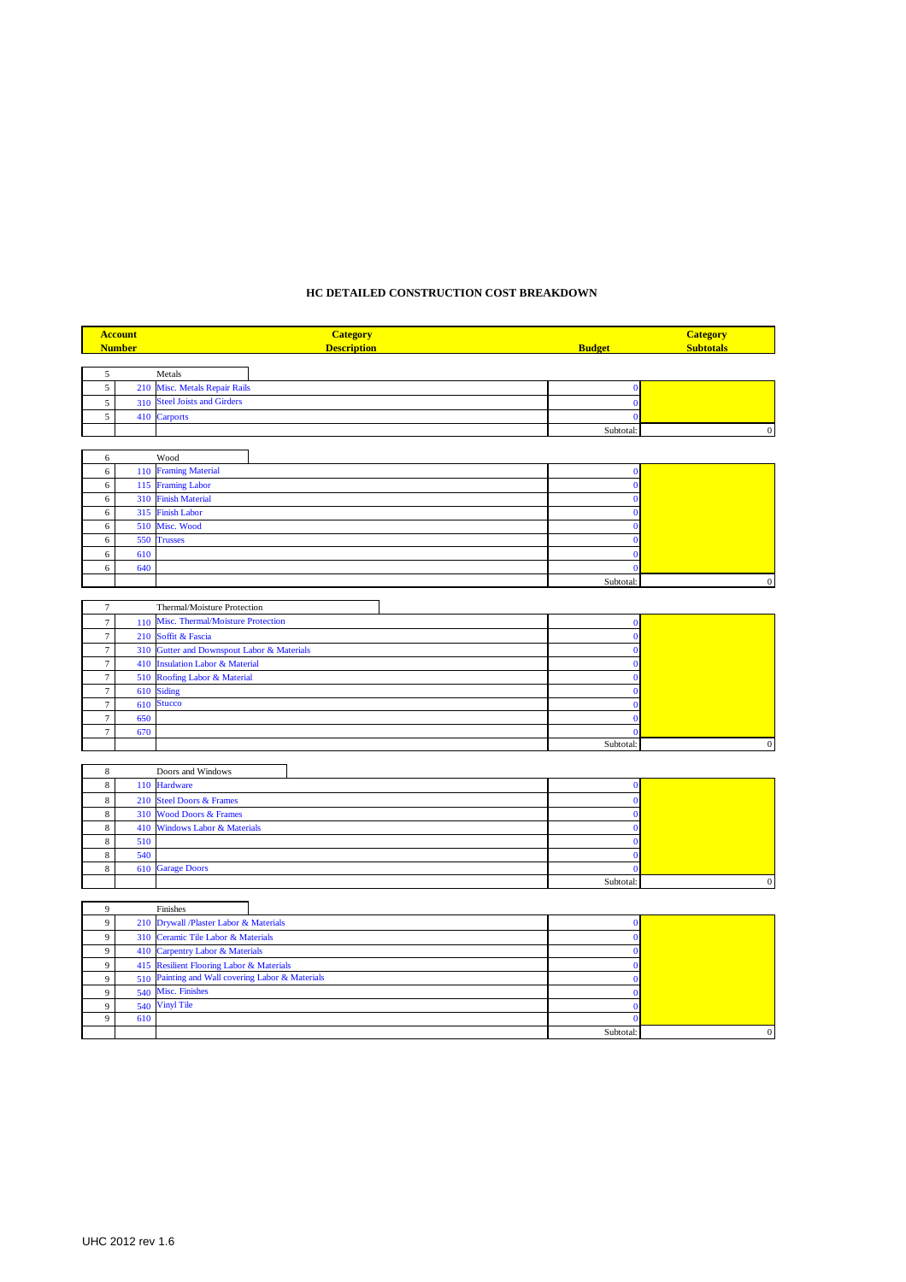## **HC DETAILED CONSTRUCTION COST BREAKDOWN**

|   | <b>Account</b> | <b>Category</b>               |               | <b>Category</b>  |
|---|----------------|-------------------------------|---------------|------------------|
|   | <b>Number</b>  | <b>Description</b>            | <b>Budget</b> | <b>Subtotals</b> |
|   |                |                               |               |                  |
| 5 |                | Metals                        |               |                  |
| 5 |                | 210 Misc. Metals Repair Rails |               |                  |
| 5 |                | 310 Steel Joists and Girders  |               |                  |
| 5 |                | 410 Carports                  |               |                  |
|   |                |                               | Subtotal:     | $\mathbf{0}$     |
|   |                |                               |               |                  |
| 6 |                | Wood                          |               |                  |
| 6 |                | 110 Framing Material          |               |                  |
| 6 |                | 115 Framing Labor             |               |                  |
| 6 |                | 310 Finish Material           |               |                  |
| 6 |                | 315 Finish Labor              |               |                  |
| 6 |                | 510 Misc. Wood                |               |                  |
| 6 |                | 550 Trusses                   | $\bf{0}$      |                  |

 $\frac{610}{ }$  610 0  $\frac{640}{ }$  640 0

|     | Thermal/Moisture Protection                |           |          |
|-----|--------------------------------------------|-----------|----------|
|     | 110 Misc. Thermal/Moisture Protection      |           |          |
|     | 210 Soffit & Fascia                        |           |          |
|     | 310 Gutter and Downspout Labor & Materials |           |          |
|     | 410 Insulation Labor & Material            |           |          |
|     | 510 Roofing Labor & Material               |           |          |
|     | 610 Siding                                 |           |          |
|     | 610 Stucco                                 |           |          |
| 650 |                                            |           |          |
| 670 |                                            |           |          |
|     |                                            | Subtotal: | $\Omega$ |

Subtotal: 0

|   |     | Doors and Windows             |           |  |
|---|-----|-------------------------------|-----------|--|
|   |     | 110 Hardware                  |           |  |
|   |     | 210 Steel Doors & Frames      |           |  |
|   |     | 310 Wood Doors & Frames       |           |  |
|   |     | 410 Windows Labor & Materials |           |  |
| ŏ | 510 |                               |           |  |
| ŏ | 540 |                               |           |  |
|   |     | 610 Garage Doors              |           |  |
|   |     |                               | Subtotal: |  |

|     | Finishes                                         |           |  |
|-----|--------------------------------------------------|-----------|--|
|     | 210 Drywall /Plaster Labor & Materials           |           |  |
|     | 310 Ceramic Tile Labor & Materials               |           |  |
|     | 410 Carpentry Labor & Materials                  |           |  |
|     | 415 Resilient Flooring Labor & Materials         |           |  |
|     | 510 Painting and Wall covering Labor & Materials |           |  |
|     | 540 Misc. Finishes                               |           |  |
|     | 540 Vinyl Tile                                   |           |  |
| 610 |                                                  |           |  |
|     |                                                  | Subtotal: |  |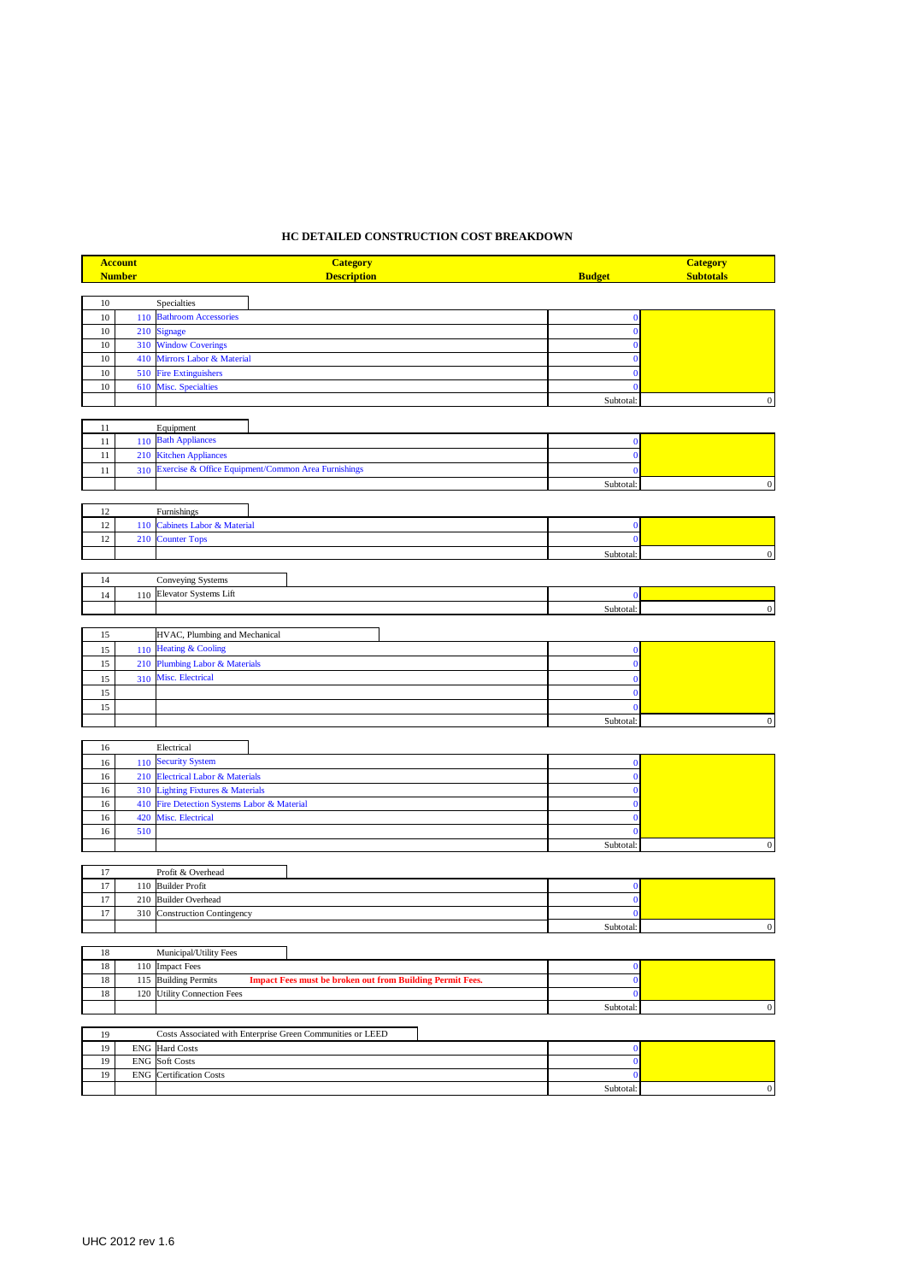### **HC DETAILED CONSTRUCTION COST BREAKDOWN**

|        | <b>Account</b> | <b>Category</b>                                                                          |               | <b>Category</b>  |
|--------|----------------|------------------------------------------------------------------------------------------|---------------|------------------|
|        | <b>Number</b>  | <b>Description</b>                                                                       | <b>Budget</b> | <b>Subtotals</b> |
|        |                |                                                                                          |               |                  |
| 10     |                | Specialties                                                                              |               |                  |
| $10\,$ | 110            | <b>Bathroom Accessories</b>                                                              | $\bf{0}$      |                  |
| 10     | 210            | Signage                                                                                  | $\bf{0}$      |                  |
| 10     | 310            | <b>Window Coverings</b>                                                                  | $\bf{0}$      |                  |
| 10     | 410            | Mirrors Labor & Material                                                                 | $\bf{0}$      |                  |
| $10\,$ | 510            | <b>Fire Extinguishers</b>                                                                | $\bf{0}$      |                  |
| 10     |                | 610 Misc. Specialties                                                                    | $\bf{0}$      |                  |
|        |                |                                                                                          | Subtotal:     | $\mathbf{0}$     |
|        |                |                                                                                          |               |                  |
| 11     |                | Equipment                                                                                |               |                  |
| $11\,$ | 110            | <b>Bath Appliances</b>                                                                   | $\bf{0}$      |                  |
| $11\,$ |                | 210 Kitchen Appliances                                                                   | $\bf{0}$      |                  |
| 11     | 310            | Exercise & Office Equipment/Common Area Furnishings                                      | $\bf{0}$      |                  |
|        |                |                                                                                          |               | $\Omega$         |
|        |                |                                                                                          | Subtotal:     |                  |
|        |                |                                                                                          |               |                  |
| 12     |                | Furnishings                                                                              |               |                  |
| 12     | 110            | <b>Cabinets Labor &amp; Material</b>                                                     | $\bf{0}$      |                  |
| 12     | 210            | <b>Counter Tops</b>                                                                      | $\bf{0}$      |                  |
|        |                |                                                                                          | Subtotal:     | $\boldsymbol{0}$ |
|        |                |                                                                                          |               |                  |
| 14     |                | Conveying Systems                                                                        |               |                  |
| 14     |                | 110 Elevator Systems Lift                                                                | $\bf{0}$      |                  |
|        |                |                                                                                          | Subtotal:     | $\boldsymbol{0}$ |
|        |                |                                                                                          |               |                  |
| 15     |                | HVAC, Plumbing and Mechanical                                                            |               |                  |
| 15     | 110            | <b>Heating &amp; Cooling</b>                                                             | $\bf{0}$      |                  |
| 15     | 210            | <b>Plumbing Labor &amp; Materials</b>                                                    | $\bf{0}$      |                  |
| 15     | 310            | Misc. Electrical                                                                         | $\bf{0}$      |                  |
| 15     |                |                                                                                          | $\bf{0}$      |                  |
| 15     |                |                                                                                          | $\mathbf{0}$  |                  |
|        |                |                                                                                          | Subtotal:     | $\mathbf{0}$     |
|        |                |                                                                                          |               |                  |
| 16     |                | Electrical                                                                               |               |                  |
| $16\,$ | 110            | <b>Security System</b>                                                                   | $\bf{0}$      |                  |
| 16     | 210            | <b>Electrical Labor &amp; Materials</b>                                                  | $\bf{0}$      |                  |
| 16     | 310            | <b>Lighting Fixtures &amp; Materials</b>                                                 | $\bf{0}$      |                  |
|        |                |                                                                                          |               |                  |
| 16     | 410            | Fire Detection Systems Labor & Material                                                  | $\bf{0}$      |                  |
| 16     | 420            | Misc. Electrical                                                                         | $\bf{0}$      |                  |
| 16     | 510            |                                                                                          | $\bf{0}$      |                  |
|        |                |                                                                                          | Subtotal:     | $\mathbf{0}$     |
|        |                |                                                                                          |               |                  |
| 17     |                | Profit & Overhead                                                                        |               |                  |
| 17     |                | 110 Builder Profit                                                                       | $\bf{0}$      |                  |
| 17     |                | 210 Builder Overhead                                                                     | $\bf{0}$      |                  |
| $17\,$ |                | 310 Construction Contingency                                                             | $\mathbf{0}$  |                  |
|        |                |                                                                                          | Subtotal:     | $\Omega$         |
|        |                |                                                                                          |               |                  |
| 18     |                | Municipal/Utility Fees                                                                   |               |                  |
| 18     | 110            | <b>Impact Fees</b>                                                                       | $\bf{0}$      |                  |
| 18     |                | 115 Building Permits<br><b>Impact Fees must be broken out from Building Permit Fees.</b> | $\bf{0}$      |                  |
| 18     | 120            | <b>Utility Connection Fees</b>                                                           | $\bf{0}$      |                  |
|        |                |                                                                                          | Subtotal:     | $\boldsymbol{0}$ |
|        |                |                                                                                          |               |                  |
| 19     |                | Costs Associated with Enterprise Green Communities or LEED                               |               |                  |
| 19     |                | <b>ENG</b> Hard Costs                                                                    | $\bf{0}$      |                  |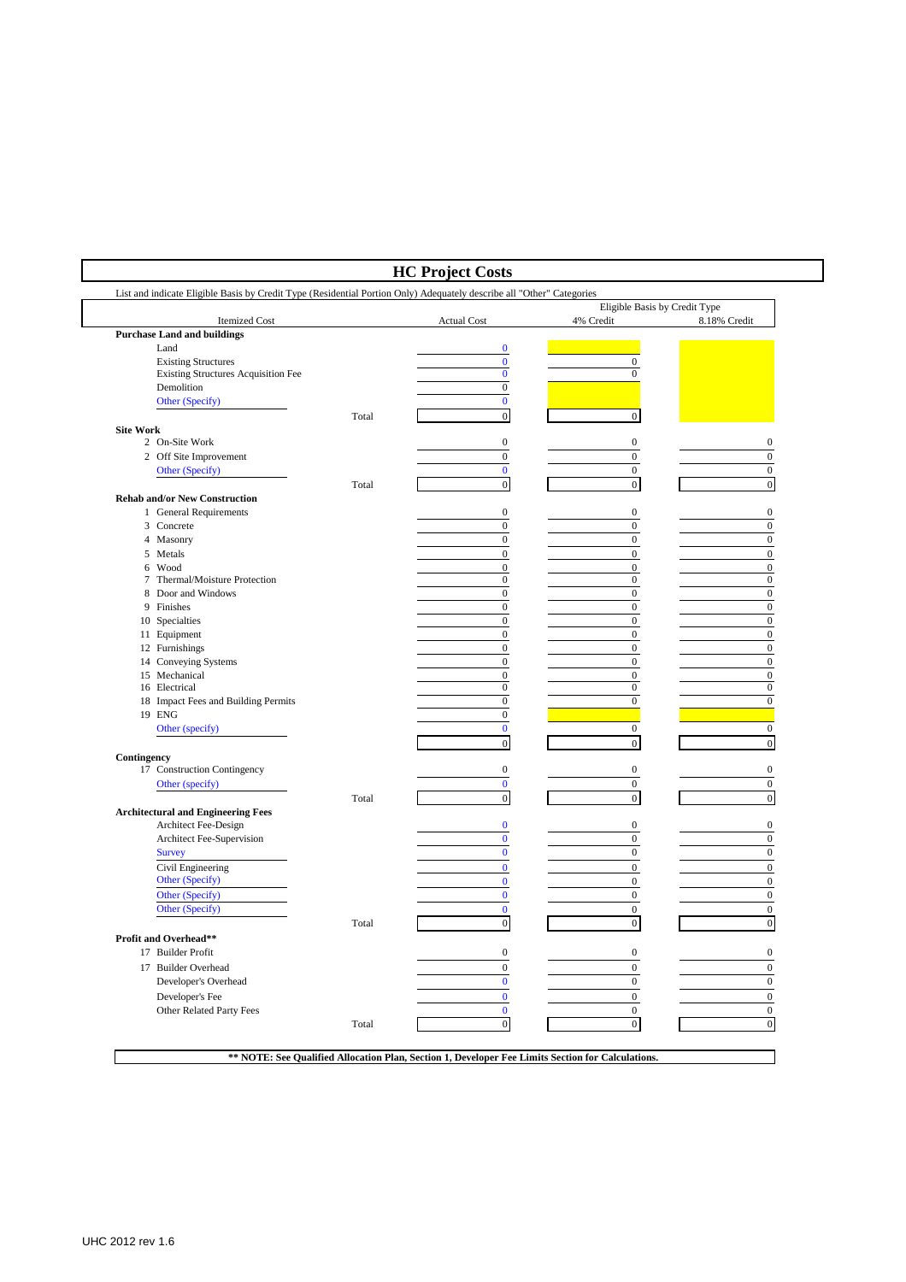| List and indicate Eligible Basis by Credit Type (Residential Portion Only) Adequately describe all "Other" Categories |       |                                      | Eligible Basis by Credit Type        |                              |
|-----------------------------------------------------------------------------------------------------------------------|-------|--------------------------------------|--------------------------------------|------------------------------|
| <b>Itemized Cost</b>                                                                                                  |       | <b>Actual Cost</b>                   | 4% Credit                            | 8.18% Credit                 |
| <b>Purchase Land and buildings</b>                                                                                    |       |                                      |                                      |                              |
| Land                                                                                                                  |       | $\bf{0}$                             |                                      |                              |
| <b>Existing Structures</b>                                                                                            |       | $\mathbf 0$                          | $\boldsymbol{0}$                     |                              |
| Existing Structures Acquisition Fee                                                                                   |       | $\bf{0}$                             | $\Omega$                             |                              |
| Demolition                                                                                                            |       | $\boldsymbol{0}$                     |                                      |                              |
| Other (Specify)                                                                                                       |       | $\bf{0}$                             |                                      |                              |
|                                                                                                                       | Total | $\boldsymbol{0}$                     | $\mathbf{0}$                         |                              |
| <b>Site Work</b>                                                                                                      |       |                                      |                                      |                              |
| 2 On-Site Work                                                                                                        |       | $\boldsymbol{0}$                     | $\boldsymbol{0}$                     | $\mathbf{0}$                 |
| 2 Off Site Improvement                                                                                                |       | $\boldsymbol{0}$                     | $\boldsymbol{0}$                     | $\boldsymbol{0}$             |
| Other (Specify)                                                                                                       |       | $\bf{0}$                             | $\boldsymbol{0}$                     | $\bf{0}$                     |
|                                                                                                                       | Total | $\mathbf{0}$                         | $\boldsymbol{0}$                     | $\boldsymbol{0}$             |
| <b>Rehab and/or New Construction</b>                                                                                  |       |                                      |                                      |                              |
| 1 General Requirements                                                                                                |       | $\boldsymbol{0}$                     | $\boldsymbol{0}$                     | 0                            |
| 3 Concrete                                                                                                            |       | $\boldsymbol{0}$                     | $\boldsymbol{0}$                     | $\bf{0}$                     |
| 4 Masonry                                                                                                             |       | $\boldsymbol{0}$                     | $\overline{0}$                       | $\bf{0}$                     |
| 5 Metals                                                                                                              |       | $\boldsymbol{0}$                     | $\boldsymbol{0}$                     | $\boldsymbol{0}$             |
| 6 Wood<br>Thermal/Moisture Protection<br>7                                                                            |       | $\boldsymbol{0}$<br>$\boldsymbol{0}$ | $\overline{0}$                       | $\bf{0}$<br>$\boldsymbol{0}$ |
| 8 Door and Windows                                                                                                    |       | $\boldsymbol{0}$                     | $\boldsymbol{0}$<br>$\boldsymbol{0}$ | $\boldsymbol{0}$             |
| 9 Finishes                                                                                                            |       | $\boldsymbol{0}$                     | $\boldsymbol{0}$                     | $\boldsymbol{0}$             |
| 10 Specialties                                                                                                        |       | $\boldsymbol{0}$                     | $\boldsymbol{0}$                     | $\boldsymbol{0}$             |
| 11 Equipment                                                                                                          |       | $\boldsymbol{0}$                     | $\boldsymbol{0}$                     | $\boldsymbol{0}$             |
| 12 Furnishings                                                                                                        |       | $\boldsymbol{0}$                     | $\boldsymbol{0}$                     | $\boldsymbol{0}$             |
| 14 Conveying Systems                                                                                                  |       | $\boldsymbol{0}$                     | $\boldsymbol{0}$                     | $\boldsymbol{0}$             |
| 15 Mechanical                                                                                                         |       | $\boldsymbol{0}$                     | $\boldsymbol{0}$                     | $\mathbf{0}$                 |
| 16 Electrical                                                                                                         |       | $\boldsymbol{0}$                     | $\boldsymbol{0}$                     | $\boldsymbol{0}$             |
| 18 Impact Fees and Building Permits                                                                                   |       | $\boldsymbol{0}$                     | $\mathbf{0}$                         | $\mathbf 0$                  |
| 19 ENG                                                                                                                |       | $\boldsymbol{0}$                     |                                      |                              |
| Other (specify)                                                                                                       |       | $\bf{0}$                             | $\boldsymbol{0}$                     | $\mathbf{0}$                 |
|                                                                                                                       |       | $\mathbf{0}$                         | $\boldsymbol{0}$                     | $\mathbf{0}$                 |
| Contingency                                                                                                           |       |                                      |                                      |                              |
| 17 Construction Contingency                                                                                           |       | $\mathbf{0}$                         | $\boldsymbol{0}$                     | $\boldsymbol{0}$             |
| Other (specify)                                                                                                       |       | $\bf{0}$                             | $\mathbf{0}$                         | $\mathbf 0$                  |
|                                                                                                                       | Total | $\boldsymbol{0}$                     | $\mathbf{0}$                         | $\mathbf 0$                  |
| <b>Architectural and Engineering Fees</b>                                                                             |       |                                      |                                      |                              |
| Architect Fee-Design                                                                                                  |       | $\bf{0}$                             | $\boldsymbol{0}$                     | $\boldsymbol{0}$             |
| Architect Fee-Supervision                                                                                             |       | $\bf{0}$                             | $\boldsymbol{0}$                     | $\mathbf 0$                  |
| <b>Survey</b>                                                                                                         |       | $\bf{0}$                             | $\mathbf{0}$                         | $\mathbf{0}$                 |
| Civil Engineering                                                                                                     |       | $\bf{0}$                             | $\boldsymbol{0}$                     | $\boldsymbol{0}$             |
| Other (Specify)                                                                                                       |       | $\bf{0}$                             | $\boldsymbol{0}$                     | $\boldsymbol{0}$             |
| Other (Specify)                                                                                                       |       | $\bf{0}$                             | $\boldsymbol{0}$                     | $\mathbf{0}$                 |
| Other (Specify)                                                                                                       |       | $\bf{0}$                             | $\mathbf{0}$                         | $\mathbf{0}$                 |
|                                                                                                                       | Total | $\boldsymbol{0}$                     | $\overline{0}$                       | $\mathbf{0}$                 |
| Profit and Overhead**                                                                                                 |       |                                      |                                      |                              |
| 17 Builder Profit                                                                                                     |       | $\boldsymbol{0}$                     | $\boldsymbol{0}$                     | $\bf{0}$                     |
| 17 Builder Overhead                                                                                                   |       | $\boldsymbol{0}$                     | $\boldsymbol{0}$                     | $\boldsymbol{0}$             |
| Developer's Overhead                                                                                                  |       | $\bf{0}$                             | $\bf{0}$                             | $\boldsymbol{0}$             |
| Developer's Fee                                                                                                       |       | $\bf{0}$                             | 0                                    | $\boldsymbol{0}$             |
| Other Related Party Fees                                                                                              |       | $\bf{0}$                             | $\boldsymbol{0}$                     | $\bf{0}$                     |
|                                                                                                                       | Total | $\boldsymbol{0}$                     | $\boldsymbol{0}$                     | $\boldsymbol{0}$             |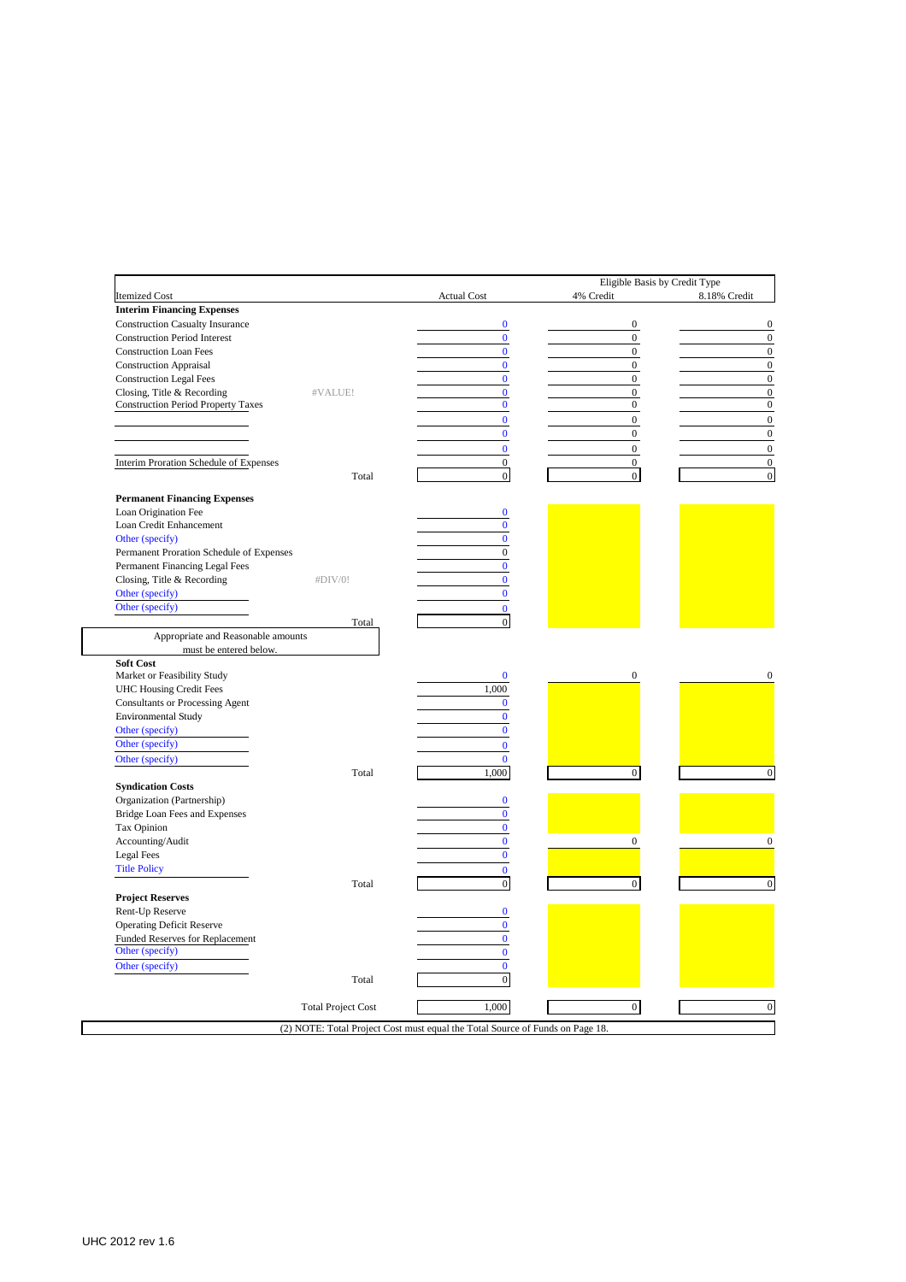|                                                               |                           |                    | Eligible Basis by Credit Type |              |
|---------------------------------------------------------------|---------------------------|--------------------|-------------------------------|--------------|
| <b>Itemized Cost</b>                                          |                           | <b>Actual Cost</b> | 4% Credit                     | 8.18% Credit |
| <b>Interim Financing Expenses</b>                             |                           |                    |                               |              |
| <b>Construction Casualty Insurance</b>                        |                           | $\bf{0}$           | $\overline{0}$                |              |
| <b>Construction Period Interest</b>                           |                           | $\bf{0}$           | $\overline{0}$                |              |
| <b>Construction Loan Fees</b>                                 |                           | $\bf{0}$           | $\boldsymbol{0}$              |              |
| <b>Construction Appraisal</b>                                 |                           | $\bf{0}$           | $\overline{0}$                |              |
| <b>Construction Legal Fees</b>                                |                           | $\bf{0}$           | $\overline{0}$                |              |
| Closing, Title & Recording                                    | #VALUE!                   | $\mathbf{0}$       | $\overline{0}$                |              |
| <b>Construction Period Property Taxes</b>                     |                           | $\mathbf 0$        | $\boldsymbol{0}$              |              |
|                                                               |                           | $\bf{0}$           | $\boldsymbol{0}$              |              |
|                                                               |                           | $\bf{0}$           | $\mathbf{0}$                  |              |
|                                                               |                           | $\bf{0}$           | $\overline{0}$                |              |
| Interim Proration Schedule of Expenses                        |                           | $\mathbf{0}$       | $\boldsymbol{0}$              |              |
|                                                               | Total                     | $\boldsymbol{0}$   | $\boldsymbol{0}$              |              |
|                                                               |                           |                    |                               |              |
| <b>Permanent Financing Expenses</b>                           |                           |                    |                               |              |
| Loan Origination Fee                                          |                           | $\mathbf{0}$       |                               |              |
| Loan Credit Enhancement                                       |                           | $\bf{0}$           |                               |              |
| Other (specify)                                               |                           | $\bf{0}$           |                               |              |
| Permanent Proration Schedule of Expenses                      |                           | $\mathbf{0}$       |                               |              |
| Permanent Financing Legal Fees                                |                           | $\bf{0}$           |                               |              |
| Closing, Title & Recording                                    | #DIV/0!                   | $\mathbf{0}$       |                               |              |
| Other (specify)                                               |                           | $\bf{0}$           |                               |              |
| Other (specify)<br><u>and the second</u>                      |                           | $\mathbf{0}$       |                               |              |
|                                                               | Total                     | $\mathbf{0}$       |                               |              |
| Market or Feasibility Study<br><b>UHC Housing Credit Fees</b> |                           | $\bf{0}$<br>1,000  | $\mathbf{0}$                  |              |
| <b>Consultants or Processing Agent</b>                        |                           | $\bf{0}$           |                               |              |
| <b>Environmental Study</b>                                    |                           | $\bf{0}$           |                               |              |
| Other (specify)                                               |                           | $\mathbf{0}$       |                               |              |
| Other (specify)                                               |                           | $\mathbf{0}$       |                               |              |
| Other (specify)                                               |                           | $\bf{0}$           |                               |              |
|                                                               | Total                     | 1,000              | $\boldsymbol{0}$              |              |
| <b>Syndication Costs</b>                                      |                           |                    |                               |              |
|                                                               |                           |                    |                               |              |
|                                                               |                           |                    |                               |              |
| Organization (Partnership)                                    |                           | $\bf{0}$           |                               |              |
| Bridge Loan Fees and Expenses                                 |                           | $\bf{0}$           |                               |              |
| Tax Opinion                                                   |                           | $\bf{0}$           |                               |              |
| Accounting/Audit                                              |                           | $\bf{0}$           | $\boldsymbol{0}$              |              |
| <b>Legal Fees</b>                                             |                           | $\mathbf{0}$       |                               |              |
| <b>Title Policy</b>                                           |                           | $\bf{0}$           |                               |              |
|                                                               | Total                     | $\mathbf{0}$       | $\boldsymbol{0}$              |              |
| <b>Project Reserves</b>                                       |                           |                    |                               |              |
| Rent-Up Reserve                                               |                           | $\bf{0}$           |                               |              |
| <b>Operating Deficit Reserve</b>                              |                           | $\bf{0}$           |                               |              |
| Funded Reserves for Replacement                               |                           | $\mathbf{0}$       |                               |              |
| Other (specify)                                               |                           | $\bf{0}$           |                               |              |
| Other (specify)                                               |                           | $\bf{0}$           |                               |              |
|                                                               | Total                     | $\overline{0}$     |                               |              |
|                                                               | <b>Total Project Cost</b> | 1,000              | $\bf{0}$                      |              |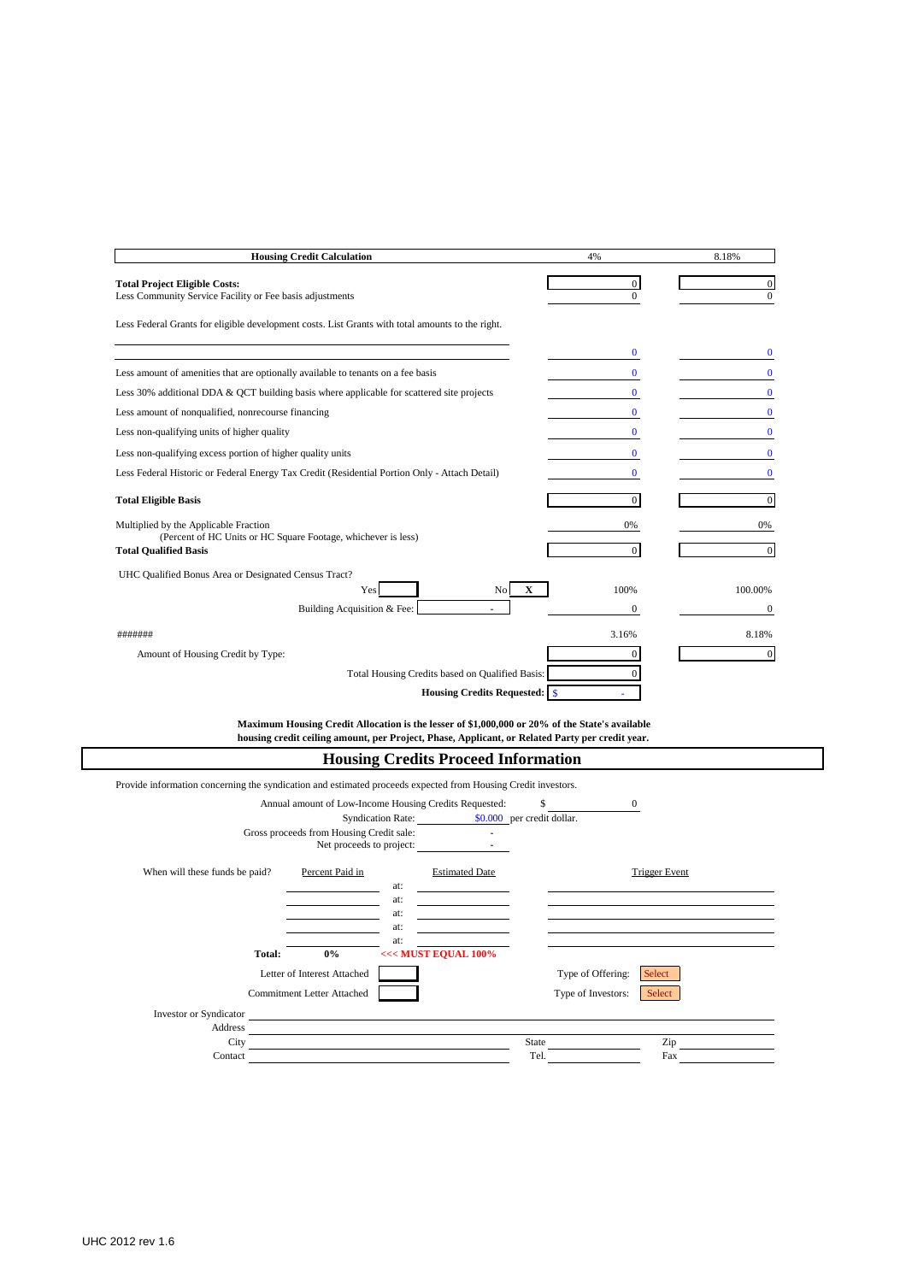| <b>Housing Credit Calculation</b>                                                                      | 4%                         | 8.18%                    |
|--------------------------------------------------------------------------------------------------------|----------------------------|--------------------------|
| <b>Total Project Eligible Costs:</b><br>Less Community Service Facility or Fee basis adjustments       | $\overline{0}$<br>$\Omega$ | $\mathbf{0}$<br>$\Omega$ |
| Less Federal Grants for eligible development costs. List Grants with total amounts to the right.       |                            |                          |
|                                                                                                        | $\mathbf{0}$               | $\bf{0}$                 |
| Less amount of amenities that are optionally available to tenants on a fee basis                       | $\mathbf{0}$               | $\bf{0}$                 |
| Less 30% additional DDA & QCT building basis where applicable for scattered site projects              |                            | $\bf{0}$                 |
| Less amount of nonqualified, nonrecourse financing                                                     |                            | $\Omega$                 |
| Less non-qualifying units of higher quality                                                            | $\Omega$                   | $\mathbf{0}$             |
| Less non-qualifying excess portion of higher quality units                                             | $\bf{0}$                   | $\bf{0}$                 |
| Less Federal Historic or Federal Energy Tax Credit (Residential Portion Only - Attach Detail)          | $\mathbf{0}$               | $\bf{0}$                 |
| <b>Total Eligible Basis</b>                                                                            | $\overline{0}$             | $\mathbf{0}$             |
| Multiplied by the Applicable Fraction<br>(Percent of HC Units or HC Square Footage, whichever is less) | 0%                         | 0%                       |
| <b>Total Qualified Basis</b>                                                                           | $\overline{0}$             | $\mathbf{0}$             |
| UHC Qualified Bonus Area or Designated Census Tract?<br>$\mathbf{X}$<br>N <sub>o</sub><br>Yes          | 100%                       | 100.00%                  |
| Building Acquisition & Fee:                                                                            | $\overline{0}$             | $\mathbf{0}$             |
| #######                                                                                                | 3.16%                      | 8.18%                    |
| Amount of Housing Credit by Type:                                                                      | 0                          | $\mathbf{0}$             |
| Total Housing Credits based on Qualified Basis:                                                        | 0                          |                          |
| <b>Housing Credits Requested:</b> S                                                                    |                            |                          |

**Maximum Housing Credit Allocation is the lesser of \$1,000,000 or 20% of the State's available housing credit ceiling amount, per Project, Phase, Applicant, or Related Party per credit year.**

## **Housing Credits Proceed Information**

| Provide information concerning the syndication and estimated proceeds expected from Housing Credit investors.                                                                                                                  |                                                                                                                                                                                                                                      |     |                                                                                                                                                                                                                                      |       |                    |                      |
|--------------------------------------------------------------------------------------------------------------------------------------------------------------------------------------------------------------------------------|--------------------------------------------------------------------------------------------------------------------------------------------------------------------------------------------------------------------------------------|-----|--------------------------------------------------------------------------------------------------------------------------------------------------------------------------------------------------------------------------------------|-------|--------------------|----------------------|
|                                                                                                                                                                                                                                | Annual amount of Low-Income Housing Credits Requested:                                                                                                                                                                               |     |                                                                                                                                                                                                                                      | \$    |                    | $\bf{0}$             |
|                                                                                                                                                                                                                                |                                                                                                                                                                                                                                      |     | Syndication Rate: \$0.000 per credit dollar.                                                                                                                                                                                         |       |                    |                      |
|                                                                                                                                                                                                                                | Gross proceeds from Housing Credit sale:                                                                                                                                                                                             |     |                                                                                                                                                                                                                                      |       |                    |                      |
|                                                                                                                                                                                                                                | Net proceeds to project:                                                                                                                                                                                                             |     |                                                                                                                                                                                                                                      |       |                    |                      |
| When will these funds be paid?                                                                                                                                                                                                 | Percent Paid in                                                                                                                                                                                                                      |     | <b>Estimated Date</b>                                                                                                                                                                                                                |       |                    | <b>Trigger Event</b> |
|                                                                                                                                                                                                                                |                                                                                                                                                                                                                                      | at: |                                                                                                                                                                                                                                      |       |                    |                      |
|                                                                                                                                                                                                                                |                                                                                                                                                                                                                                      | at: |                                                                                                                                                                                                                                      |       |                    |                      |
|                                                                                                                                                                                                                                |                                                                                                                                                                                                                                      | at: |                                                                                                                                                                                                                                      |       |                    |                      |
|                                                                                                                                                                                                                                |                                                                                                                                                                                                                                      | at: | <u>and the state of the state of the state of the state of the state of the state of the state of the state of the state of the state of the state of the state of the state of the state of the state of the state of the state</u> |       |                    |                      |
|                                                                                                                                                                                                                                |                                                                                                                                                                                                                                      | at: |                                                                                                                                                                                                                                      |       |                    |                      |
| Total:                                                                                                                                                                                                                         | $0\%$                                                                                                                                                                                                                                |     | <<< MUST EQUAL 100%                                                                                                                                                                                                                  |       |                    |                      |
|                                                                                                                                                                                                                                | Letter of Interest Attached                                                                                                                                                                                                          |     |                                                                                                                                                                                                                                      |       | Type of Offering:  | Select               |
|                                                                                                                                                                                                                                | <b>Commitment Letter Attached</b>                                                                                                                                                                                                    |     |                                                                                                                                                                                                                                      |       | Type of Investors: | Select               |
| Investor or Syndicator New York Changes and Section 2014 and 2015 and 2016 and 2017 and 2017 and 2017 and 2017 and 2017 and 2017 and 2017 and 2017 and 2017 and 2017 and 2017 and 2017 and 2017 and 2017 and 2017 and 2017 and |                                                                                                                                                                                                                                      |     |                                                                                                                                                                                                                                      |       |                    |                      |
| Address                                                                                                                                                                                                                        | <u>and the company of the company of the company of the company of the company of the company of the company of the company of the company of the company of the company of the company of the company of the company of the com</u> |     |                                                                                                                                                                                                                                      |       |                    |                      |
| City                                                                                                                                                                                                                           |                                                                                                                                                                                                                                      |     |                                                                                                                                                                                                                                      | State |                    | Zip                  |
| Contact                                                                                                                                                                                                                        |                                                                                                                                                                                                                                      |     |                                                                                                                                                                                                                                      | Tel.  |                    | Fax                  |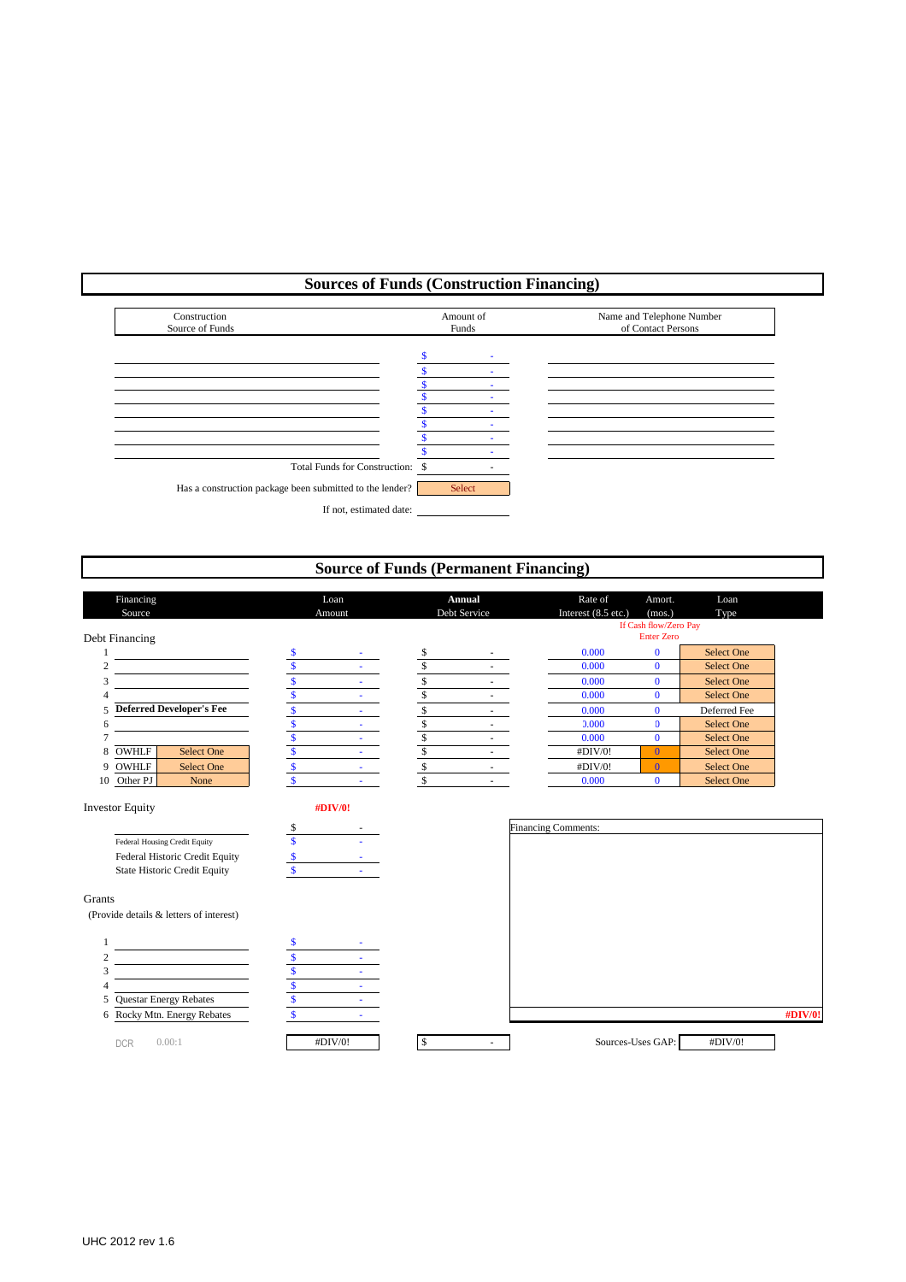## **Sources of Funds (Construction Financing)**



## **Source of Funds (Permanent Financing)**

| Financing                                                       |                           | Loan   |                         | Annual       | Rate of                    | Amort.                                     | Loan              |
|-----------------------------------------------------------------|---------------------------|--------|-------------------------|--------------|----------------------------|--------------------------------------------|-------------------|
| Source                                                          |                           | Amount |                         | Debt Service | Interest (8.5 etc.)        | (mos.)                                     | Type              |
|                                                                 |                           |        |                         |              |                            | If Cash flow/Zero Pay<br><b>Enter Zero</b> |                   |
| Debt Financing                                                  |                           |        |                         |              |                            |                                            |                   |
|                                                                 | $\boldsymbol{\mathsf{s}}$ |        | \$                      |              | 0.000                      | $\bf{0}$                                   | <b>Select One</b> |
| $\overline{2}$                                                  | $\overline{\mathbf{s}}$   |        | $\mathbb S$             |              | 0.000                      | $\bf{0}$                                   | <b>Select One</b> |
| 3                                                               | \$                        |        | $\mathbb{S}$            |              | 0.000                      | $\mathbf{0}$                               | <b>Select One</b> |
| Δ                                                               | \$                        |        | $\mathbb S$             |              | 0.000                      | $\mathbf{0}$                               | <b>Select One</b> |
| <b>Deferred Developer's Fee</b><br>5                            | $\mathbf{\$}$             |        | $\mathbb S$             |              | 0.000                      | $\bf{0}$                                   | Deferred Fee      |
| б                                                               | \$                        |        | \$                      |              | 0.000                      | $\mathbf{D}$                               | <b>Select One</b> |
| 7                                                               | \$                        |        | $\mathbb{S}$            |              | 0.000                      | $\bf{0}$                                   | <b>Select One</b> |
| OWHLF<br>8<br><b>Select One</b>                                 | \$                        |        | $\overline{\mathbb{S}}$ |              | #DIV/0!                    | $\mathbf{0}$                               | <b>Select One</b> |
| OWHLF<br>Select One<br>9                                        | $rac{s}{s}$               |        | $rac{s}{s}$             |              | #DIV/0!                    | $\overline{0}$                             | <b>Select One</b> |
| 10 Other PJ<br>None                                             |                           |        |                         | ٠            | 0.000                      | $\bf{0}$                                   | Select One        |
| Federal Housing Credit Equity<br>Federal Historic Credit Equity | \$                        |        |                         |              | <b>Financing Comments:</b> |                                            |                   |
|                                                                 |                           |        |                         |              |                            |                                            |                   |
|                                                                 |                           |        |                         |              |                            |                                            |                   |
| <b>State Historic Credit Equity</b>                             | $\mathbf S$               |        |                         |              |                            |                                            |                   |
|                                                                 |                           |        |                         |              |                            |                                            |                   |
| (Provide details & letters of interest)                         |                           |        |                         |              |                            |                                            |                   |
| $\mathbf{1}$                                                    | \$                        |        |                         |              |                            |                                            |                   |
| Grants<br>$\overline{c}$                                        |                           |        |                         |              |                            |                                            |                   |
| 3                                                               | \$<br>\$                  |        |                         |              |                            |                                            |                   |
| 4                                                               | $\mathsf{\$}$             |        |                         |              |                            |                                            |                   |
| Questar Energy Rebates<br>5                                     | $\mathbf{\hat{s}}$        |        |                         |              |                            |                                            |                   |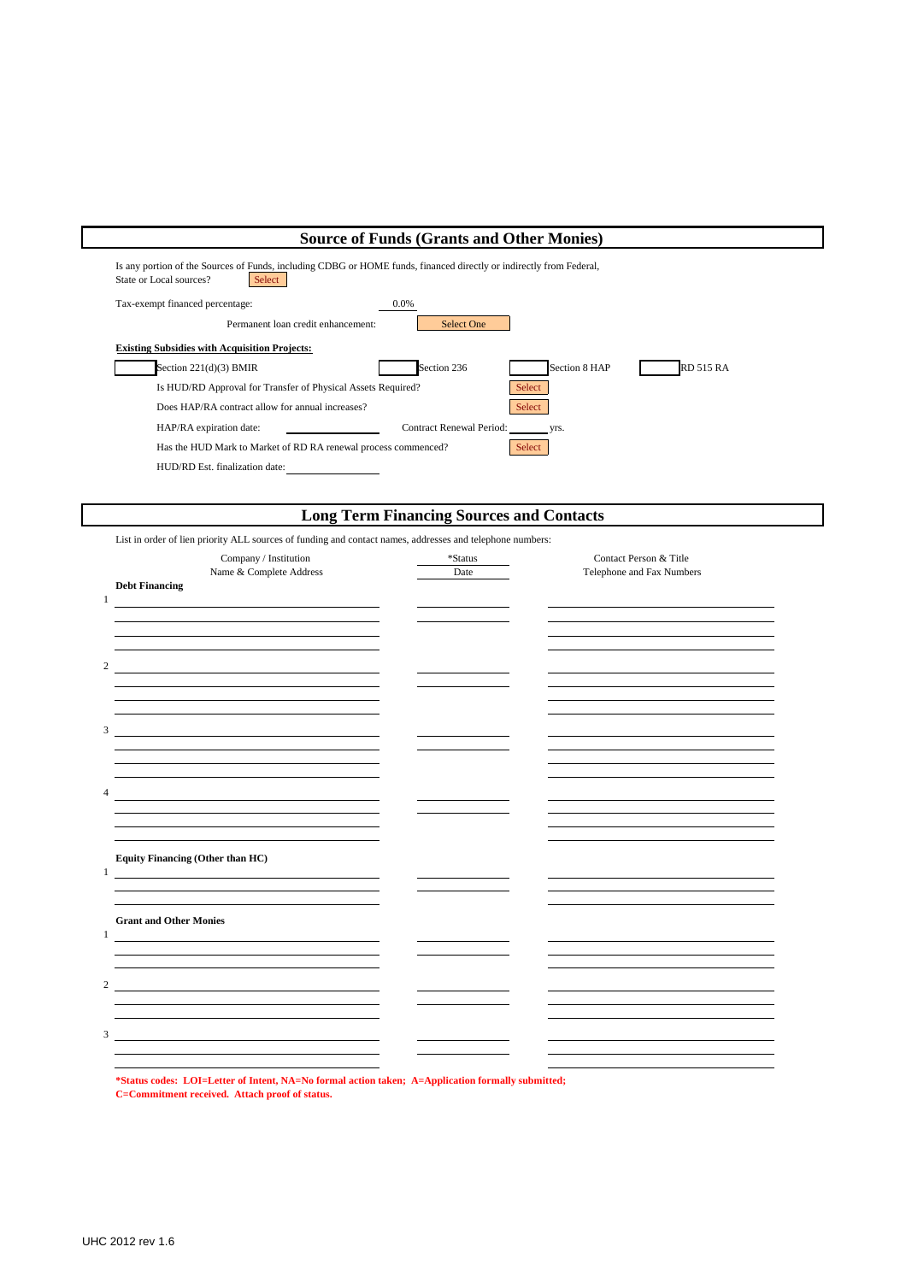#### **Source of Funds (Grants and Other Monies)**



## **Long Term Financing Sources and Contacts**

List in order of lien priority ALL sources of funding and contact names, addresses and telephone numbers:

|                | Company / Institution                                                                                                                                     | $\displaystyle{^*\!S}$ tatus | Contact Person & Title    |  |
|----------------|-----------------------------------------------------------------------------------------------------------------------------------------------------------|------------------------------|---------------------------|--|
|                | Name & Complete Address<br><b>Debt Financing</b>                                                                                                          | Date                         | Telephone and Fax Numbers |  |
| $\mathbf{1}$   | <u> 1980 - Johann Stoff, deutscher Stoffen und der Stoffen und der Stoffen und der Stoffen und der Stoffen und der</u>                                    |                              |                           |  |
|                |                                                                                                                                                           |                              |                           |  |
|                |                                                                                                                                                           |                              |                           |  |
|                | $\frac{2}{\sqrt{2}}$                                                                                                                                      |                              |                           |  |
|                |                                                                                                                                                           |                              |                           |  |
|                |                                                                                                                                                           |                              |                           |  |
|                |                                                                                                                                                           |                              |                           |  |
|                |                                                                                                                                                           |                              |                           |  |
|                |                                                                                                                                                           |                              |                           |  |
| $\overline{4}$ |                                                                                                                                                           |                              |                           |  |
|                | <u> 1989 - Johann Barbara, martin amerikan basar dan berasal dan berasal dalam basar dalam basar dalam basar dala</u>                                     |                              |                           |  |
|                |                                                                                                                                                           |                              |                           |  |
|                |                                                                                                                                                           |                              |                           |  |
| 1              | Equity Financing (Other than HC)<br><u> 1989 - Johann Barbara, martin amerikan basal dan berasal dan berasal dalam basal dalam basal dalam basal dala</u> |                              |                           |  |
|                |                                                                                                                                                           |                              |                           |  |
|                |                                                                                                                                                           |                              |                           |  |
| $\mathbf{1}$   | <b>Grant and Other Monies</b>                                                                                                                             |                              |                           |  |
|                |                                                                                                                                                           |                              |                           |  |
|                |                                                                                                                                                           |                              |                           |  |
| 2              | <u> 1989 - Andrea Stadt Britain, amerikansk politiker (</u>                                                                                               |                              |                           |  |
|                |                                                                                                                                                           |                              |                           |  |
| 3              | <u> 1989 - John Stein, Amerikaansk politiker (</u>                                                                                                        |                              |                           |  |
|                |                                                                                                                                                           |                              |                           |  |
|                |                                                                                                                                                           |                              |                           |  |

**\*Status codes: LOI=Letter of Intent, NA=No formal action taken; A=Application formally submitted; C=Commitment received. Attach proof of status.**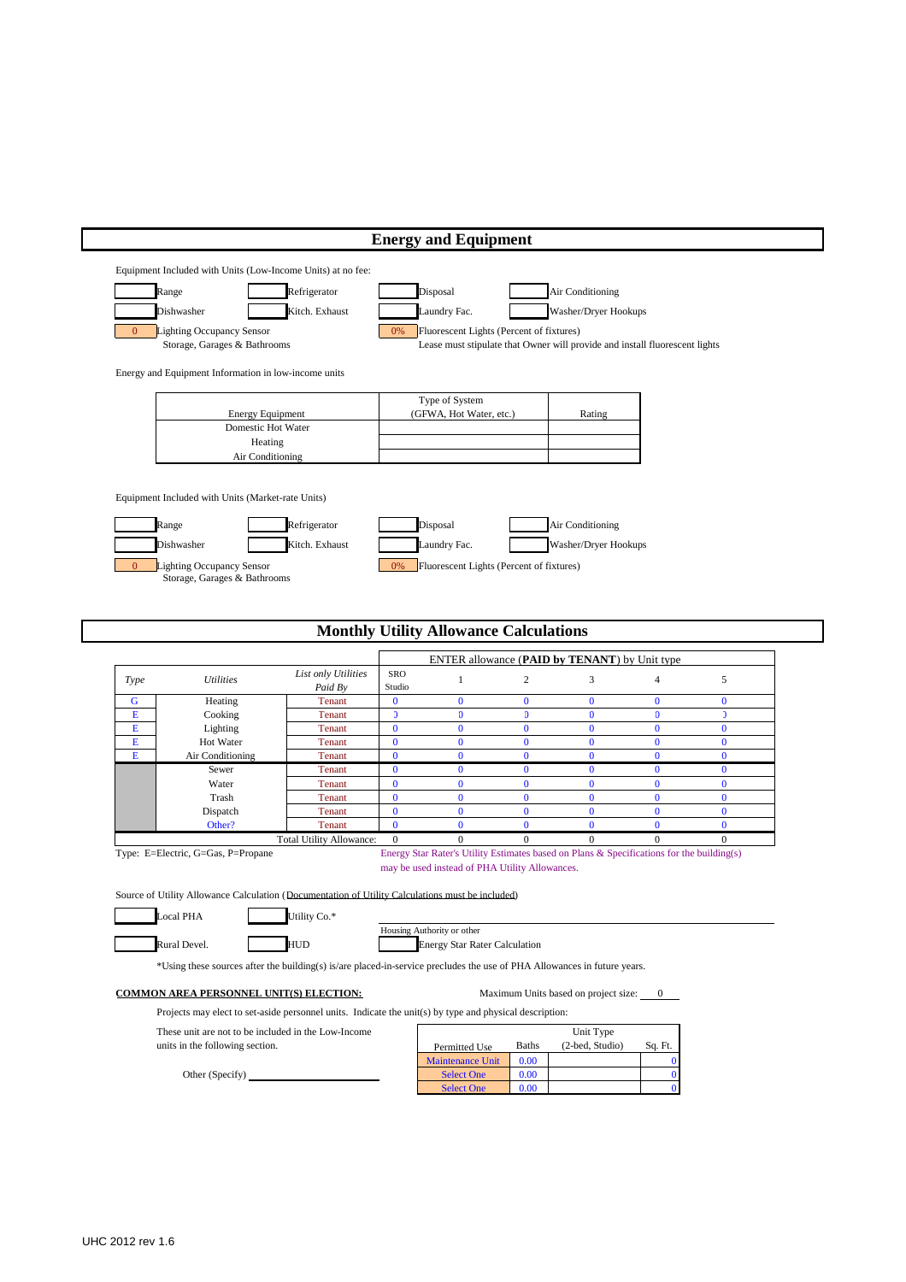|                |                                                                  |                                                                                                                          |                            | <b>Energy and Equipment</b>                    |                                |                                                                                           |                      |                      |
|----------------|------------------------------------------------------------------|--------------------------------------------------------------------------------------------------------------------------|----------------------------|------------------------------------------------|--------------------------------|-------------------------------------------------------------------------------------------|----------------------|----------------------|
|                |                                                                  | Equipment Included with Units (Low-Income Units) at no fee:                                                              |                            |                                                |                                |                                                                                           |                      |                      |
|                | Range                                                            | Refrigerator                                                                                                             |                            | Disposal                                       |                                | Air Conditioning                                                                          |                      |                      |
|                |                                                                  |                                                                                                                          |                            |                                                |                                |                                                                                           |                      |                      |
|                | Dishwasher                                                       | Kitch. Exhaust                                                                                                           |                            | Laundry Fac.                                   |                                | Washer/Dryer Hookups                                                                      |                      |                      |
| $\overline{0}$ | <b>Lighting Occupancy Sensor</b>                                 |                                                                                                                          | 0%                         | Fluorescent Lights (Percent of fixtures)       |                                |                                                                                           |                      |                      |
|                | Storage, Garages & Bathrooms                                     |                                                                                                                          |                            |                                                |                                | Lease must stipulate that Owner will provide and install fluorescent lights               |                      |                      |
|                |                                                                  | Energy and Equipment Information in low-income units                                                                     |                            |                                                |                                |                                                                                           |                      |                      |
|                |                                                                  |                                                                                                                          |                            | Type of System                                 |                                |                                                                                           |                      |                      |
|                |                                                                  | <b>Energy Equipment</b>                                                                                                  |                            | (GFWA, Hot Water, etc.)                        |                                | Rating                                                                                    |                      |                      |
|                |                                                                  | Domestic Hot Water                                                                                                       |                            |                                                |                                |                                                                                           |                      |                      |
|                |                                                                  | Heating                                                                                                                  |                            |                                                |                                |                                                                                           |                      |                      |
|                |                                                                  | Air Conditioning                                                                                                         |                            |                                                |                                |                                                                                           |                      |                      |
|                |                                                                  |                                                                                                                          |                            |                                                |                                |                                                                                           |                      |                      |
|                | Equipment Included with Units (Market-rate Units)                |                                                                                                                          |                            |                                                |                                |                                                                                           |                      |                      |
|                | Range                                                            | Refrigerator                                                                                                             |                            | Disposal                                       |                                | Air Conditioning                                                                          |                      |                      |
|                | Dishwasher                                                       | Kitch. Exhaust                                                                                                           |                            | Laundry Fac.                                   |                                | Washer/Dryer Hookups                                                                      |                      |                      |
|                |                                                                  |                                                                                                                          |                            |                                                |                                |                                                                                           |                      |                      |
| $\mathbf{0}$   | <b>Lighting Occupancy Sensor</b><br>Storage, Garages & Bathrooms |                                                                                                                          | 0%                         | Fluorescent Lights (Percent of fixtures)       |                                |                                                                                           |                      |                      |
|                |                                                                  |                                                                                                                          |                            |                                                |                                |                                                                                           |                      |                      |
|                |                                                                  |                                                                                                                          |                            |                                                |                                |                                                                                           |                      |                      |
|                |                                                                  |                                                                                                                          |                            | <b>Monthly Utility Allowance Calculations</b>  |                                |                                                                                           |                      |                      |
|                |                                                                  |                                                                                                                          |                            |                                                |                                |                                                                                           |                      |                      |
|                |                                                                  |                                                                                                                          |                            |                                                |                                |                                                                                           |                      |                      |
|                |                                                                  |                                                                                                                          |                            |                                                |                                | ENTER allowance (PAID by TENANT) by Unit type                                             |                      |                      |
| <b>Type</b>    | <b>Utilities</b>                                                 | List only Utilities<br>Paid By                                                                                           | SRO<br>Studio              | $\mathbf{1}$                                   | $\sqrt{2}$                     | 3                                                                                         | $\overline{4}$       | 5                    |
| G              | Heating                                                          | <b>Tenant</b>                                                                                                            | $\bf{0}$                   | $\bf{0}$                                       | $\bf{0}$                       | $\bf{0}$                                                                                  | $\bf{0}$             | $\bf{0}$             |
| Е              | Cooking                                                          | Tenant                                                                                                                   | $\mathbf{D}$               | D                                              | $\mathbf{0}$                   | $\mathbf{0}$                                                                              | $\mathbf{D}$         | $\mathbf{0}$         |
| Е              | Lighting                                                         | <b>Tenant</b>                                                                                                            | $\mathbf{0}$               | $\bf{0}$                                       | $\bf{0}$                       | $\bf{0}$                                                                                  | $\bf{0}$             | $\bf{0}$             |
| Е<br>Е         | Hot Water                                                        | <b>Tenant</b>                                                                                                            | $\bf{0}$<br>$\mathbf{0}$   | $\bf{0}$<br>$\bf{0}$                           | $\bf{0}$<br>$\bf{0}$           | $\bf{0}$<br>$\bf{0}$                                                                      | $\bf{0}$<br>$\bf{0}$ | $\bf{0}$<br>$\bf{0}$ |
|                | Air Conditioning<br>Sewer                                        | Tenant<br><b>Tenant</b>                                                                                                  | $\mathbf{0}$               | $\bf{0}$                                       | $\bf{0}$                       | $\bf{0}$                                                                                  | $\bf{0}$             | $\bf{0}$             |
|                | Water                                                            | <b>Tenant</b>                                                                                                            | $\mathbf{0}$               | $\bf{0}$                                       | $\bf{0}$                       | $\bf{0}$                                                                                  | $\bf{0}$             | $\bf{0}$             |
|                | Trash                                                            | <b>Tenant</b>                                                                                                            | $\bf{0}$                   | $\bf{0}$                                       | $\bf{0}$                       | $\bf{0}$                                                                                  | $\bf{0}$             | $\bf{0}$             |
|                | Dispatch                                                         | <b>Tenant</b>                                                                                                            | $\mathbf{0}$               | $\bf{0}$                                       | $\bf{0}$                       | $\bf{0}$                                                                                  | $\bf{0}$             | $\bf{0}$             |
|                | Other?                                                           | <b>Tenant</b><br><b>Total Utility Allowance:</b>                                                                         | $\mathbf{0}$<br>$\Omega$   | $\bf{0}$<br>$\Omega$                           | $\mathbf{0}$<br>$\overline{0}$ | $\bf{0}$<br>$\overline{0}$                                                                | $\bf{0}$<br>$\Omega$ | $\bf{0}$<br>$\Omega$ |
|                | Type: E=Electric, G=Gas, P=Propane                               |                                                                                                                          |                            |                                                |                                | Energy Star Rater's Utility Estimates based on Plans & Specifications for the building(s) |                      |                      |
|                |                                                                  |                                                                                                                          |                            | may be used instead of PHA Utility Allowances. |                                |                                                                                           |                      |                      |
|                |                                                                  |                                                                                                                          |                            |                                                |                                |                                                                                           |                      |                      |
|                |                                                                  | Source of Utility Allowance Calculation (Documentation of Utility Calculations must be included)                         |                            |                                                |                                |                                                                                           |                      |                      |
|                | <b>Local PHA</b>                                                 | Utility Co.*                                                                                                             | Housing Authority or other |                                                |                                |                                                                                           |                      |                      |
|                | Rural Devel.                                                     | <b>HUD</b>                                                                                                               |                            | <b>Energy Star Rater Calculation</b>           |                                |                                                                                           |                      |                      |
|                |                                                                  |                                                                                                                          |                            |                                                |                                |                                                                                           |                      |                      |
|                |                                                                  | *Using these sources after the building(s) is/are placed-in-service precludes the use of PHA Allowances in future years. |                            |                                                |                                |                                                                                           |                      |                      |
|                |                                                                  | <b>COMMON AREA PERSONNEL UNIT(S) ELECTION:</b>                                                                           |                            |                                                |                                | Maximum Units based on project size: 0                                                    |                      |                      |
|                |                                                                  | Projects may elect to set-aside personnel units. Indicate the unit(s) by type and physical description:                  |                            |                                                |                                |                                                                                           |                      |                      |
|                |                                                                  | These unit are not to be included in the Low-Income                                                                      |                            |                                                |                                | Unit Type                                                                                 |                      |                      |
|                | units in the following section.                                  |                                                                                                                          |                            | Permitted Use                                  | <b>Baths</b>                   | (2-bed, Studio)                                                                           | Sq. Ft.              |                      |
|                | Other (Specify)                                                  |                                                                                                                          |                            | <b>Maintenance Unit</b><br><b>Select One</b>   | 0.00<br>0.00                   |                                                                                           | $\bf{0}$<br>$\bf{0}$ |                      |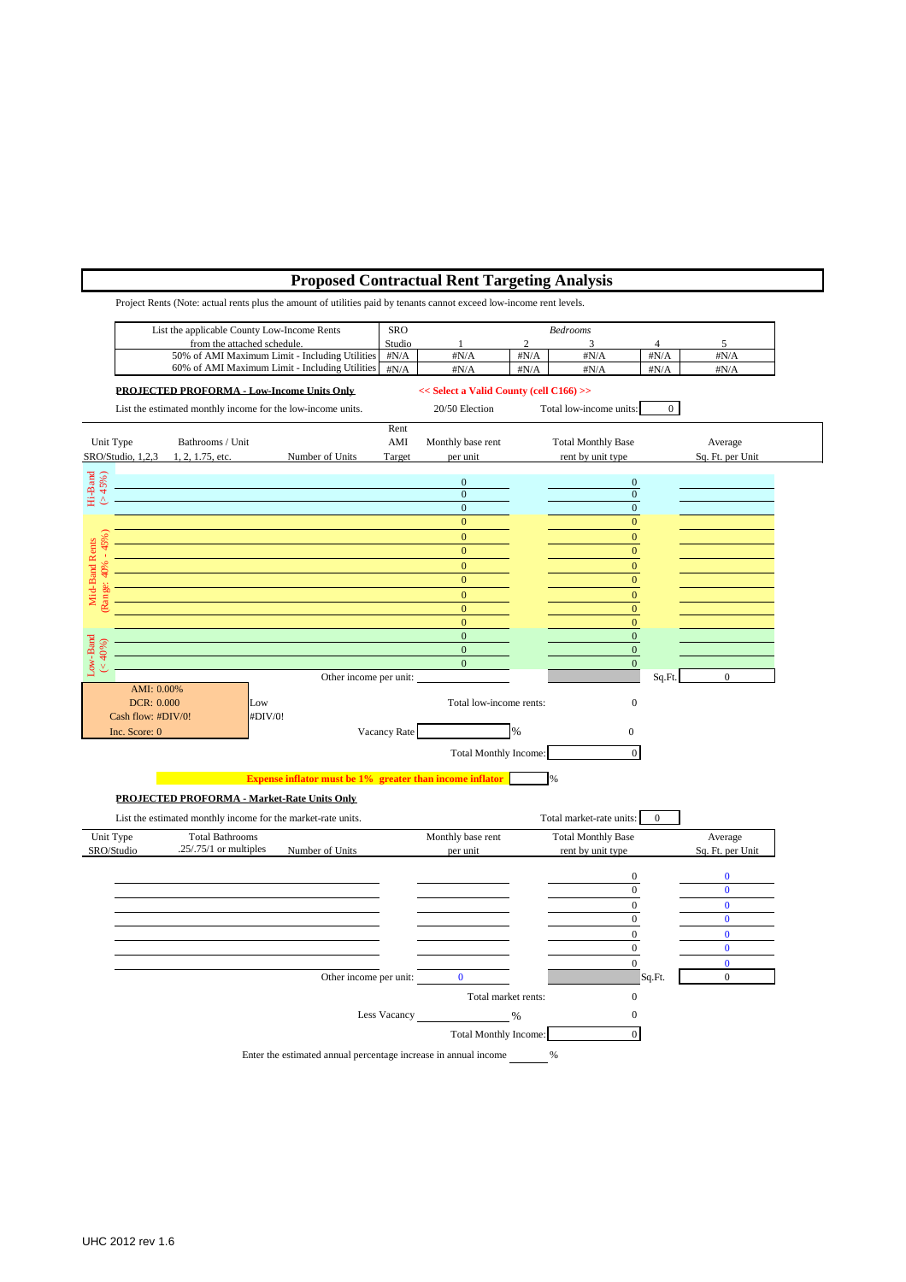## **Proposed Contractual Rent Targeting Analysis**

Project Rents (Note: actual rents plus the amount of utilities paid by tenants cannot exceed low-income rent levels. List the applicable County Low-Income Rents SRO *Bedrooms* from the attached schedule. Studio 1 2 3 4 5 50% of AMI Maximum Limit - Including Utilities #N/A #N/A #N/A #N/A #N/A #N/A  $60\%$  of AMI Maximum Limit - Including Utilities  $\frac{1.006 \text{ K}}{H N/A}$ #N/A #N/A #N/A #N/A #N/A #N/A **PROJECTED PROFORMA - Low-Income Units Only << Select a Valid County (cell C166) >>** List the estimated monthly income for the low-income units. 20/50 Election Total low-income units: 0 Deep Skewing Rent Unit Type Bathrooms / Unit AMI Monthly base rent Total Monthly Base Average SRO/Studio, 1,2,3 1, 2, 1.75, etc. Number of Units Target per unit rent by unit type Sq. Ft. per Unit Hi-Band (> 45%)  $0 \hspace{2.5cm} 0$  $0 \hspace{2.5cm} 0$  $0 \hspace{2.5cm} 0$  $\mathbf 0$ (Range: 40% - 45%)  $\mathbf 0$ Mid-Band Rents Mid-Band Rents  $\mathbf 0$  $\mathbf 0$  $\mathbf 0$ ge:  $\mathbf 0$  $\mathbf 0$  $\mathbf 0$ Band  $0 \hspace{2.5cm} 0$  $(0.60)$  $0 \hspace{2.5cm} 0$  $0 \hspace{2.5cm} 0$ Other income per unit: Sq.Ft. AMI: 0.00% DCR: 0.000 Low Low Total low-income rents: 0 Cash flow: #DIV/0! #DIV/0! Vacancy Rate  $\text{Inc. Score: } 0$   $\qquad \qquad \text{Vacancy Rate}$   $\qquad \qquad \text{10. Score: } 0$ Total Monthly Income: 0 **Expense inflator must be 1% greater than income inflator** % **PROJECTED PROFORMA - Market-Rate Units Only** List the estimated monthly income for the market-rate units. Total market-rate units: 0 Unit Type Total Bathrooms Monthly base rent Total Monthly Base Average Total Bathrooms SRO/Studio  $.25/0.75/1$  or multiples Number of Units per unit rent by unit type Sq. Ft. per Unit 0 0 0 0 0 0 0 0 0 0 0 0 0 0 0 0 0 0 0 0 0 Other income per unit: 0 0 Sq.Ft. 0 9 Sq.Ft. Total market rents: 0 Less Vacancy  $\qquad \qquad \frac{\%}{\%}$  0 Total Monthly Income: 0 Enter the estimated annual percentage increase in annual income %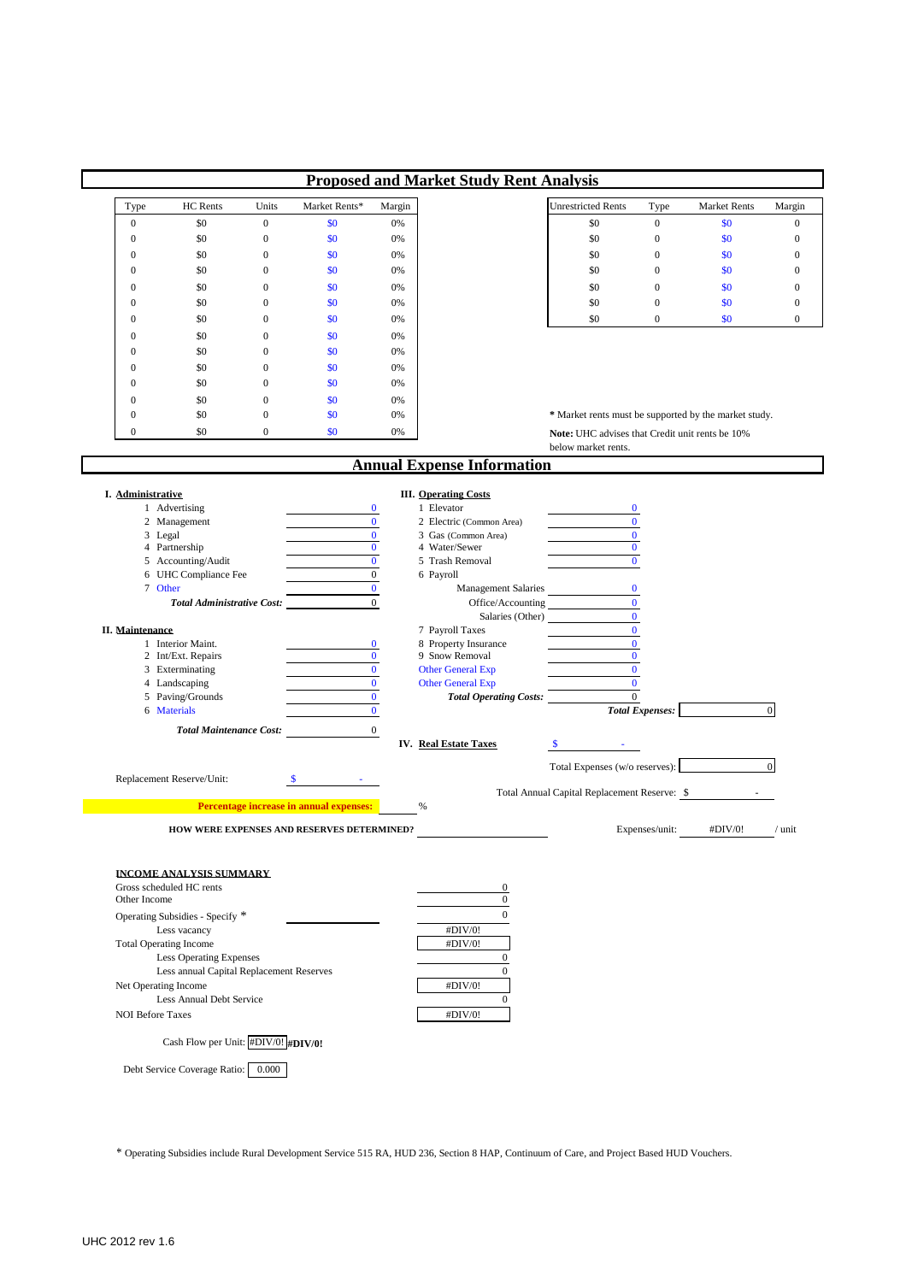|                               |                                          |                  | <b>Proposed and Market Study Rent Analysis</b> |                      |                                           |                                                       |                        |              |                  |
|-------------------------------|------------------------------------------|------------------|------------------------------------------------|----------------------|-------------------------------------------|-------------------------------------------------------|------------------------|--------------|------------------|
| Type                          | HC Rents                                 | Units            | Market Rents*                                  | Margin               |                                           | <b>Unrestricted Rents</b>                             | Type                   | Market Rents | Margin           |
| $\boldsymbol{0}$              | \$0                                      | $\mathbf{0}$     | \$0                                            | 0%                   |                                           | \$0                                                   | $\overline{0}$         | \$0          | $\boldsymbol{0}$ |
| $\boldsymbol{0}$              | \$0                                      | $\boldsymbol{0}$ | \$0                                            | 0%                   |                                           | \$0                                                   | $\boldsymbol{0}$       | \$0          | $\boldsymbol{0}$ |
| $\boldsymbol{0}$              | \$0                                      | $\boldsymbol{0}$ | \$0                                            | 0%                   |                                           | \$0                                                   | $\boldsymbol{0}$       | \$0          | $\mathbf{0}$     |
| $\boldsymbol{0}$              | \$0                                      | $\boldsymbol{0}$ | \$0                                            | 0%                   |                                           | \$0                                                   | $\boldsymbol{0}$       | \$0          | $\mathbf{0}$     |
| $\boldsymbol{0}$              | \$0                                      | $\mathbf{0}$     | \$0                                            | 0%                   |                                           | \$0                                                   | $\mathbf{0}$           | \$0          | $\mathbf{0}$     |
| $\overline{0}$                | \$0                                      | $\mathbf{0}$     | \$0                                            | 0%                   |                                           | \$0                                                   | $\mathbf{0}$           | \$0          | $\mathbf{0}$     |
| $\mathbf{0}$                  | \$0                                      | $\mathbf{0}$     | \$0                                            | 0%                   |                                           | \$0                                                   | $\mathbf{0}$           | \$0          | $\mathbf{0}$     |
| $\theta$                      | \$0                                      | $\mathbf{0}$     | \$0                                            | 0%                   |                                           |                                                       |                        |              |                  |
| $\theta$                      | \$0                                      | $\mathbf{0}$     | \$0                                            | 0%                   |                                           |                                                       |                        |              |                  |
| $\mathbf{0}$                  | \$0                                      | $\mathbf{0}$     | \$0                                            | 0%                   |                                           |                                                       |                        |              |                  |
| $\theta$                      | \$0                                      | $\mathbf{0}$     | \$0                                            | 0%                   |                                           |                                                       |                        |              |                  |
| $\theta$                      | \$0                                      | $\mathbf{0}$     | \$0                                            | 0%                   |                                           |                                                       |                        |              |                  |
| $\overline{0}$                | \$0                                      | $\mathbf{0}$     | \$0                                            | 0%                   |                                           | * Market rents must be supported by the market study. |                        |              |                  |
| $\mathbf{0}$                  | \$0                                      | $\mathbf{0}$     | \$0                                            | 0%                   |                                           | Note: UHC advises that Credit unit rents be 10%       |                        |              |                  |
|                               |                                          |                  |                                                |                      |                                           | below market rents.                                   |                        |              |                  |
|                               |                                          |                  |                                                |                      | <b>Annual Expense Information</b>         |                                                       |                        |              |                  |
|                               |                                          |                  |                                                |                      |                                           |                                                       |                        |              |                  |
| I. Administrative             |                                          |                  |                                                |                      | <b>III.</b> Operating Costs<br>1 Elevator |                                                       |                        |              |                  |
|                               | 1 Advertising<br>2 Management            |                  |                                                | $\bf{0}$<br>$\bf{0}$ | 2 Electric (Common Area)                  |                                                       | $\bf{0}$<br>$\bf{0}$   |              |                  |
| 3 Legal                       |                                          |                  |                                                | $\bf{0}$             | 3 Gas (Common Area)                       |                                                       | $\bf{0}$               |              |                  |
| 4 Partnership                 |                                          |                  |                                                | $\mathbf{0}$         | 4 Water/Sewer                             |                                                       | $\bf{0}$               |              |                  |
|                               | 5 Accounting/Audit                       |                  |                                                | $\mathbf{0}$         | 5 Trash Removal                           |                                                       | $\mathbf{0}$           |              |                  |
|                               | 6 UHC Compliance Fee                     |                  |                                                | $\mathbf{0}$         | 6 Payroll                                 |                                                       |                        |              |                  |
| 7 Other                       |                                          |                  |                                                | $\bf{0}$             | <b>Management Salaries</b>                |                                                       | $\bf{0}$               |              |                  |
|                               | <b>Total Administrative Cost:</b>        |                  |                                                | $\mathbf{0}$         | Office/Accounting                         |                                                       | $\bf{0}$               |              |                  |
|                               |                                          |                  |                                                |                      |                                           | Salaries (Other)                                      | $\bf{0}$               |              |                  |
| <b>II.</b> Maintenance        | 1 Interior Maint.                        |                  |                                                | $\bf{0}$             | 7 Payroll Taxes<br>8 Property Insurance   |                                                       | $\bf{0}$<br>$\bf{0}$   |              |                  |
|                               | 2 Int/Ext. Repairs                       |                  |                                                | $\bf{0}$             | 9 Snow Removal                            |                                                       | $\bf{0}$               |              |                  |
|                               | 3 Exterminating                          |                  |                                                | $\mathbf{0}$         | <b>Other General Exp</b>                  |                                                       | $\Omega$               |              |                  |
|                               | 4 Landscaping                            |                  |                                                | $\bf{0}$             | <b>Other General Exp</b>                  |                                                       | $\mathbf{0}$           |              |                  |
|                               | 5 Paving/Grounds                         |                  |                                                | $\bf{0}$             | <b>Total Operating Costs:</b>             |                                                       | $\overline{0}$         |              |                  |
| 6 Materials                   |                                          |                  |                                                | $\bf{0}$             |                                           |                                                       | <b>Total Expenses:</b> |              | $\boldsymbol{0}$ |
|                               | <b>Total Maintenance Cost:</b>           |                  |                                                | $\boldsymbol{0}$     |                                           |                                                       |                        |              |                  |
|                               |                                          |                  |                                                |                      | <b>IV.</b> Real Estate Taxes              | -S                                                    |                        |              |                  |
|                               |                                          |                  |                                                |                      |                                           | Total Expenses (w/o reserves):                        |                        |              | $\overline{0}$   |
| Replacement Reserve/Unit:     |                                          |                  | \$.                                            |                      |                                           |                                                       |                        |              |                  |
|                               |                                          |                  |                                                |                      |                                           | Total Annual Capital Replacement Reserve: \$          |                        |              |                  |
|                               |                                          |                  | Percentage increase in annual expenses:        |                      | $\%$                                      |                                                       |                        |              |                  |
|                               |                                          |                  | HOW WERE EXPENSES AND RESERVES DETERMINED?     |                      |                                           |                                                       | Expenses/unit:         | #DIV/0!      | $/$ unit         |
|                               |                                          |                  |                                                |                      |                                           |                                                       |                        |              |                  |
|                               |                                          |                  |                                                |                      |                                           |                                                       |                        |              |                  |
| Gross scheduled HC rents      | <b>INCOME ANALYSIS SUMMARY</b>           |                  |                                                |                      |                                           |                                                       |                        |              |                  |
| Other Income                  |                                          |                  |                                                |                      | $\boldsymbol{0}$<br>$\boldsymbol{0}$      |                                                       |                        |              |                  |
|                               | Operating Subsidies - Specify *          |                  |                                                |                      | $\boldsymbol{0}$                          |                                                       |                        |              |                  |
|                               | Less vacancy                             |                  |                                                |                      | #DIV/0!                                   |                                                       |                        |              |                  |
| <b>Total Operating Income</b> |                                          |                  |                                                |                      | #DIV/0!                                   |                                                       |                        |              |                  |
|                               | <b>Less Operating Expenses</b>           |                  |                                                |                      | $\boldsymbol{0}$                          |                                                       |                        |              |                  |
|                               | Less annual Capital Replacement Reserves |                  |                                                |                      | $\overline{0}$                            |                                                       |                        |              |                  |
| Net Operating Income          |                                          |                  |                                                |                      | #DIV/0!                                   |                                                       |                        |              |                  |
|                               | Less Annual Debt Service                 |                  |                                                |                      | $\mathbf{0}$                              |                                                       |                        |              |                  |
| <b>NOI Before Taxes</b>       |                                          |                  |                                                |                      | #DIV/0!                                   |                                                       |                        |              |                  |
|                               |                                          |                  |                                                |                      |                                           |                                                       |                        |              |                  |
|                               | Cash Flow per Unit: #DIV/0! #DIV/0!      |                  |                                                |                      |                                           |                                                       |                        |              |                  |
|                               | Debt Service Coverage Ratio:             | 0.000            |                                                |                      |                                           |                                                       |                        |              |                  |
|                               |                                          |                  |                                                |                      |                                           |                                                       |                        |              |                  |

\* Operating Subsidies include Rural Development Service 515 RA, HUD 236, Section 8 HAP, Continuum of Care, and Project Based HUD Vouchers.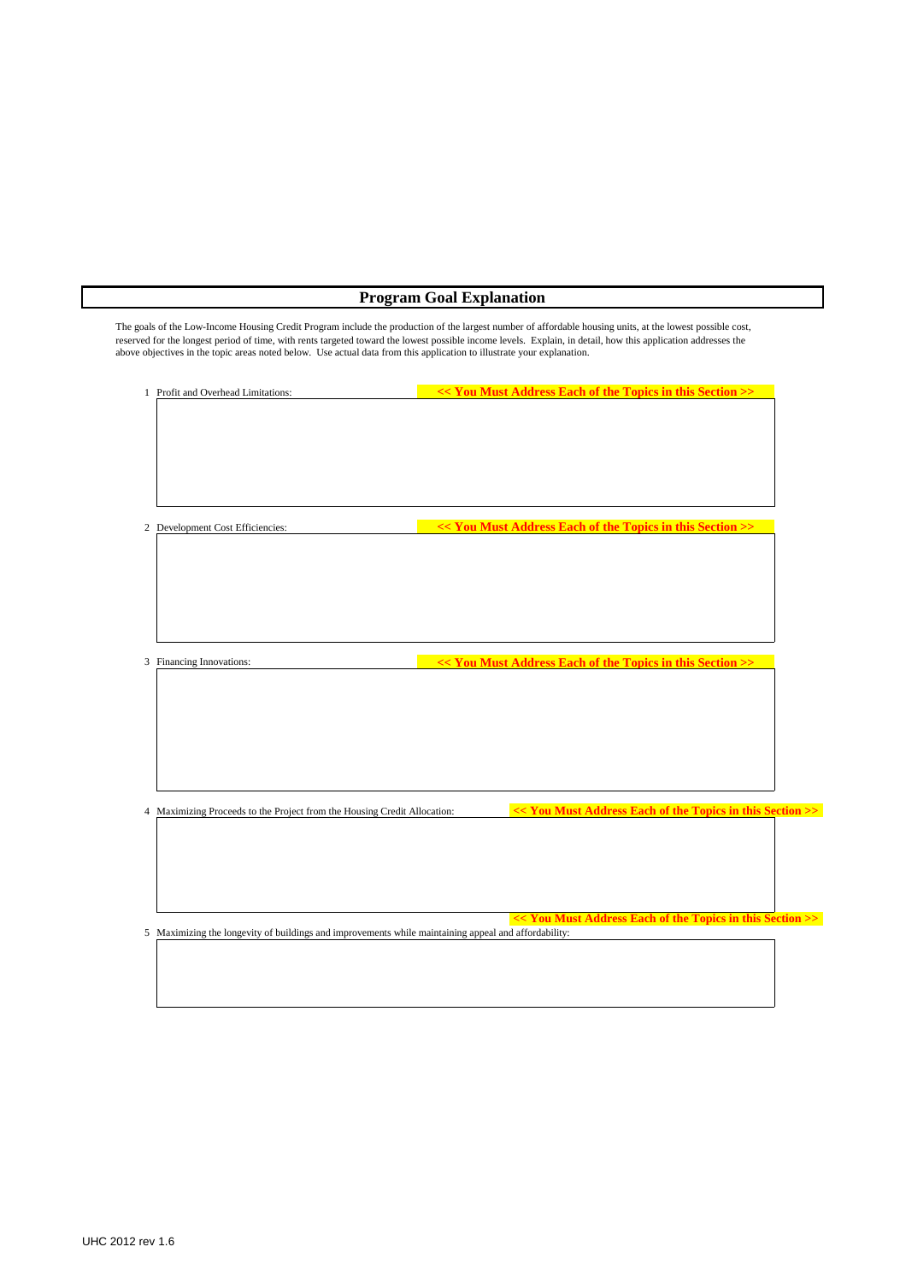## **Program Goal Explanation**

The goals of the Low-Income Housing Credit Program include the production of the largest number of affordable housing units, at the lowest possible cost, reserved for the longest period of time, with rents targeted toward the lowest possible income levels. Explain, in detail, how this application addresses the above objectives in the topic areas noted below. Use actual data from this application to illustrate your explanation.

| 1 Profit and Overhead Limitations:                                                                   | << You Must Address Each of the Topics in this Section >> |  |
|------------------------------------------------------------------------------------------------------|-----------------------------------------------------------|--|
|                                                                                                      |                                                           |  |
|                                                                                                      |                                                           |  |
|                                                                                                      |                                                           |  |
|                                                                                                      |                                                           |  |
|                                                                                                      |                                                           |  |
|                                                                                                      |                                                           |  |
|                                                                                                      |                                                           |  |
| 2 Development Cost Efficiencies:                                                                     | << You Must Address Each of the Topics in this Section >> |  |
|                                                                                                      |                                                           |  |
|                                                                                                      |                                                           |  |
|                                                                                                      |                                                           |  |
|                                                                                                      |                                                           |  |
|                                                                                                      |                                                           |  |
|                                                                                                      |                                                           |  |
|                                                                                                      |                                                           |  |
| 3 Financing Innovations:                                                                             | << You Must Address Each of the Topics in this Section >> |  |
|                                                                                                      |                                                           |  |
|                                                                                                      |                                                           |  |
|                                                                                                      |                                                           |  |
|                                                                                                      |                                                           |  |
|                                                                                                      |                                                           |  |
|                                                                                                      |                                                           |  |
|                                                                                                      |                                                           |  |
| 4 Maximizing Proceeds to the Project from the Housing Credit Allocation:                             | << You Must Address Each of the Topics in this Section >> |  |
|                                                                                                      |                                                           |  |
|                                                                                                      |                                                           |  |
|                                                                                                      |                                                           |  |
|                                                                                                      |                                                           |  |
|                                                                                                      |                                                           |  |
|                                                                                                      |                                                           |  |
|                                                                                                      | << You Must Address Each of the Topics in this Section >> |  |
| 5 Maximizing the longevity of buildings and improvements while maintaining appeal and affordability: |                                                           |  |
|                                                                                                      |                                                           |  |
|                                                                                                      |                                                           |  |
|                                                                                                      |                                                           |  |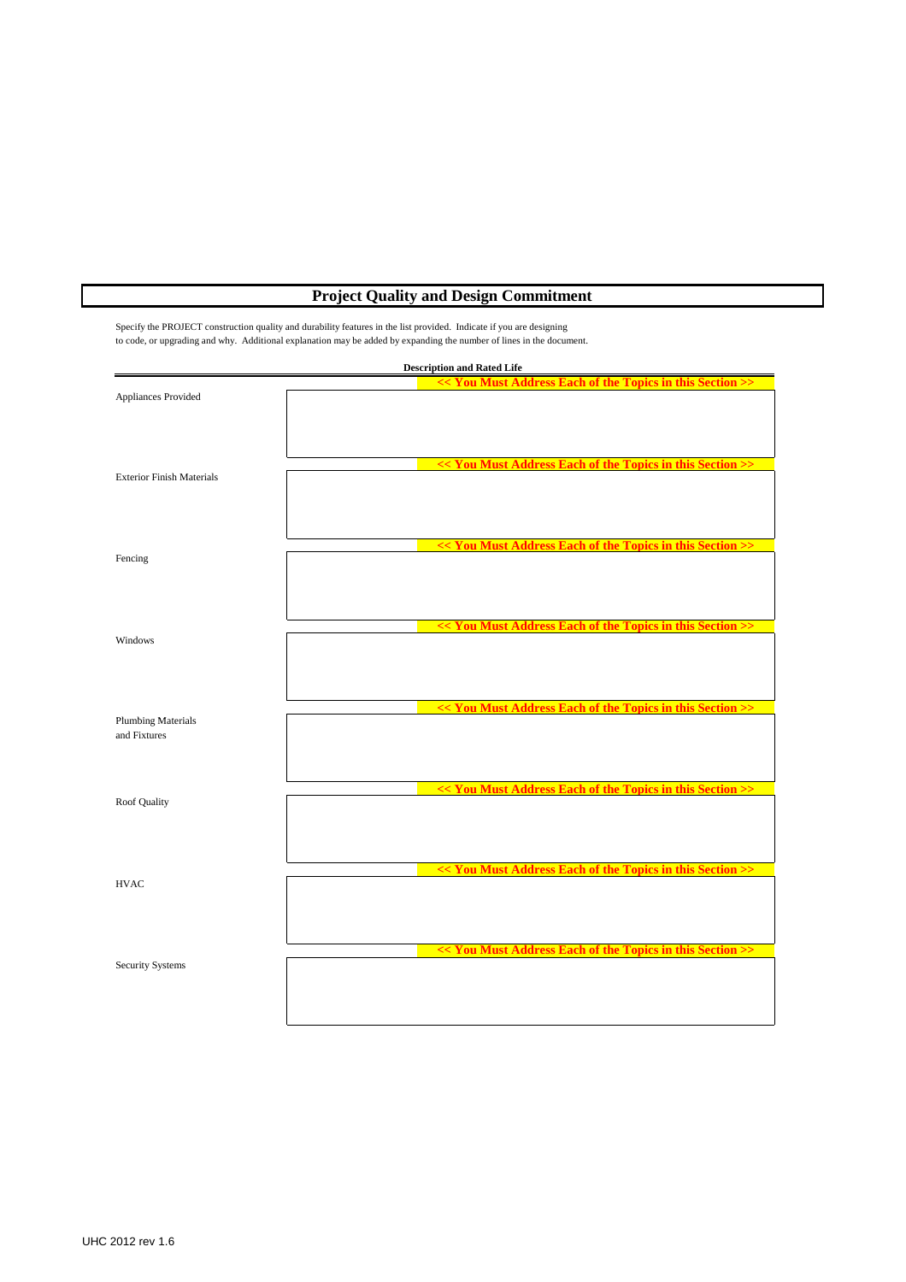## **Project Quality and Design Commitment**

Specify the PROJECT construction quality and durability features in the list provided. Indicate if you are designing to code, or upgrading and why. Additional explanation may be added by expanding the number of lines in the document.

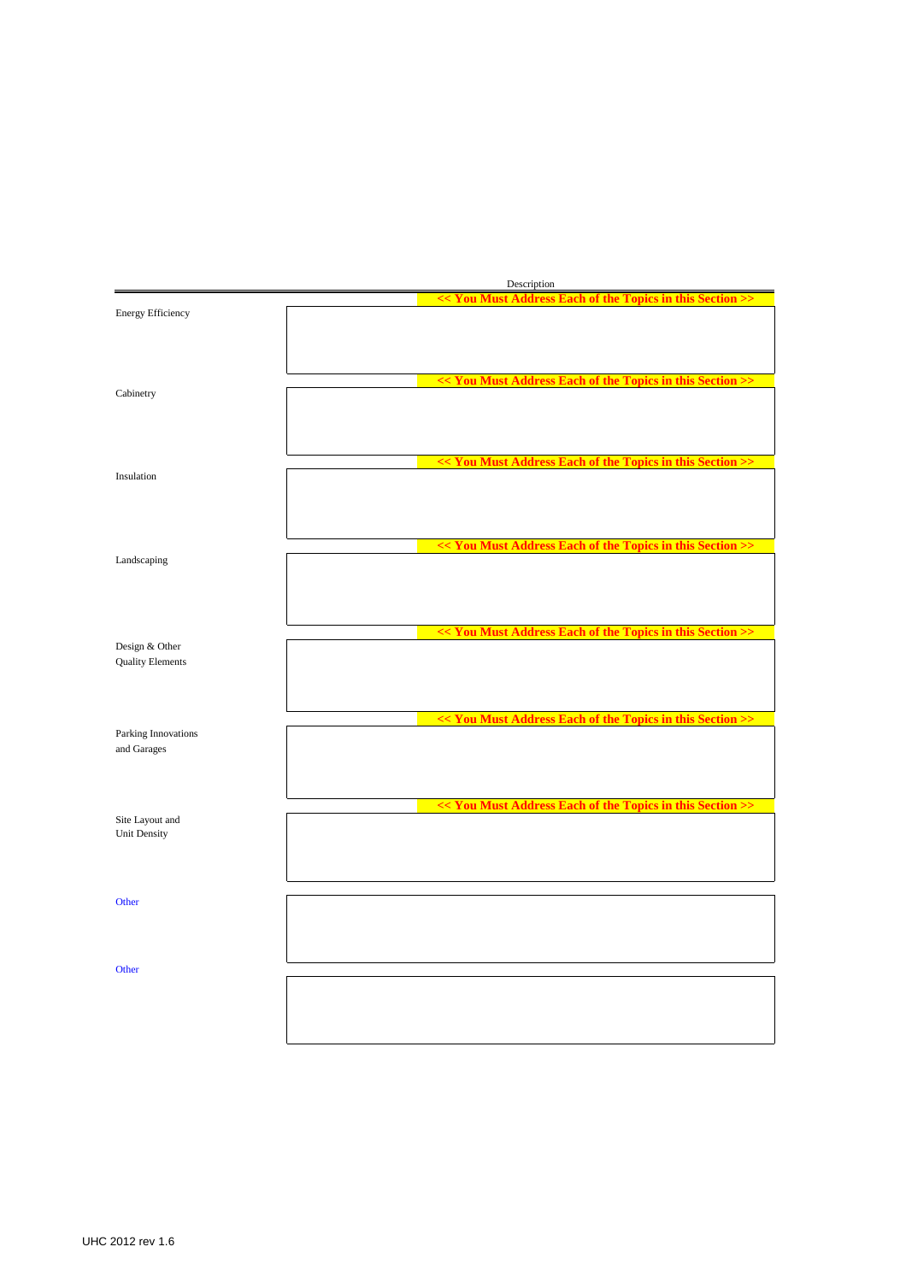|                          | Description                                               |
|--------------------------|-----------------------------------------------------------|
|                          | << You Must Address Each of the Topics in this Section >> |
| <b>Energy Efficiency</b> |                                                           |
|                          |                                                           |
|                          |                                                           |
|                          |                                                           |
|                          | << You Must Address Each of the Topics in this Section >  |
| Cabinetry                |                                                           |
|                          |                                                           |
|                          |                                                           |
|                          |                                                           |
|                          |                                                           |
|                          | << You Must Address Each of the Topics in this Section >> |
| Insulation               |                                                           |
|                          |                                                           |
|                          |                                                           |
|                          |                                                           |
|                          | << You Must Address Each of the Topics in this Section >> |
| Landscaping              |                                                           |
|                          |                                                           |
|                          |                                                           |
|                          |                                                           |
|                          |                                                           |
|                          | << You Must Address Each of the Topics in this Section >> |
| Design & Other           |                                                           |
| <b>Quality Elements</b>  |                                                           |
|                          |                                                           |
|                          |                                                           |
|                          |                                                           |
|                          | << You Must Address Each of the Topics in this Section >> |
| Parking Innovations      |                                                           |
| and Garages              |                                                           |
|                          |                                                           |
|                          |                                                           |
|                          |                                                           |
|                          | << You Must Address Each of the Topics in this Section >> |
| Site Layout and          |                                                           |
| <b>Unit Density</b>      |                                                           |
|                          |                                                           |
|                          |                                                           |
|                          |                                                           |
| Other                    |                                                           |
|                          |                                                           |
|                          |                                                           |
|                          |                                                           |
|                          |                                                           |
| Other                    |                                                           |
|                          |                                                           |
|                          |                                                           |
|                          |                                                           |
|                          |                                                           |
|                          |                                                           |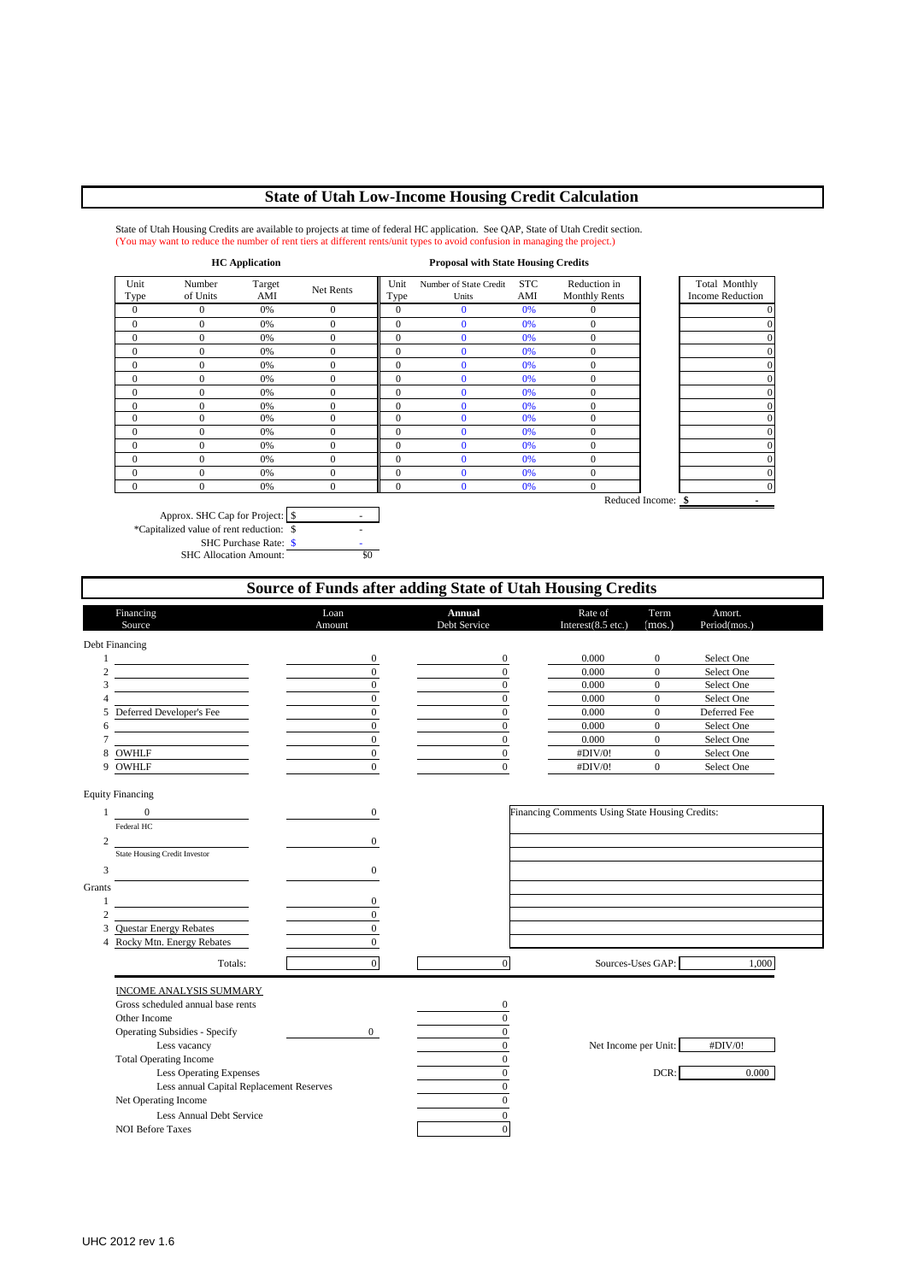# **State of Utah Low-Income Housing Credit Calculation**

State of Utah Housing Credits are available to projects at time of federal HC application. See QAP, State of Utah Credit section. (You may want to reduce the number of rent tiers at different rents/unit types to avoid confusion in managing the project.)

|                  |                    | <b>HC</b> Application |              |              | <b>Proposal with State Housing Credits</b> |                   |                                      |                    |                                          |
|------------------|--------------------|-----------------------|--------------|--------------|--------------------------------------------|-------------------|--------------------------------------|--------------------|------------------------------------------|
| Unit<br>Type     | Number<br>of Units | Target<br>AMI         | Net Rents    | Unit<br>Type | Number of State Credit<br>Units            | <b>STC</b><br>AMI | Reduction in<br><b>Monthly Rents</b> |                    | Total Monthly<br><b>Income Reduction</b> |
| $\boldsymbol{0}$ | $\mathbf{0}$       | 0%                    | $\mathbf{0}$ | $\mathbf{0}$ | $\Omega$                                   | 0%                | 0                                    |                    |                                          |
| $\mathbf{0}$     | $\Omega$           | 0%                    | $\mathbf{0}$ | $\mathbf{0}$ | $\Omega$                                   | 0%                | $\mathbf{0}$                         |                    |                                          |
| $\mathbf{0}$     | $\mathbf{0}$       | 0%                    | $\mathbf{0}$ | $\mathbf{0}$ | $\Omega$                                   | 0%                | $\boldsymbol{0}$                     |                    |                                          |
| $\mathbf{0}$     | $\Omega$           | 0%                    | $\mathbf{0}$ | $\mathbf{0}$ | $\Omega$                                   | 0%                | $\boldsymbol{0}$                     |                    |                                          |
| $\Omega$         | $\Omega$           | 0%                    | $\mathbf{0}$ | $\Omega$     | $\Omega$                                   | 0%                | $\boldsymbol{0}$                     |                    |                                          |
| $\mathbf{0}$     | $\Omega$           | 0%                    | $\mathbf{0}$ | 0            | $\Omega$                                   | 0%                | $\boldsymbol{0}$                     |                    |                                          |
| $\Omega$         | $\Omega$           | 0%                    | $\mathbf{0}$ | $\Omega$     |                                            | 0%                | $\Omega$                             |                    |                                          |
| $\theta$         | $\Omega$           | 0%                    | $\mathbf{0}$ | 0            |                                            | 0%                | 0                                    |                    |                                          |
| $\mathbf{0}$     | $\Omega$           | 0%                    | $\mathbf{0}$ | $\mathbf{0}$ | $\Omega$                                   | 0%                | $\mathbf{0}$                         |                    |                                          |
| 0                | $\Omega$           | 0%                    | $\mathbf{0}$ | $\mathbf{0}$ | $\Omega$                                   | 0%                | $\mathbf{0}$                         |                    |                                          |
| $\Omega$         | $\Omega$           | 0%                    | $\mathbf{0}$ | $\Omega$     |                                            | 0%                | $\Omega$                             |                    |                                          |
| $\Omega$         | $\Omega$           | 0%                    | $\mathbf{0}$ | $\Omega$     |                                            | 0%                | $\Omega$                             |                    |                                          |
| $\mathbf{0}$     | $\Omega$           | 0%                    | $\mathbf{0}$ | $\Omega$     | $\Omega$                                   | 0%                | $\mathbf{0}$                         |                    |                                          |
| $\mathbf{0}$     | $\mathbf{0}$       | 0%                    | $\mathbf{0}$ | $\Omega$     | $\mathbf{0}$                               | 0%                | $\Omega$                             |                    |                                          |
|                  |                    |                       |              |              |                                            |                   |                                      | Reduced Income: \$ |                                          |

Approx. SHC Cap for Project:  $\frac{1}{2}$   $\frac{1}{2}$   $\frac{1}{2}$   $\frac{1}{2}$   $\frac{1}{2}$   $\frac{1}{2}$   $\frac{1}{2}$   $\frac{1}{2}$   $\frac{1}{2}$   $\frac{1}{2}$   $\frac{1}{2}$   $\frac{1}{2}$   $\frac{1}{2}$   $\frac{1}{2}$   $\frac{1}{2}$   $\frac{1}{2}$   $\frac{1}{2}$   $\frac{1}{2}$   $\frac{1}{2}$   $\$ \*Capitalized value of rent reduction: \$ - 0 SHC Purchase Rate: \$ SHC Allocation Amount: \$0

|                                                                                                                             |                | <b>Source of Funds after adding State of Utah Housing Credits</b> |                                                 |                   |                        |
|-----------------------------------------------------------------------------------------------------------------------------|----------------|-------------------------------------------------------------------|-------------------------------------------------|-------------------|------------------------|
| Financing<br>Source                                                                                                         | Loan<br>Amount | Annual<br>Debt Service                                            | Rate of<br>Interest $(8.5$ etc.)                | Term<br>(mos.)    | Amort.<br>Period(mos.) |
| Debt Financing                                                                                                              |                |                                                                   |                                                 |                   |                        |
| 1<br><u> 1999 - Alexandr Alexandr Alexandr Alexandr Alexandr Alexandr Alexandr Alexandr Alexandr Alexandr Alexandr Alex</u> | $\bf{0}$       | $\bf{0}$                                                          | 0.000                                           | $\boldsymbol{0}$  | Select One             |
| $\overline{2}$                                                                                                              | $\mathbf{0}$   | $\mathbf{0}$                                                      | 0.000                                           | $\Omega$          | Select One             |
| 3                                                                                                                           | $\Omega$       | $\Omega$                                                          | 0.000                                           | $\Omega$          | Select One             |
| 4                                                                                                                           | $\overline{0}$ | $\boldsymbol{0}$                                                  | 0.000                                           | $\mathbf{0}$      | Select One             |
| Deferred Developer's Fee<br>5                                                                                               | $\Omega$       | $\mathbf{0}$                                                      | 0.000                                           | $\Omega$          | Deferred Fee           |
| 6                                                                                                                           | $\Omega$       | $\boldsymbol{0}$                                                  | 0.000                                           | $\mathbf{0}$      | Select One             |
| 7                                                                                                                           | $\mathbf{0}$   | $\mathbf{0}$                                                      | 0.000                                           | $\Omega$          | Select One             |
| OWHLF<br>8                                                                                                                  | $\bf{0}$       | $\mathbf 0$                                                       | #DIV/0!                                         | $\boldsymbol{0}$  | Select One             |
| OWHLF<br>9                                                                                                                  | $\Omega$       | $\mathbf{0}$                                                      | #DIV/0!                                         | $\Omega$          | Select One             |
| <b>Equity Financing</b>                                                                                                     |                |                                                                   |                                                 |                   |                        |
| $\mathbf{1}$<br>$\mathbf{0}$                                                                                                | 0              |                                                                   | Financing Comments Using State Housing Credits: |                   |                        |
| Federal HC                                                                                                                  |                |                                                                   |                                                 |                   |                        |
| $\overline{2}$                                                                                                              | $\mathbf{0}$   |                                                                   |                                                 |                   |                        |
| <b>State Housing Credit Investor</b>                                                                                        |                |                                                                   |                                                 |                   |                        |
| 3                                                                                                                           | $\Omega$       |                                                                   |                                                 |                   |                        |
| Grants                                                                                                                      |                |                                                                   |                                                 |                   |                        |
| $\mathbf{1}$                                                                                                                | $\mathbf{0}$   |                                                                   |                                                 |                   |                        |
| $\overline{2}$                                                                                                              | $\mathbf{0}$   |                                                                   |                                                 |                   |                        |
| Questar Energy Rebates<br>3                                                                                                 | $\mathbf{0}$   |                                                                   |                                                 |                   |                        |
| Rocky Mtn. Energy Rebates<br>$\overline{4}$                                                                                 | $\Omega$       |                                                                   |                                                 |                   |                        |
| Totals:                                                                                                                     | $\mathbf{0}$   | $\mathbf{0}$                                                      |                                                 | Sources-Uses GAP: | 1,000                  |
| INCOME ANALYSIS SUMMARY                                                                                                     |                |                                                                   |                                                 |                   |                        |
| Gross scheduled annual base rents                                                                                           |                | $\boldsymbol{0}$                                                  |                                                 |                   |                        |
| Other Income                                                                                                                |                | $\boldsymbol{0}$                                                  |                                                 |                   |                        |
| Operating Subsidies - Specify                                                                                               | $\mathbf{0}$   | $\boldsymbol{0}$                                                  |                                                 |                   |                        |
| Less vacancy                                                                                                                |                | $\mathbf{0}$                                                      | Net Income per Unit:                            |                   | #DIV/0!                |
| <b>Total Operating Income</b>                                                                                               |                | $\mathbf{0}$                                                      |                                                 |                   |                        |
| Less Operating Expenses                                                                                                     |                | $\boldsymbol{0}$                                                  |                                                 | DCR:              | 0.000                  |
| Less annual Capital Replacement Reserves                                                                                    |                | $\boldsymbol{0}$                                                  |                                                 |                   |                        |
| Net Operating Income                                                                                                        |                | $\mathbf{0}$                                                      |                                                 |                   |                        |
| Less Annual Debt Service                                                                                                    |                | $\boldsymbol{0}$                                                  |                                                 |                   |                        |
| <b>NOI Before Taxes</b>                                                                                                     |                | $\boldsymbol{0}$                                                  |                                                 |                   |                        |
|                                                                                                                             |                |                                                                   |                                                 |                   |                        |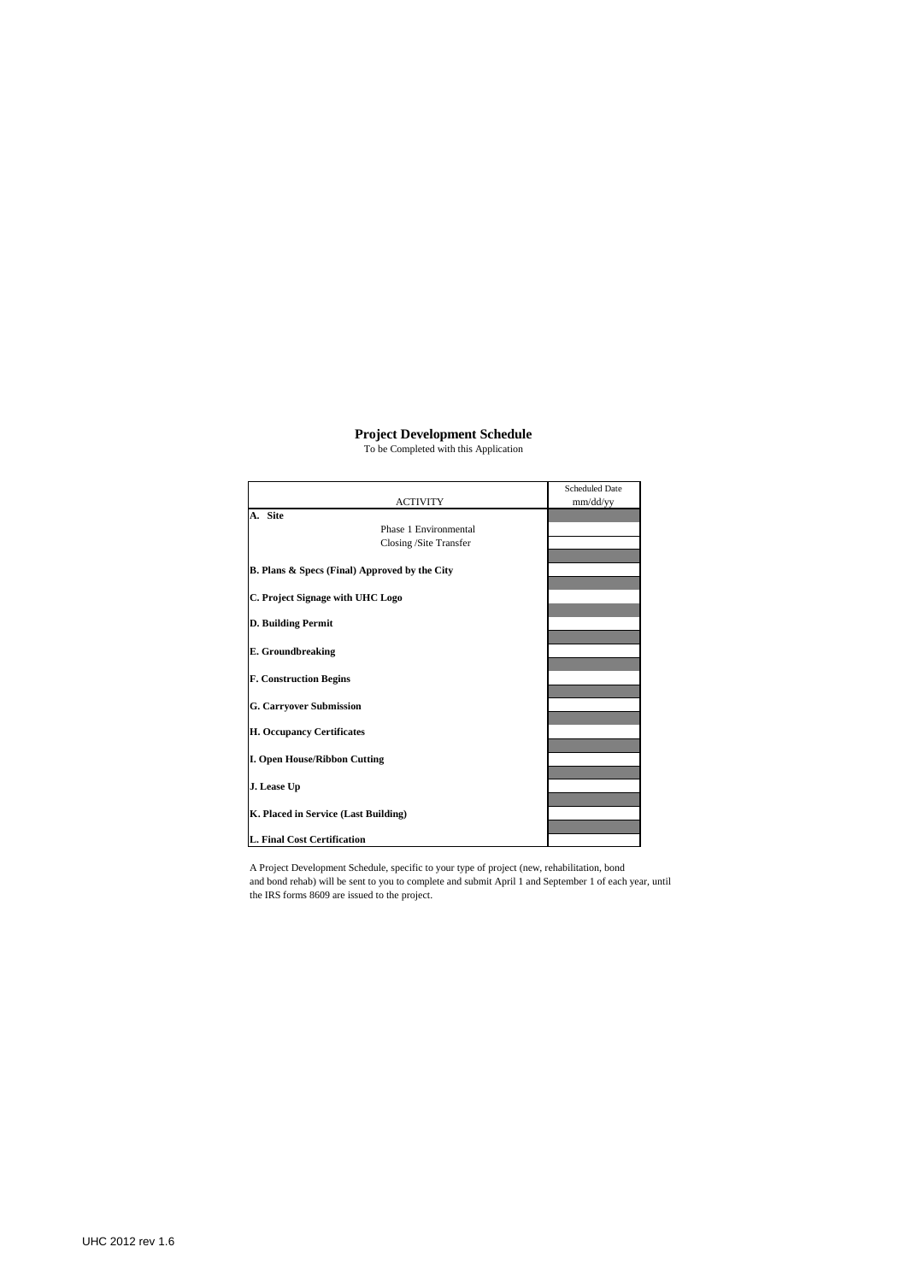#### **Project Development Schedule**

To be Completed with this Application

|                                                          | <b>Scheduled Date</b> |
|----------------------------------------------------------|-----------------------|
| <b>ACTIVITY</b>                                          | mm/dd/yy              |
| A. Site                                                  |                       |
| Phase 1 Environmental                                    |                       |
| Closing /Site Transfer                                   |                       |
|                                                          |                       |
| <b>B. Plans &amp; Specs (Final) Approved by the City</b> |                       |
|                                                          |                       |
| C. Project Signage with UHC Logo                         |                       |
|                                                          |                       |
| <b>D. Building Permit</b>                                |                       |
|                                                          |                       |
| <b>E.</b> Groundbreaking                                 |                       |
|                                                          |                       |
| <b>F. Construction Begins</b>                            |                       |
|                                                          |                       |
| <b>G. Carryover Submission</b>                           |                       |
|                                                          |                       |
| H. Occupancy Certificates                                |                       |
|                                                          |                       |
| <b>I. Open House/Ribbon Cutting</b>                      |                       |
|                                                          |                       |
| J. Lease Up                                              |                       |
|                                                          |                       |
| K. Placed in Service (Last Building)                     |                       |
|                                                          |                       |
| L. Final Cost Certification                              |                       |

A Project Development Schedule, specific to your type of project (new, rehabilitation, bond and bond rehab) will be sent to you to complete and submit April 1 and September 1 of each year, until the IRS forms 8609 are issued to the project.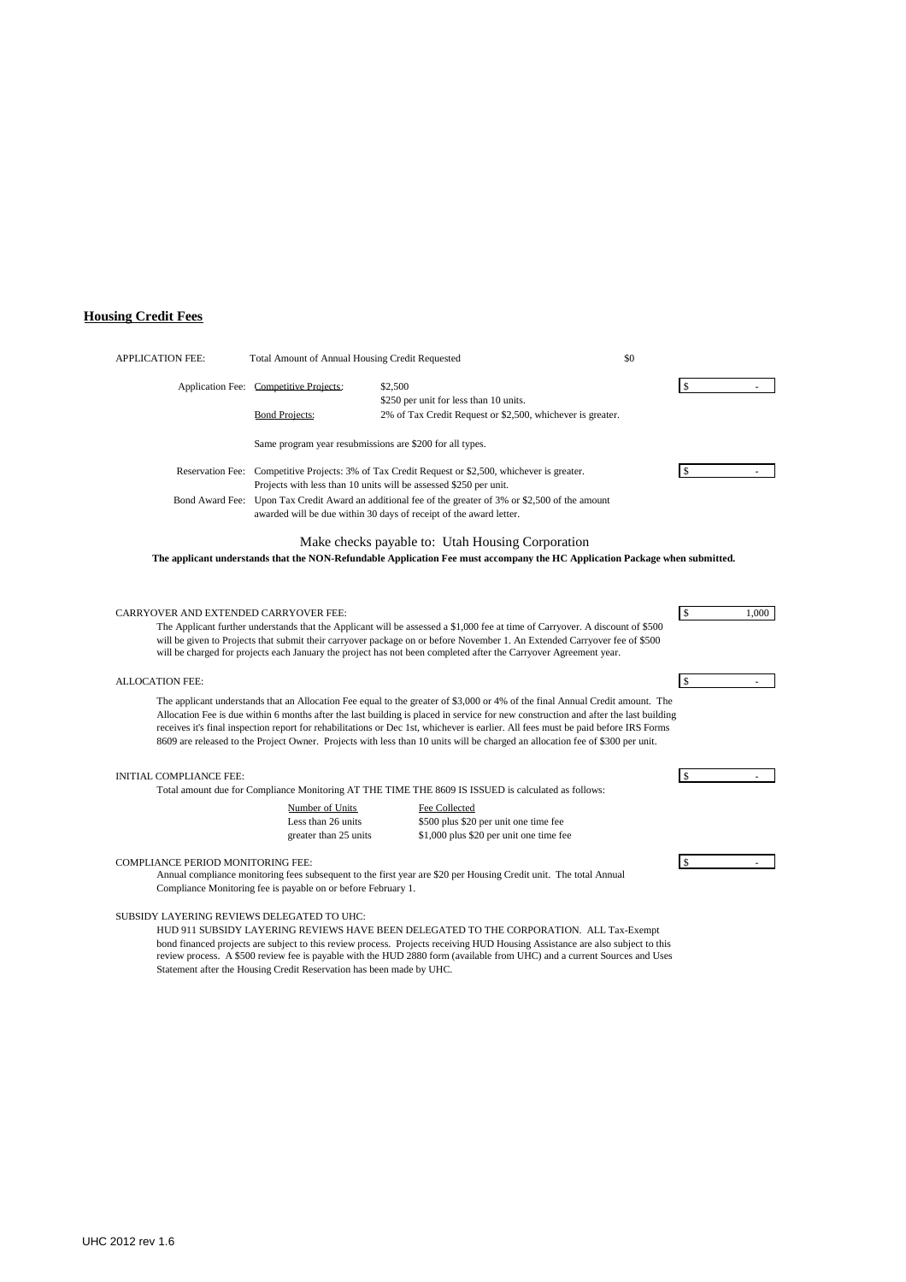### **Housing Credit Fees**

| <b>APPLICATION FEE:</b>                  | Total Amount of Annual Housing Credit Requested                                                                                                                        |                                                                                                                                                                                                                                                                                                                                                                                                                                                                                                                                             | \$0 |               |  |  |  |
|------------------------------------------|------------------------------------------------------------------------------------------------------------------------------------------------------------------------|---------------------------------------------------------------------------------------------------------------------------------------------------------------------------------------------------------------------------------------------------------------------------------------------------------------------------------------------------------------------------------------------------------------------------------------------------------------------------------------------------------------------------------------------|-----|---------------|--|--|--|
|                                          | Application Fee: Competitive Projects:                                                                                                                                 | \$2,500<br>\$250 per unit for less than 10 units.                                                                                                                                                                                                                                                                                                                                                                                                                                                                                           |     |               |  |  |  |
|                                          | <b>Bond Projects:</b>                                                                                                                                                  | 2% of Tax Credit Request or \$2,500, whichever is greater.                                                                                                                                                                                                                                                                                                                                                                                                                                                                                  |     |               |  |  |  |
|                                          |                                                                                                                                                                        | Same program year resubmissions are \$200 for all types.                                                                                                                                                                                                                                                                                                                                                                                                                                                                                    |     |               |  |  |  |
|                                          | Reservation Fee: Competitive Projects: 3% of Tax Credit Request or \$2,500, whichever is greater.<br>Projects with less than 10 units will be assessed \$250 per unit. | S                                                                                                                                                                                                                                                                                                                                                                                                                                                                                                                                           |     |               |  |  |  |
|                                          |                                                                                                                                                                        | Bond Award Fee: Upon Tax Credit Award an additional fee of the greater of 3% or \$2,500 of the amount<br>awarded will be due within 30 days of receipt of the award letter.                                                                                                                                                                                                                                                                                                                                                                 |     |               |  |  |  |
|                                          |                                                                                                                                                                        | Make checks payable to: Utah Housing Corporation                                                                                                                                                                                                                                                                                                                                                                                                                                                                                            |     |               |  |  |  |
|                                          |                                                                                                                                                                        | The applicant understands that the NON-Refundable Application Fee must accompany the HC Application Package when submitted.                                                                                                                                                                                                                                                                                                                                                                                                                 |     |               |  |  |  |
|                                          |                                                                                                                                                                        |                                                                                                                                                                                                                                                                                                                                                                                                                                                                                                                                             |     |               |  |  |  |
| CARRYOVER AND EXTENDED CARRYOVER FEE:    |                                                                                                                                                                        |                                                                                                                                                                                                                                                                                                                                                                                                                                                                                                                                             |     | \$<br>1.000   |  |  |  |
|                                          |                                                                                                                                                                        | The Applicant further understands that the Applicant will be assessed a \$1,000 fee at time of Carryover. A discount of \$500<br>will be given to Projects that submit their carryover package on or before November 1. An Extended Carryover fee of \$500<br>will be charged for projects each January the project has not been completed after the Carryover Agreement year.                                                                                                                                                              |     |               |  |  |  |
| <b>ALLOCATION FEE:</b>                   |                                                                                                                                                                        |                                                                                                                                                                                                                                                                                                                                                                                                                                                                                                                                             |     | $\mathcal{S}$ |  |  |  |
|                                          |                                                                                                                                                                        | The applicant understands that an Allocation Fee equal to the greater of \$3,000 or 4% of the final Annual Credit amount. The<br>Allocation Fee is due within 6 months after the last building is placed in service for new construction and after the last building<br>receives it's final inspection report for rehabilitations or Dec 1st, whichever is earlier. All fees must be paid before IRS Forms<br>8609 are released to the Project Owner. Projects with less than 10 units will be charged an allocation fee of \$300 per unit. |     |               |  |  |  |
| <b>INITIAL COMPLIANCE FEE:</b>           |                                                                                                                                                                        |                                                                                                                                                                                                                                                                                                                                                                                                                                                                                                                                             |     | <sup>\$</sup> |  |  |  |
|                                          |                                                                                                                                                                        | Total amount due for Compliance Monitoring AT THE TIME THE 8609 IS ISSUED is calculated as follows:                                                                                                                                                                                                                                                                                                                                                                                                                                         |     |               |  |  |  |
|                                          | Number of Units<br>Less than 26 units<br>greater than 25 units                                                                                                         | Fee Collected<br>\$500 plus \$20 per unit one time fee<br>\$1,000 plus \$20 per unit one time fee                                                                                                                                                                                                                                                                                                                                                                                                                                           |     |               |  |  |  |
|                                          |                                                                                                                                                                        |                                                                                                                                                                                                                                                                                                                                                                                                                                                                                                                                             |     |               |  |  |  |
| <b>COMPLIANCE PERIOD MONITORING FEE:</b> | Compliance Monitoring fee is payable on or before February 1.                                                                                                          | Annual compliance monitoring fees subsequent to the first year are \$20 per Housing Credit unit. The total Annual                                                                                                                                                                                                                                                                                                                                                                                                                           |     |               |  |  |  |

#### SUBSIDY LAYERING REVIEWS DELEGATED TO UHC:

HUD 911 SUBSIDY LAYERING REVIEWS HAVE BEEN DELEGATED TO THE CORPORATION. ALL Tax-Exempt bond financed projects are subject to this review process. Projects receiving HUD Housing Assistance are also subject to this review process. A \$500 review fee is payable with the HUD 2880 form (available from UHC) and a current Sources and Uses Statement after the Housing Credit Reservation has been made by UHC.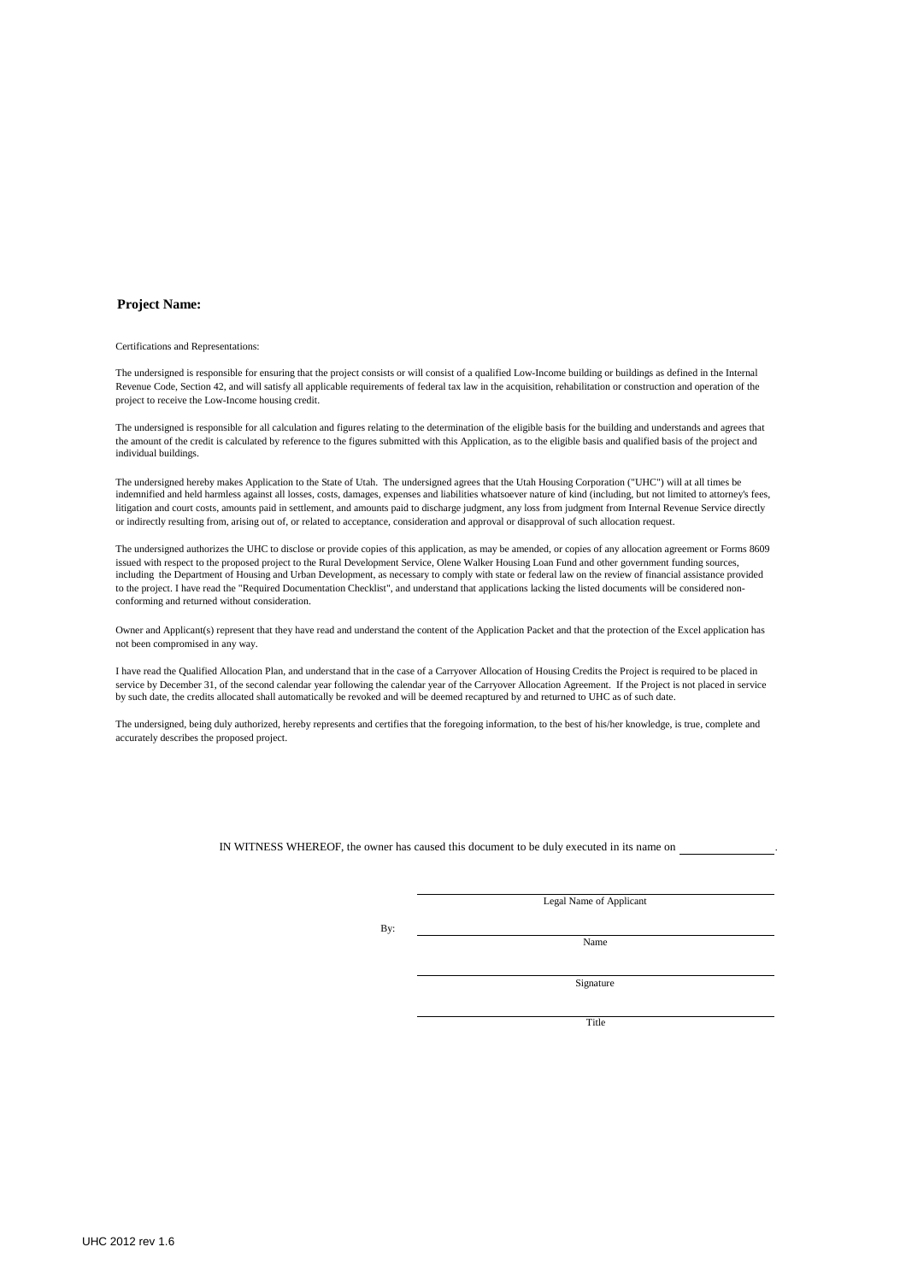#### **Project Name:**

#### Certifications and Representations:

The undersigned is responsible for ensuring that the project consists or will consist of a qualified Low-Income building or buildings as defined in the Internal Revenue Code, Section 42, and will satisfy all applicable requirements of federal tax law in the acquisition, rehabilitation or construction and operation of the project to receive the Low-Income housing credit.

The undersigned is responsible for all calculation and figures relating to the determination of the eligible basis for the building and understands and agrees that the amount of the credit is calculated by reference to the figures submitted with this Application, as to the eligible basis and qualified basis of the project and individual buildings.

The undersigned hereby makes Application to the State of Utah. The undersigned agrees that the Utah Housing Corporation ("UHC") will at all times be indemnified and held harmless against all losses, costs, damages, expenses and liabilities whatsoever nature of kind (including, but not limited to attorney's fees, litigation and court costs, amounts paid in settlement, and amounts paid to discharge judgment, any loss from judgment from Internal Revenue Service directly or indirectly resulting from, arising out of, or related to acceptance, consideration and approval or disapproval of such allocation request.

The undersigned authorizes the UHC to disclose or provide copies of this application, as may be amended, or copies of any allocation agreement or Forms 8609 issued with respect to the proposed project to the Rural Development Service, Olene Walker Housing Loan Fund and other government funding sources, including the Department of Housing and Urban Development, as necessary to comply with state or federal law on the review of financial assistance provided to the project. I have read the "Required Documentation Checklist", and understand that applications lacking the listed documents will be considered nonconforming and returned without consideration.

Owner and Applicant(s) represent that they have read and understand the content of the Application Packet and that the protection of the Excel application has not been compromised in any way.

I have read the Qualified Allocation Plan, and understand that in the case of a Carryover Allocation of Housing Credits the Project is required to be placed in service by December 31, of the second calendar year following the calendar year of the Carryover Allocation Agreement. If the Project is not placed in service by such date, the credits allocated shall automatically be revoked and will be deemed recaptured by and returned to UHC as of such date.

The undersigned, being duly authorized, hereby represents and certifies that the foregoing information, to the best of his/her knowledge, is true, complete and accurately describes the proposed project.

IN WITNESS WHEREOF, the owner has caused this document to be duly executed in its name on .

Legal Name of Applicant

By:

Name

Signature

Title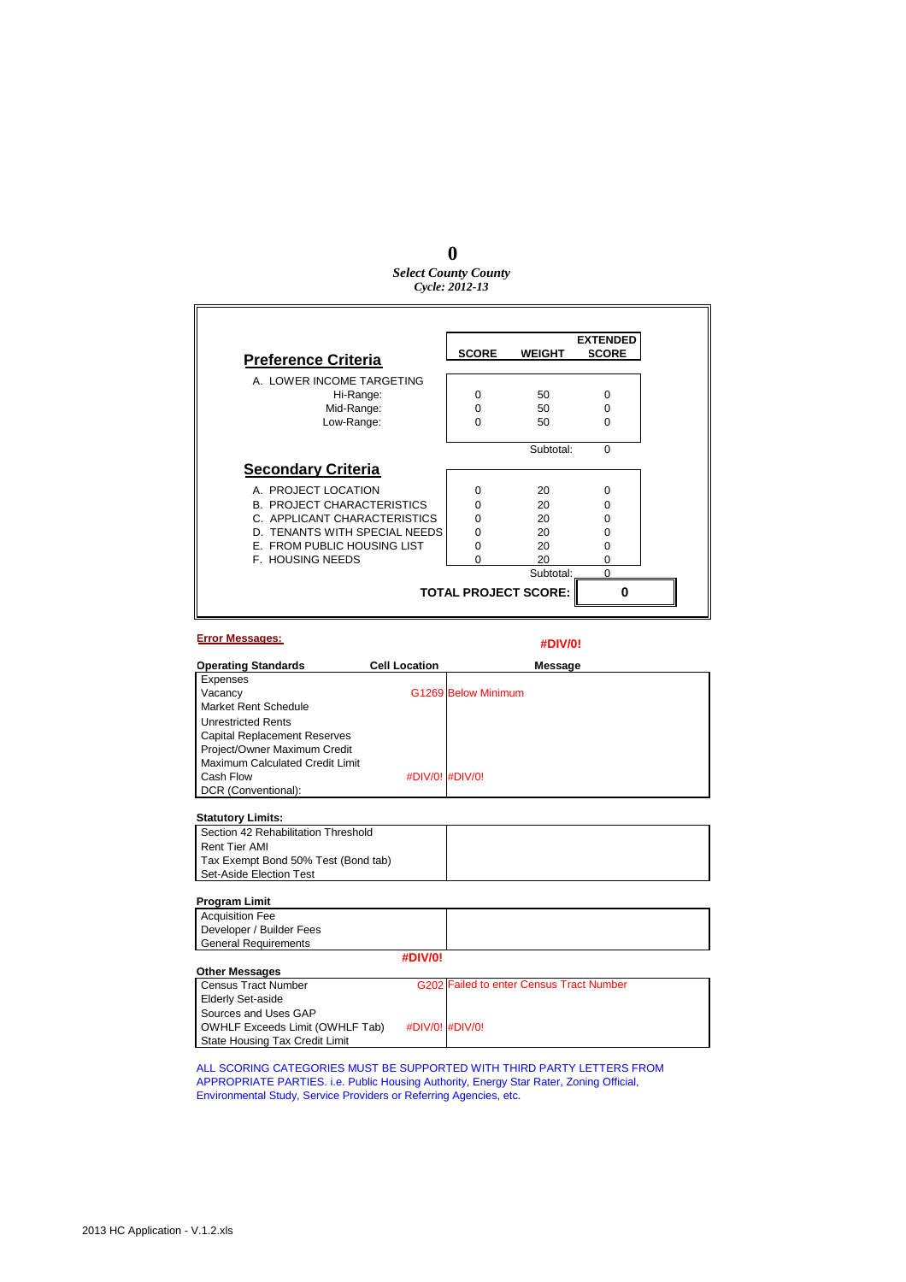#### **0** *Select County County Cycle: 2012-13*

|                                   |                             |           | <b>EXTENDED</b> |
|-----------------------------------|-----------------------------|-----------|-----------------|
| <b>Preference Criteria</b>        | <b>SCORE</b>                | WEIGHT    | <b>SCORE</b>    |
|                                   |                             |           |                 |
| A. LOWER INCOME TARGETING         |                             |           |                 |
| Hi-Range:                         | $\Omega$                    | 50        | $\Omega$        |
| Mid-Range:                        | 0                           | 50        | $\Omega$        |
| Low-Range:                        | O                           | 50        | 0               |
|                                   |                             | Subtotal: | $\Omega$        |
| <b>Secondary Criteria</b>         |                             |           |                 |
| A. PROJECT LOCATION               | 0                           | 20        | $\Omega$        |
| <b>B. PROJECT CHARACTERISTICS</b> | $\Omega$                    | 20        | 0               |
| C. APPLICANT CHARACTERISTICS      | $\Omega$                    | 20        | O               |
| D. TENANTS WITH SPECIAL NEEDS     | O                           | 20        | 0               |
| E. FROM PUBLIC HOUSING LIST       | 0                           | 20        |                 |
| <b>F. HOUSING NEEDS</b>           | O                           | 20        | O               |
|                                   |                             | Subtotal: |                 |
|                                   | <b>TOTAL PROJECT SCORE:</b> |           |                 |

#### **Error Messages:**

#### **#DIV/0!**

| <b>Operating Standards</b>          | <b>Cell Location</b> | Message             |
|-------------------------------------|----------------------|---------------------|
| Expenses                            |                      |                     |
| Vacancy                             |                      | G1269 Below Minimum |
| Market Rent Schedule                |                      |                     |
| <b>Unrestricted Rents</b>           |                      |                     |
| <b>Capital Replacement Reserves</b> |                      |                     |
| Project/Owner Maximum Credit        |                      |                     |
| Maximum Calculated Credit Limit     |                      |                     |
| Cash Flow                           | #DIV/0! #DIV/0!      |                     |
| DCR (Conventional):                 |                      |                     |

### **Statutory Limits:**

| Set-Aside Election Test               |  |
|---------------------------------------|--|
| Tax Exempt Bond 50% Test (Bond tab)   |  |
| l Rent Tier AMI                       |  |
| l Section 42 Rehabilitation Threshold |  |

| <b>Program Limit</b>     |  |
|--------------------------|--|
| <b>Acquisition Fee</b>   |  |
| Developer / Builder Fees |  |
| General Requirements     |  |
| <b>#DIV/0!</b>           |  |

| <b>Other Messages</b>                  |                 |                                          |
|----------------------------------------|-----------------|------------------------------------------|
| <b>Census Tract Number</b>             |                 | G202 Failed to enter Census Tract Number |
| Elderly Set-aside                      |                 |                                          |
| Sources and Uses GAP                   |                 |                                          |
| <b>OWHLF Exceeds Limit (OWHLF Tab)</b> | #DIV/0! #DIV/0! |                                          |
| State Housing Tax Credit Limit         |                 |                                          |

ALL SCORING CATEGORIES MUST BE SUPPORTED WITH THIRD PARTY LETTERS FROM APPROPRIATE PARTIES. i.e. Public Housing Authority, Energy Star Rater, Zoning Official, Environmental Study, Service Providers or Referring Agencies, etc.

#### 2013 HC Application - V.1.2.xls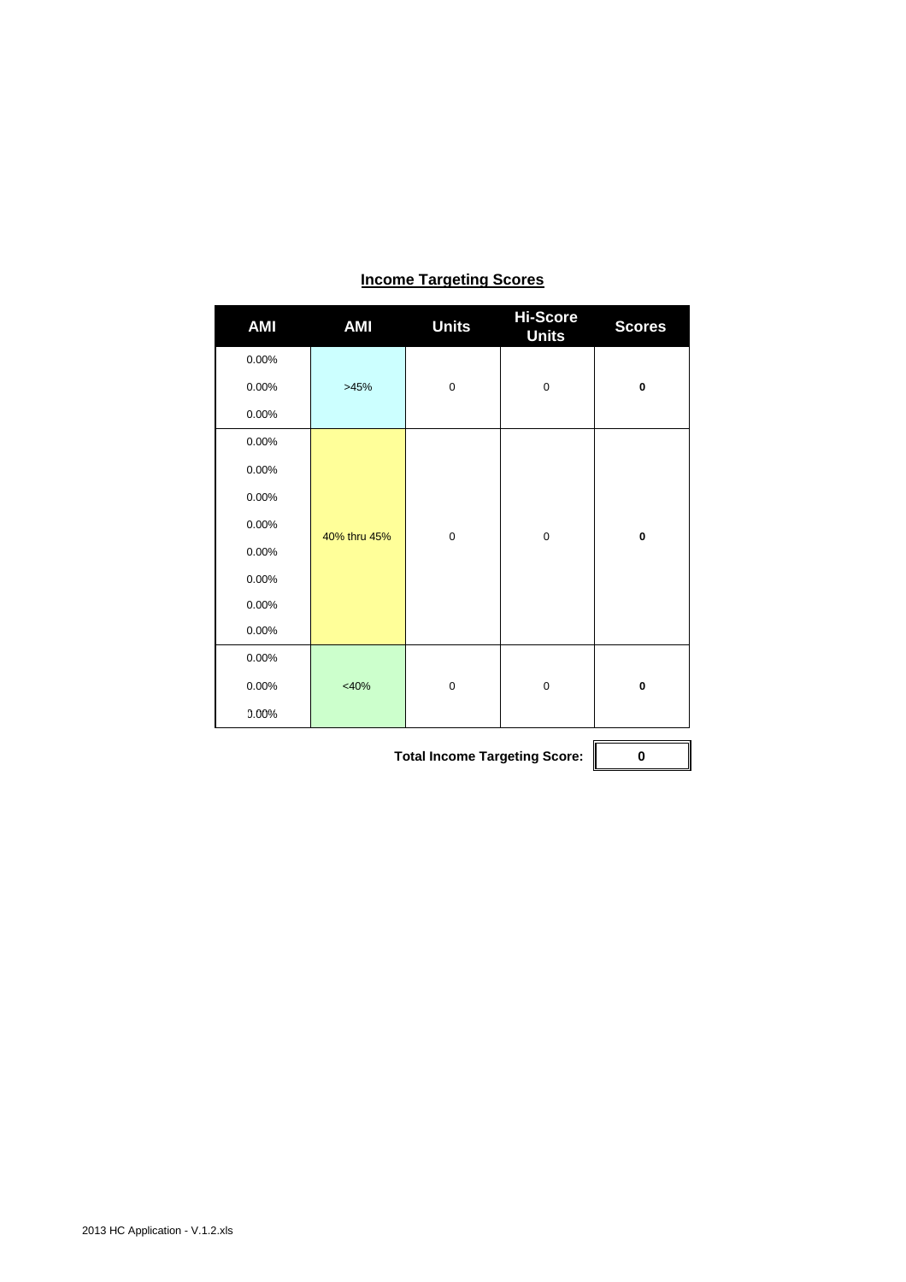| <b>AMI</b> | <b>AMI</b>   | <b>Units</b> | <b>Hi-Score</b><br><b>Units</b> | <b>Scores</b> |
|------------|--------------|--------------|---------------------------------|---------------|
| 0.00%      |              |              |                                 |               |
| 0.00%      | >45%         | $\pmb{0}$    | $\pmb{0}$                       | $\pmb{0}$     |
| 0.00%      |              |              |                                 |               |
| 0.00%      |              |              |                                 |               |
| 0.00%      |              |              |                                 |               |
| 0.00%      |              |              |                                 |               |
| 0.00%      | 40% thru 45% | $\pmb{0}$    | $\pmb{0}$                       | $\mathbf 0$   |
| 0.00%      |              |              |                                 |               |
| 0.00%      |              |              |                                 |               |
| 0.00%      |              |              |                                 |               |
| 0.00%      |              |              |                                 |               |
| 0.00%      |              |              |                                 |               |
| 0.00%      | $<$ 40%      | $\pmb{0}$    | $\pmb{0}$                       | $\pmb{0}$     |
| 0.00%      |              |              |                                 |               |

## **Income Targeting Scores**

**Total Income Targeting Score: 0**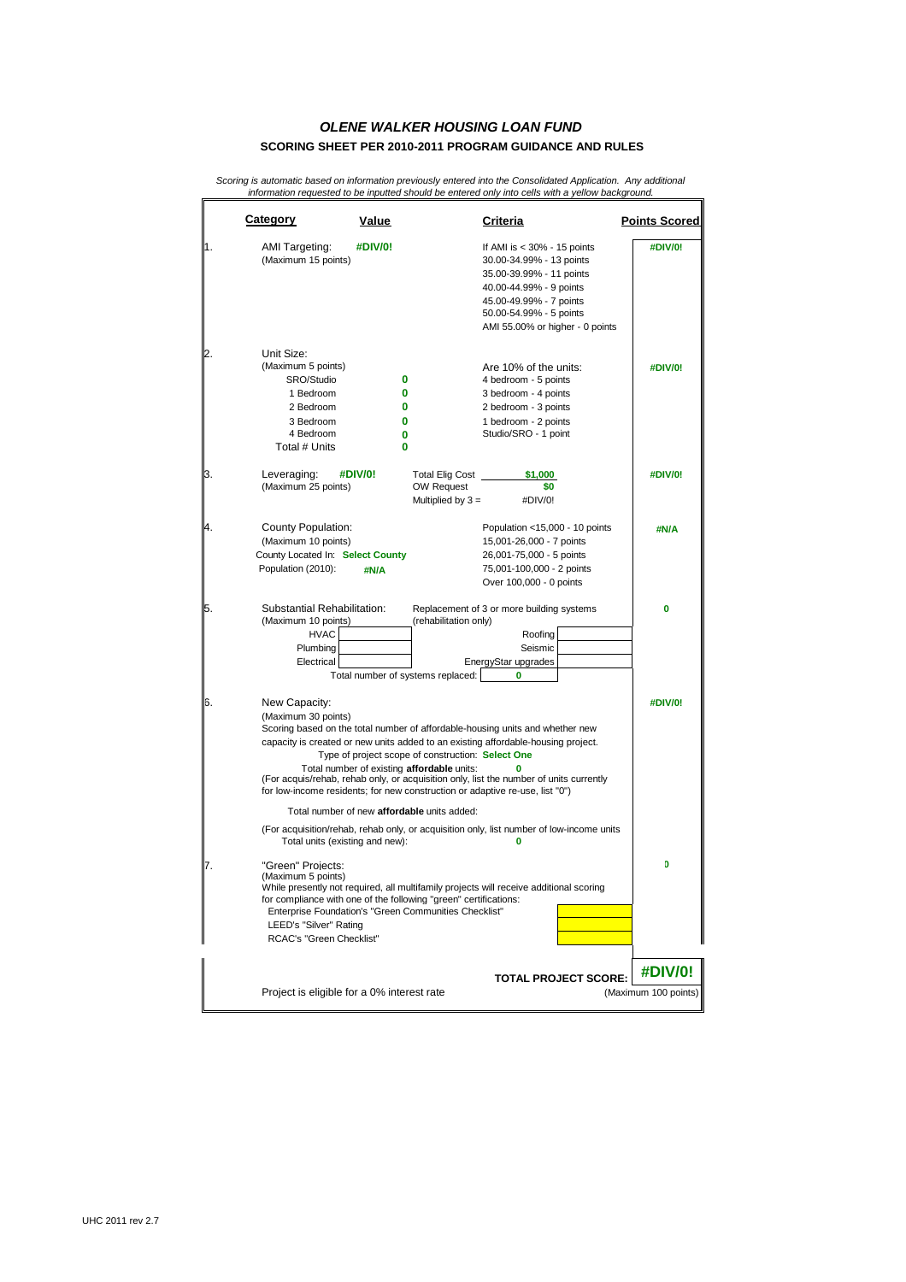## *OLENE WALKER HOUSING LOAN FUND* **SCORING SHEET PER 2010-2011 PROGRAM GUIDANCE AND RULES**

| <u>Category</u>                                                                                                                                                                                                                  | Value                      |                                                                                                                                                | Criteria                                                                                                                                                                                                                                                                                                                                                                                                                                      | <b>Points Scored</b>            |
|----------------------------------------------------------------------------------------------------------------------------------------------------------------------------------------------------------------------------------|----------------------------|------------------------------------------------------------------------------------------------------------------------------------------------|-----------------------------------------------------------------------------------------------------------------------------------------------------------------------------------------------------------------------------------------------------------------------------------------------------------------------------------------------------------------------------------------------------------------------------------------------|---------------------------------|
| 1.<br><b>AMI Targeting:</b><br>(Maximum 15 points)                                                                                                                                                                               | #DIV/0!                    |                                                                                                                                                | If AMI is $<$ 30% - 15 points<br>30.00-34.99% - 13 points<br>35.00-39.99% - 11 points<br>40.00-44.99% - 9 points<br>45.00-49.99% - 7 points<br>50.00-54.99% - 5 points<br>AMI 55.00% or higher - 0 points                                                                                                                                                                                                                                     | #DIV/0!                         |
| 2.<br>Unit Size:<br>(Maximum 5 points)<br>SRO/Studio<br>1 Bedroom<br>2 Bedroom<br>3 Bedroom<br>4 Bedroom<br>Total # Units                                                                                                        | 0<br>0<br>O<br>0<br>0<br>0 |                                                                                                                                                | Are 10% of the units:<br>4 bedroom - 5 points<br>3 bedroom - 4 points<br>2 bedroom - 3 points<br>1 bedroom - 2 points<br>Studio/SRO - 1 point                                                                                                                                                                                                                                                                                                 | #DIV/0!                         |
| 3.<br>Leveraging:<br>(Maximum 25 points)                                                                                                                                                                                         | #DIV/0!                    | Total Elig Cost<br><b>OW Request</b><br>Multiplied by $3 =$                                                                                    | \$1,000<br>\$0<br>#DIV/0!                                                                                                                                                                                                                                                                                                                                                                                                                     | #DIV/0!                         |
| County Population:<br>4.<br>(Maximum 10 points)<br>County Located In: Select County<br>Population (2010):                                                                                                                        | #N/A                       |                                                                                                                                                | Population <15,000 - 10 points<br>15,001-26,000 - 7 points<br>26,001-75,000 - 5 points<br>75,001-100,000 - 2 points<br>Over 100,000 - 0 points                                                                                                                                                                                                                                                                                                | #N/A                            |
| Substantial Rehabilitation:<br>5.<br>(Maximum 10 points)<br><b>HVAC</b><br>Plumbing<br>Electrical                                                                                                                                |                            | (rehabilitation only)<br>Total number of systems replaced:                                                                                     | Replacement of 3 or more building systems<br>Roofing<br>Seismic<br>EnergyStar upgrades<br>0                                                                                                                                                                                                                                                                                                                                                   | 0                               |
| 6.<br>New Capacity:<br>(Maximum 30 points)<br>Total units (existing and new):                                                                                                                                                    |                            | Type of project scope of construction: Select One<br>Total number of existing affordable units:<br>Total number of new affordable units added: | Scoring based on the total number of affordable-housing units and whether new<br>capacity is created or new units added to an existing affordable-housing project.<br>(For acquis/rehab, rehab only, or acquisition only, list the number of units currently<br>for low-income residents; for new construction or adaptive re-use, list "0")<br>(For acquisition/rehab, rehab only, or acquisition only, list number of low-income units<br>0 | #DIV/0!                         |
| "Green" Proiects:<br>7.<br>(Maximum 5 points)<br>for compliance with one of the following "green" certifications:<br>Enterprise Foundation's "Green Communities Checklist"<br>LEED's "Silver" Rating<br>RCAC's "Green Checklist" |                            |                                                                                                                                                | While presently not required, all multifamily projects will receive additional scoring                                                                                                                                                                                                                                                                                                                                                        | D                               |
| Project is eligible for a 0% interest rate                                                                                                                                                                                       |                            |                                                                                                                                                | <b>TOTAL PROJECT SCORE:</b>                                                                                                                                                                                                                                                                                                                                                                                                                   | #DIV/0!<br>(Maximum 100 points) |

*Scoring is automatic based on information previously entered into the Consolidated Application. Any additional information requested to be inputted should be entered only into cells with a yellow background.*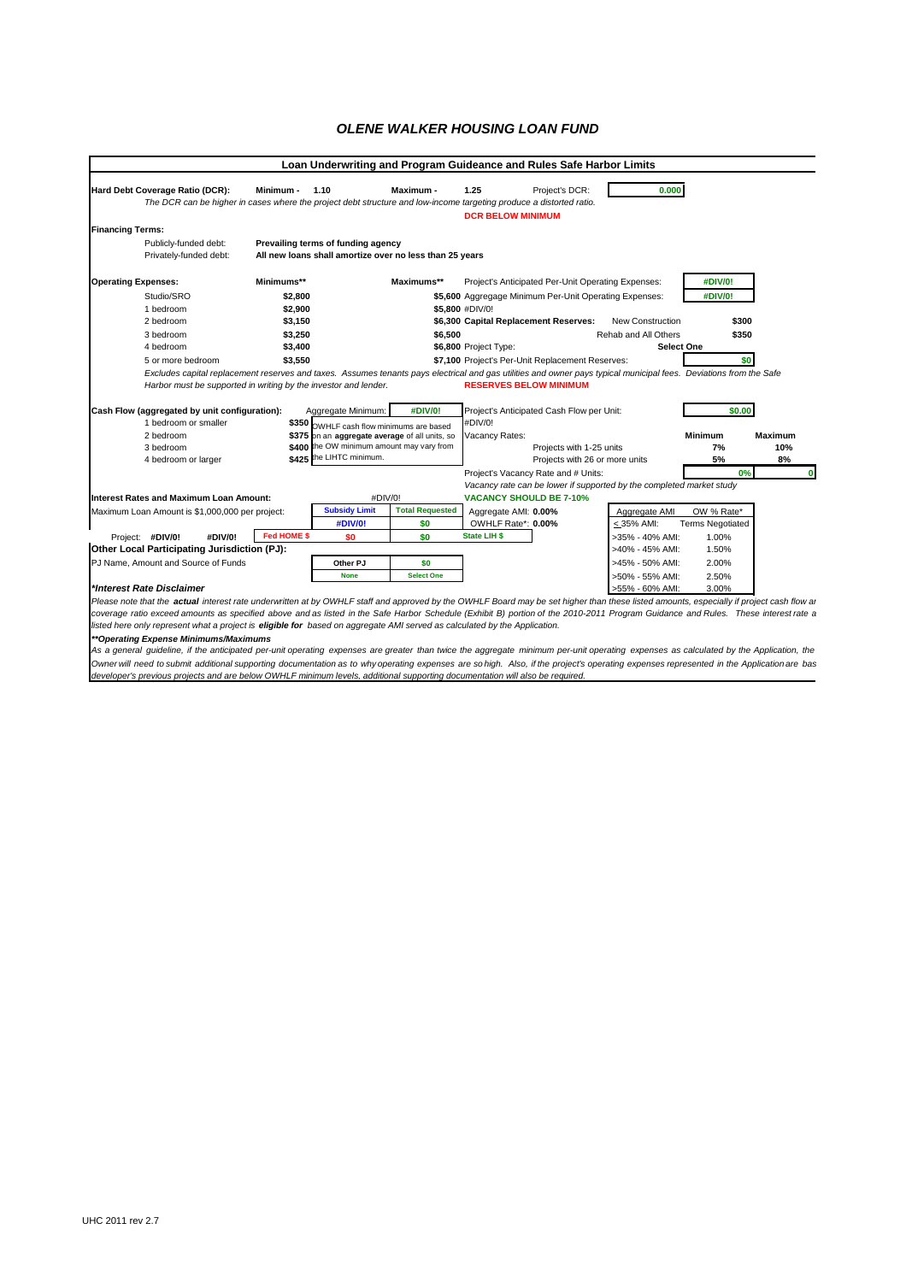## *OLENE WALKER HOUSING LOAN FUND*

| Hard Debt Coverage Ratio (DCR):                                                                                                                                                                                                           | Minimum -          | 1.10                                                                                          | Maximum -              | 1.25<br>Project's DCR:<br>The DCR can be higher in cases where the project debt structure and low-income targeting produce a distorted ratio.<br><b>DCR BELOW MINIMUM</b>                           | 0.000                |                         |                |
|-------------------------------------------------------------------------------------------------------------------------------------------------------------------------------------------------------------------------------------------|--------------------|-----------------------------------------------------------------------------------------------|------------------------|-----------------------------------------------------------------------------------------------------------------------------------------------------------------------------------------------------|----------------------|-------------------------|----------------|
| <b>Financing Terms:</b>                                                                                                                                                                                                                   |                    |                                                                                               |                        |                                                                                                                                                                                                     |                      |                         |                |
| Publicly-funded debt:<br>Privately-funded debt:                                                                                                                                                                                           |                    | Prevailing terms of funding agency<br>All new loans shall amortize over no less than 25 years |                        |                                                                                                                                                                                                     |                      |                         |                |
| <b>Operating Expenses:</b>                                                                                                                                                                                                                | Minimums**         |                                                                                               | Maximums**             | Project's Anticipated Per-Unit Operating Expenses:                                                                                                                                                  |                      | #DIV/0!                 |                |
| Studio/SRO                                                                                                                                                                                                                                | \$2,800            |                                                                                               |                        | \$5,600 Aggregage Minimum Per-Unit Operating Expenses:                                                                                                                                              |                      | #DIV/0!                 |                |
| 1 bedroom                                                                                                                                                                                                                                 | \$2,900            |                                                                                               |                        | \$5,800 #DIV/0!                                                                                                                                                                                     |                      |                         |                |
| 2 bedroom                                                                                                                                                                                                                                 | \$3,150            |                                                                                               |                        | \$6,300 Capital Replacement Reserves:                                                                                                                                                               | New Construction     | \$300                   |                |
| 3 bedroom                                                                                                                                                                                                                                 | \$3,250            |                                                                                               | \$6,500                |                                                                                                                                                                                                     | Rehab and All Others | \$350                   |                |
| 4 bedroom                                                                                                                                                                                                                                 | \$3,400            |                                                                                               |                        | \$6,800 Project Type:                                                                                                                                                                               | Select One           |                         |                |
| 5 or more bedroom                                                                                                                                                                                                                         | \$3,550            |                                                                                               |                        | \$7,100 Project's Per-Unit Replacement Reserves:                                                                                                                                                    |                      |                         | \$0            |
| Harbor must be supported in writing by the investor and lender.                                                                                                                                                                           |                    |                                                                                               |                        | Excludes capital replacement reserves and taxes. Assumes tenants pays electrical and gas utilities and owner pays typical municipal fees. Deviations from the Safe<br><b>RESERVES BELOW MINIMUM</b> |                      |                         |                |
|                                                                                                                                                                                                                                           |                    | Aggregate Minimum:                                                                            | #DIV/0!                | Project's Anticipated Cash Flow per Unit:                                                                                                                                                           |                      | \$0.00                  |                |
| 1 bedroom or smaller                                                                                                                                                                                                                      |                    | \$350 OWHLF cash flow minimums are based                                                      |                        | #DIV/0!                                                                                                                                                                                             |                      |                         |                |
| 2 bedroom<br>3 bedroom                                                                                                                                                                                                                    |                    | \$375 on an aggregate average of all units, so                                                |                        | Vacancy Rates:                                                                                                                                                                                      |                      | <b>Minimum</b>          | <b>Maximum</b> |
| 4 bedroom or larger                                                                                                                                                                                                                       |                    | \$400 the OW minimum amount may vary from<br>\$425 the LIHTC minimum.                         |                        | Projects with 1-25 units<br>Projects with 26 or more units                                                                                                                                          |                      | 7%<br>5%                | 10%<br>8%      |
|                                                                                                                                                                                                                                           |                    |                                                                                               |                        | Project's Vacancy Rate and # Units:                                                                                                                                                                 |                      |                         | 0%             |
|                                                                                                                                                                                                                                           |                    |                                                                                               |                        | Vacancy rate can be lower if supported by the completed market study                                                                                                                                |                      |                         |                |
|                                                                                                                                                                                                                                           |                    | #DIV/0!                                                                                       |                        | <b>VACANCY SHOULD BE 7-10%</b>                                                                                                                                                                      |                      |                         |                |
|                                                                                                                                                                                                                                           |                    | <b>Subsidy Limit</b>                                                                          | <b>Total Requested</b> | Aggregate AMI: 0.00%                                                                                                                                                                                | Aggregate AMI        | OW % Rate*              |                |
|                                                                                                                                                                                                                                           |                    | #DIV/0!                                                                                       | \$0                    | OWHLF Rate*: 0.00%                                                                                                                                                                                  | $<$ 35% AMI:         | <b>Terms Negotiated</b> |                |
| Project: #DIV/0!<br>#DIV/0!                                                                                                                                                                                                               | <b>Fed HOME \$</b> | \$0                                                                                           | \$0                    | State LIH \$                                                                                                                                                                                        | >35% - 40% AMI:      | 1.00%                   |                |
|                                                                                                                                                                                                                                           |                    |                                                                                               |                        |                                                                                                                                                                                                     | >40% - 45% AMI:      | 1.50%                   |                |
|                                                                                                                                                                                                                                           |                    | Other PJ                                                                                      | \$0                    |                                                                                                                                                                                                     | >45% - 50% AMI:      | 2.00%                   |                |
| Cash Flow (aggregated by unit configuration):<br><b>Interest Rates and Maximum Loan Amount:</b><br>Maximum Loan Amount is \$1,000,000 per project:<br>Other Local Participating Jurisdiction (PJ):<br>PJ Name, Amount and Source of Funds |                    | <b>None</b>                                                                                   | <b>Select One</b>      |                                                                                                                                                                                                     | >50% - 55% AMI:      | 2.50%                   |                |

coverage ratio exceed amounts as specified above and as listed in the Safe Harbor Schedule (Exhibit B) portion of the 2010-2011 Program Guidance and Rules. These interest rate a *listed here only represent what a project is eligible for based on aggregate AMI served as calculated by the Application.*

\***\*Operating Expense Minimums/Maximums**<br>As a general guideline, if the anticipated per-unit operating expenses are greater than twice the aggregate minimum per-unit operating expenses as calculated by the Application, the Owner will need to submit additional supporting documentation as to why operating expenses are so high. Also, if the project's operating expenses represented in the Application are bas *developer's previous projects and are below OWHLF minimum levels, additional supporting documentation will also be required.*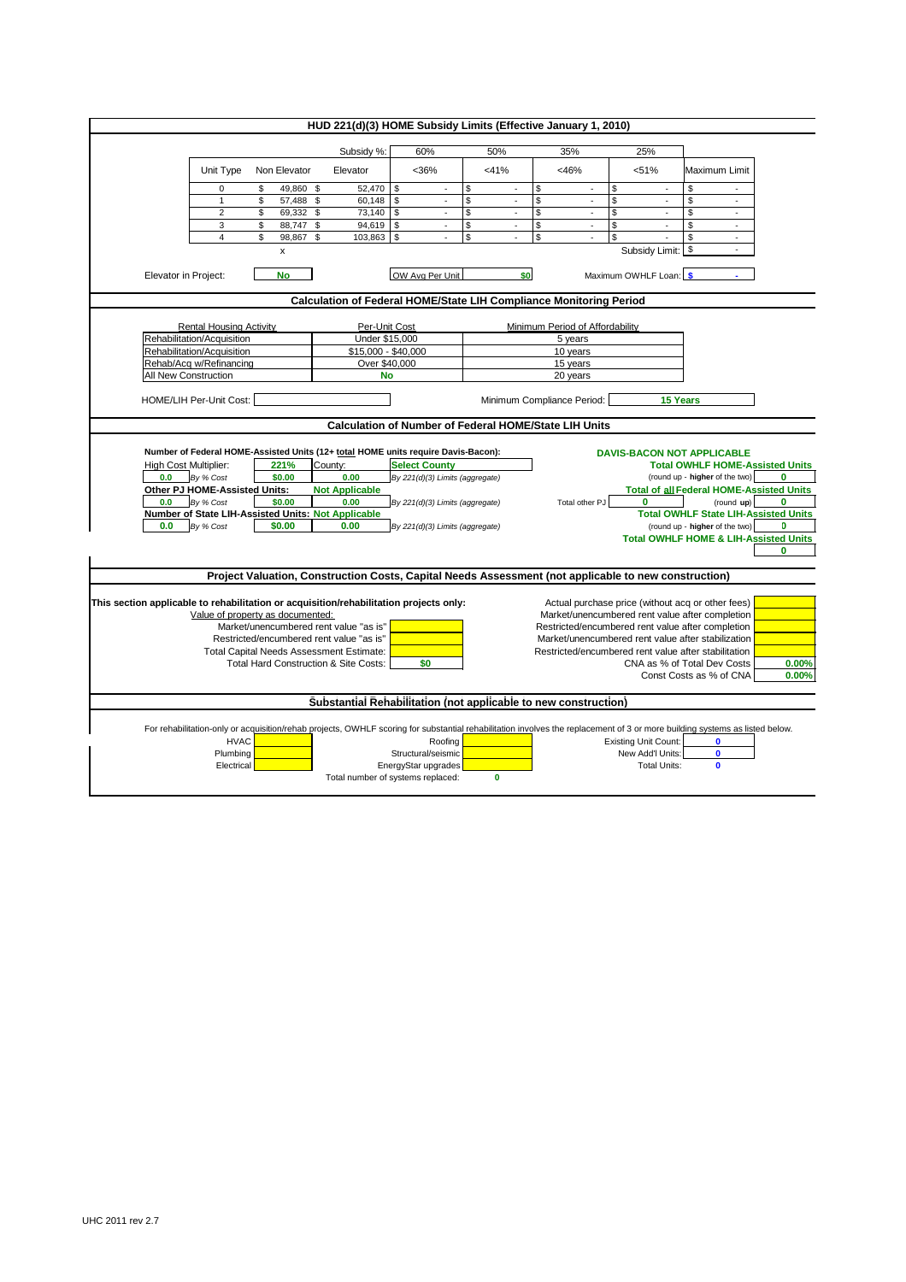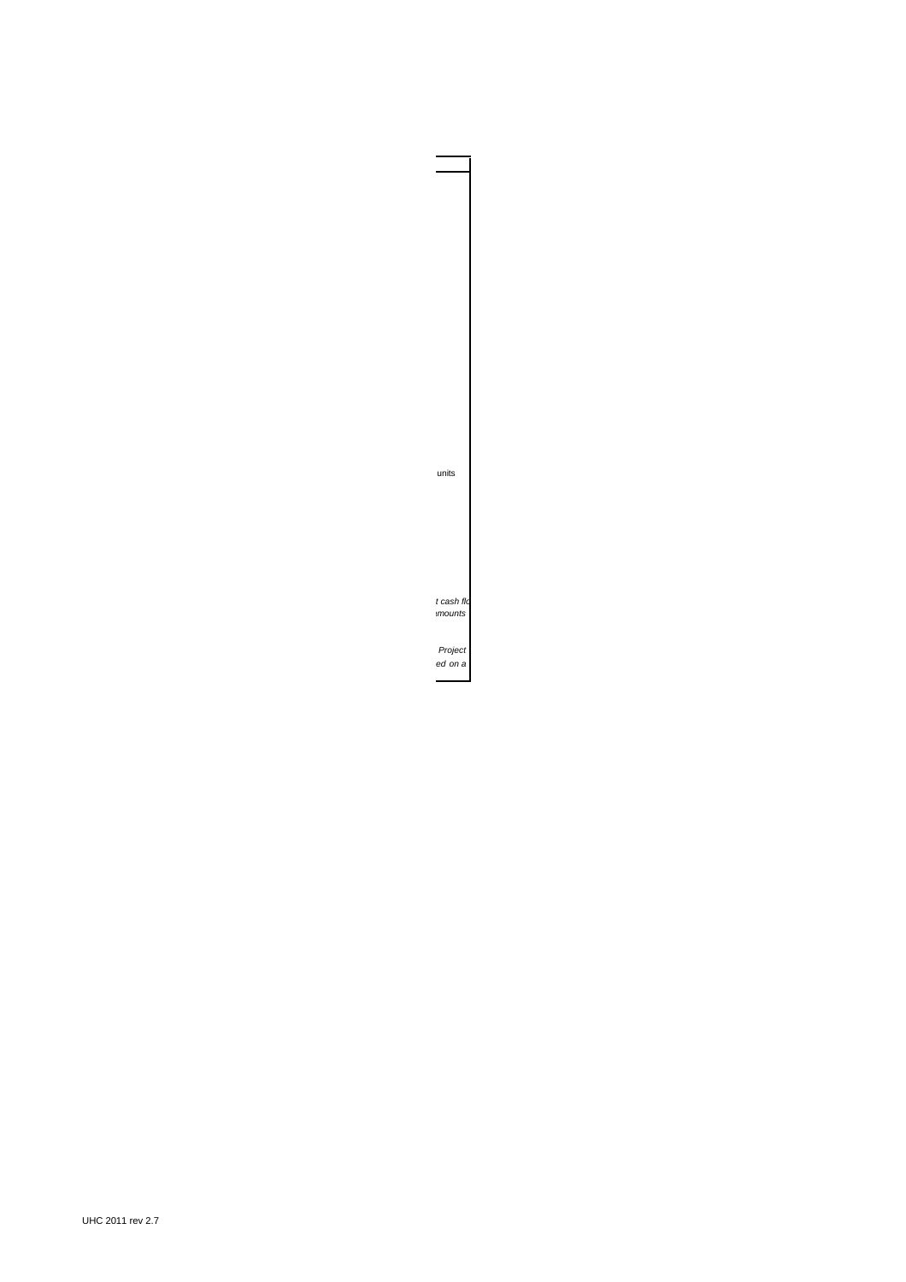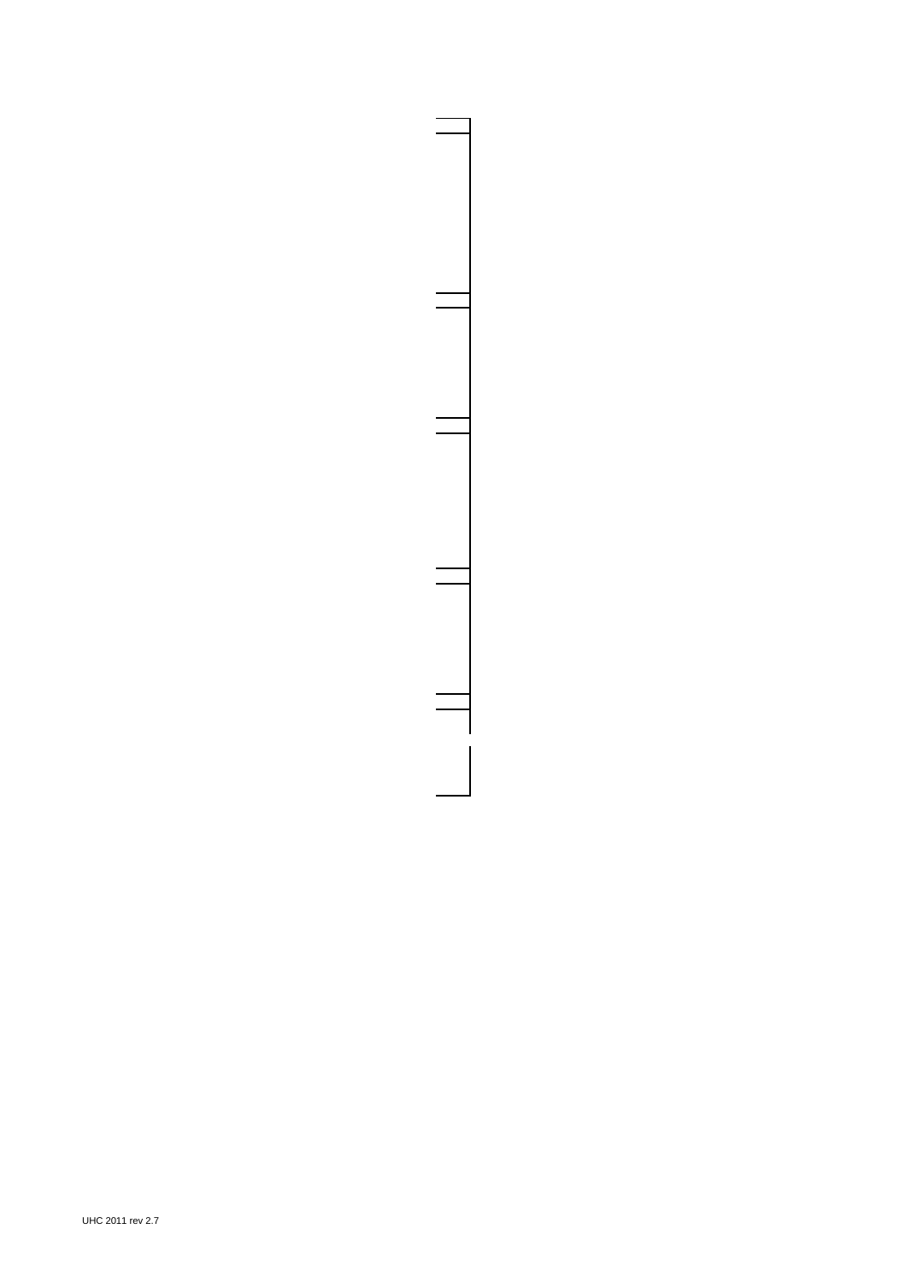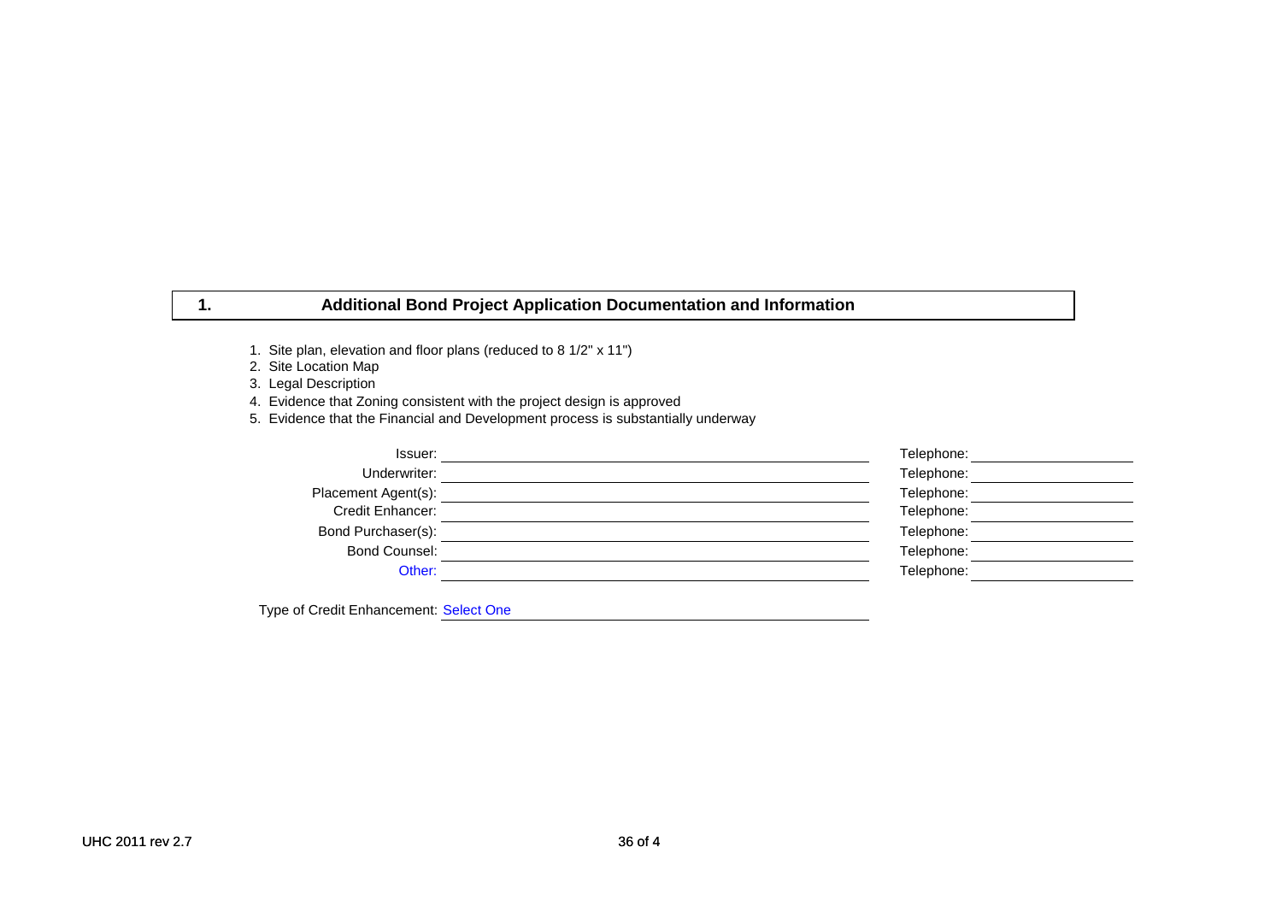# **1. Additional Bond Project Application Documentation and Information**

- 1. Site plan, elevation and floor plans (reduced to 8 1/2" x 11")
- 2. Site Location Map
- 3. Legal Description
- 4. Evidence that Zoning consistent with the project design is approved
- 5. Evidence that the Financial and Development process is substantially underway

| Issuer:              | Telephone: |  |
|----------------------|------------|--|
| Underwriter:         | Telephone: |  |
| Placement Agent(s):  | Telephone: |  |
| Credit Enhancer:     | Telephone: |  |
| Bond Purchaser(s):   | Telephone: |  |
| <b>Bond Counsel:</b> | Telephone: |  |
| Other:               | Telephone: |  |
|                      |            |  |

Type of Credit Enhancement: Select One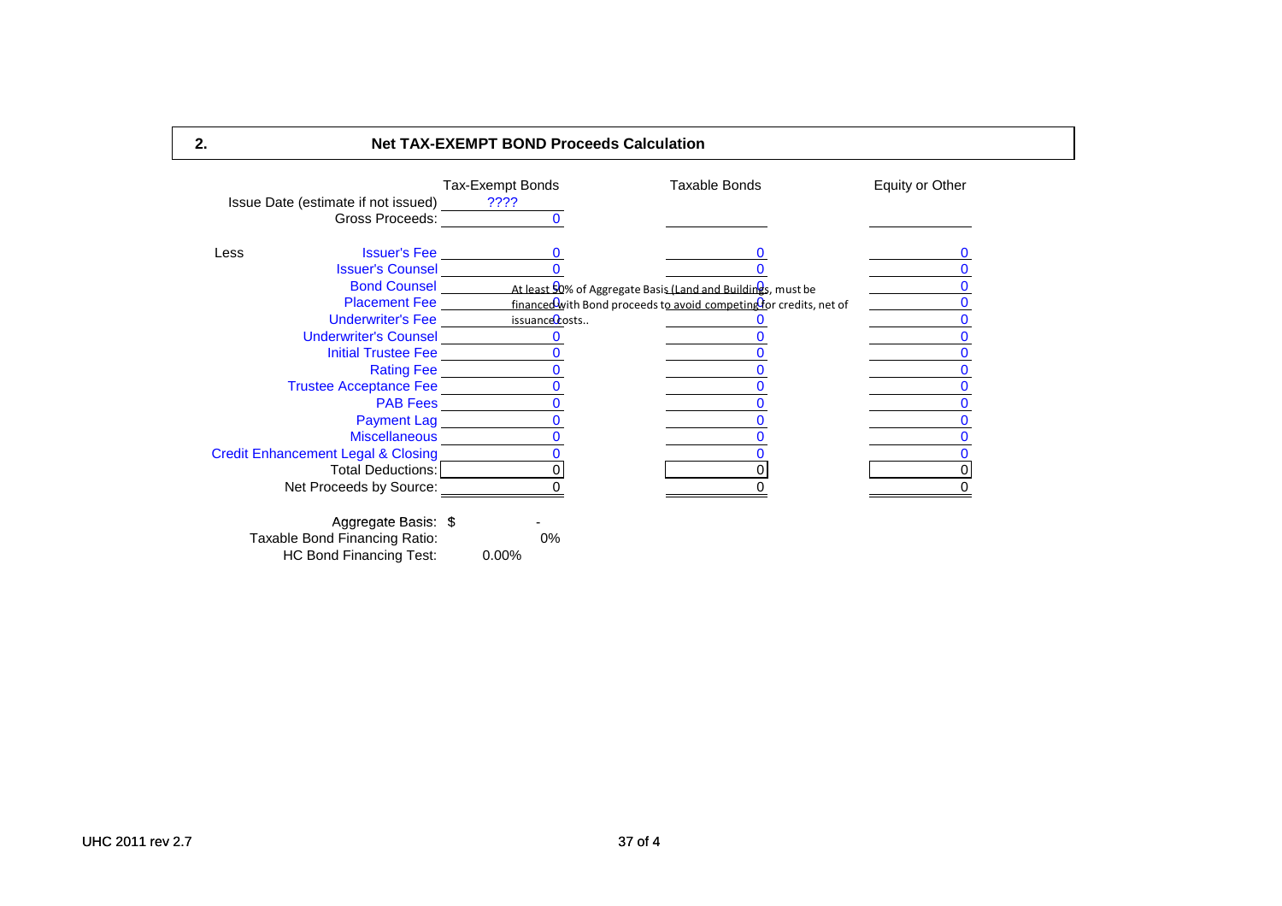| 2.                                                                                                                                                                                                                                                                                                                                                                                   | <b>Net TAX-EXEMPT BOND Proceeds Calculation</b>                                                            |                                                                                                                                    |                 |
|--------------------------------------------------------------------------------------------------------------------------------------------------------------------------------------------------------------------------------------------------------------------------------------------------------------------------------------------------------------------------------------|------------------------------------------------------------------------------------------------------------|------------------------------------------------------------------------------------------------------------------------------------|-----------------|
| Issue Date (estimate if not issued) ????<br>Gross Proceeds: And Allen Controllers                                                                                                                                                                                                                                                                                                    | Tax-Exempt Bonds                                                                                           | Taxable Bonds                                                                                                                      | Equity or Other |
| Less<br><b>Issuer's Counsel</b><br>Bond Counsel <b>COUNS</b><br><b>Placement Fee</b><br><b>Underwriter's Counsel</b> Management of the Management of the Management of the United States<br><b>Initial Trustee Fee</b><br>Trustee Acceptance Fee<br>Payment Lag<br><b>Miscellaneous</b><br>Credit Enhancement Legal & Closing<br><b>Total Deductions:</b><br>Net Proceeds by Source: | <b>Issuer's Fee</b><br>Underwriter's Fee issuance costs<br>Rating Fee <b>Example 20</b><br><b>PAB Fees</b> | At least 50% of Aggregate Basis (Land and Buildings, must be<br>financed with Bond proceeds to avoid competing for credits, net of |                 |

| Aggregate Basis: \$<br>Taxable Bond Financing Ratio: |          | -<br>$0\%$ |  |
|------------------------------------------------------|----------|------------|--|
| HC Bond Financing Test:                              | $0.00\%$ |            |  |

UHC 2011 rev 2.7 37 of 4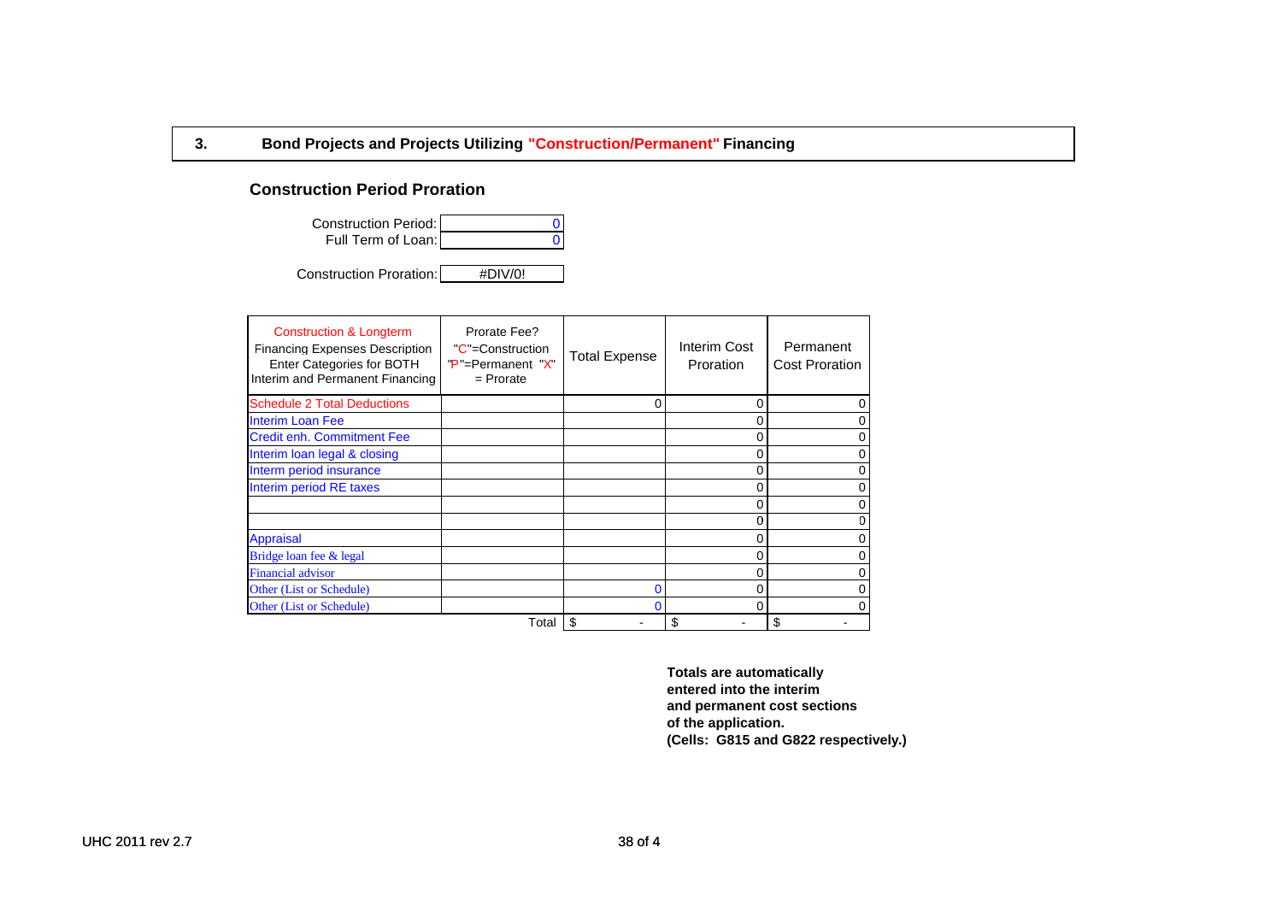## **3. Bond Projects and Projects Utilizing "Construction/Permanent" Financing**

## **Construction Period Proration**

| Construction Period: |  |
|----------------------|--|
| Full Term of Loan:   |  |

Construction Proration: #DIV/0!

| <b>Construction &amp; Longterm</b><br><b>Financing Expenses Description</b><br>Enter Categories for BOTH<br>Interim and Permanent Financing | Prorate Fee?<br>"C"=Construction<br>"P"=Permanent "X"<br>$=$ Prorate | <b>Total Expense</b> | Interim Cost<br>Proration | Permanent<br><b>Cost Proration</b> |
|---------------------------------------------------------------------------------------------------------------------------------------------|----------------------------------------------------------------------|----------------------|---------------------------|------------------------------------|
| <b>Schedule 2 Total Deductions</b>                                                                                                          |                                                                      |                      |                           |                                    |
| <b>Interim Loan Fee</b>                                                                                                                     |                                                                      |                      |                           |                                    |
| <b>Credit enh. Commitment Fee</b>                                                                                                           |                                                                      |                      |                           |                                    |
| Interim loan legal & closing                                                                                                                |                                                                      |                      |                           |                                    |
| Interm period insurance                                                                                                                     |                                                                      |                      |                           |                                    |
| Interim period RE taxes                                                                                                                     |                                                                      |                      |                           |                                    |
|                                                                                                                                             |                                                                      |                      |                           |                                    |
|                                                                                                                                             |                                                                      |                      |                           |                                    |
| <b>Appraisal</b>                                                                                                                            |                                                                      |                      |                           |                                    |
| Bridge loan fee & legal                                                                                                                     |                                                                      |                      |                           |                                    |
| <b>Financial advisor</b>                                                                                                                    |                                                                      |                      |                           |                                    |
| Other (List or Schedule)                                                                                                                    |                                                                      |                      |                           |                                    |
| <b>Other (List or Schedule)</b>                                                                                                             |                                                                      |                      | ი                         |                                    |
|                                                                                                                                             | Total                                                                |                      |                           | \$                                 |

**Totals are automatically entered into the interim and permanent cost sections of the application. (Cells: G815 and G822 respectively.)**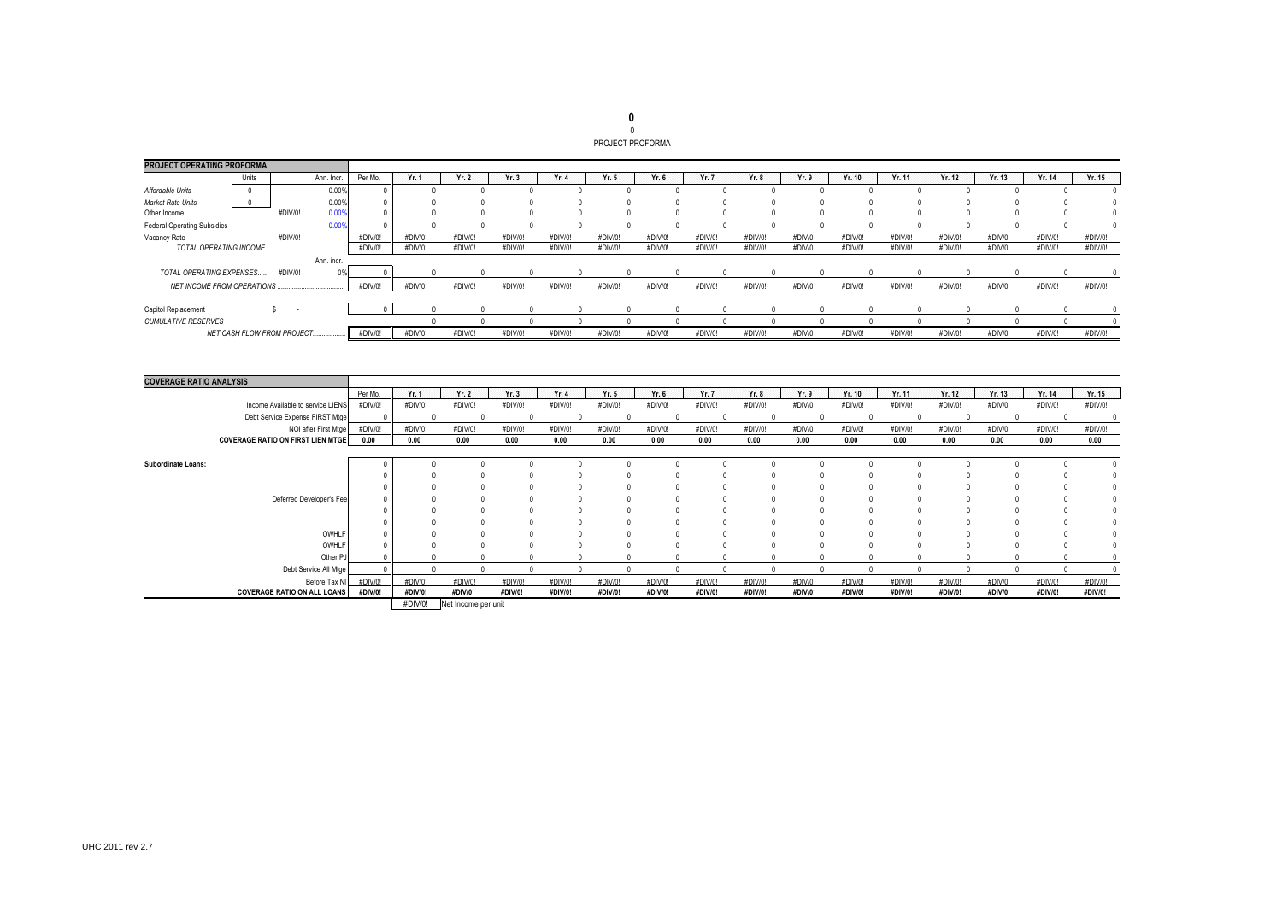| n                |
|------------------|
| n                |
| PROJECT PROFORMA |

| <b>PROJECT OPERATING PROFORMA</b>  |       |                             |            |         |         |         |         |         |         |         |         |         |         |         |         |         |         |         |         |
|------------------------------------|-------|-----------------------------|------------|---------|---------|---------|---------|---------|---------|---------|---------|---------|---------|---------|---------|---------|---------|---------|---------|
|                                    | Units |                             | Ann. Incr. | Per Mo. | Yr.1    | Yr.2    | Yr. 3   | Yr.4    | Yr. 5   | Yr. 6   | Yr. 7   | Yr. 8   | Yr. 9   | Yr. 10  | Yr. 11  | Yr. 12  | Yr. 13  | Yr. 14  | Yr. 15  |
| Affordable Units                   |       |                             | 0.00%      |         |         |         |         |         |         |         |         |         |         |         |         |         |         |         |         |
| Market Rate Units                  |       |                             | 0.00%      |         |         |         |         |         |         |         |         |         |         |         |         |         |         |         |         |
| Other Income                       |       | #DIV/0!                     | 0.00       |         |         |         |         |         |         |         |         |         |         |         |         |         |         |         |         |
| <b>Federal Operating Subsidies</b> |       |                             | 0.00       |         |         |         |         |         |         |         |         |         |         |         |         |         |         |         |         |
| Vacancy Rate                       |       | #DIV/0!                     |            | #DIV/0! | #DIV/0! | #DIV/0! | #DIV/0! | #DIV/0! | #DIV/0  | #DIV/0! | #DIV/0! | #DIV/0! | #DIV/0! | #DIV/0! | #DIV/0! | #DIV/0! | #DIV/0! | #DIV/0! | #DIV/0! |
| TOTAL OPERATING INCOME             |       |                             |            | #DIV/0! | #DIV/0! | #DIV/0! | #DIV/0! | #DIV/0! | #DIV/0  | #DIV/0! | #DIV/0! | #DIV/0! | #DIV/0! | #DIV/0! | #DIV/0! | #DIV/0! | #DIV/0! | #DIV/0! | #DIV/0! |
|                                    |       |                             | Ann. incr. |         |         |         |         |         |         |         |         |         |         |         |         |         |         |         |         |
| TOTAL OPERATING EXPENSES           |       | #DIV/0!                     |            |         |         |         |         |         |         |         |         |         |         |         |         |         |         |         |         |
| <b>NET INCOME FROM OPERATIONS</b>  |       |                             |            | #DIV/0! | #DIV/0! | #DIV/0! | #DIV/0! | #DIV/0! | #DIV/0! | #DIV/0! | #DIV/0! | #DIV/0! | #DIV/0! | #DIV/0! | #DIV/0! | #DIV/0! | #DIV/0! | #DIV/0! | #DIV/0! |
| Capitol Replacement                |       |                             |            |         |         |         |         |         |         |         |         |         |         |         |         |         |         |         |         |
| <b>CUMULATIVE RESERVES</b>         |       |                             |            |         |         |         |         |         |         |         |         |         |         |         |         |         |         |         |         |
|                                    |       | NET CASH FLOW FROM PROJECT. |            | #DIV/0! | #DIV/0! | #DIV/0! | #DIV/0! | #DIV/0! | #DIV/0  | #DIV/0! | #DIV/0! | #DIV/0! | #DIV/0! | #DIV/0! | #DIV/0! | #DIV/0! | #DIV/0! | #DIV/0! | #DIV/0! |

| <b>COVERAGE RATIO ANALYSIS</b>           |         |         |                     |         |         |         |         |         |         |         |         |         |         |         |         |         |
|------------------------------------------|---------|---------|---------------------|---------|---------|---------|---------|---------|---------|---------|---------|---------|---------|---------|---------|---------|
|                                          | Per Mo. | Yr.1    | Yr.2                | Yr.3    | Yr.4    | Yr.5    | Yr. 6   | Yr.7    | Yr. 8   | Yr. 9   | Yr. 10  | Yr. 11  | Yr. 12  | Yr. 13  | Yr. 14  | Yr. 15  |
| Income Available to service LIENS        | #DIV/0! | #DIV/0! | #DIV/0!             | #DIV/0! | #DIV/0! | #DIV/0! | #DIV/0! | #DIV/0! | #DIV/0! | #DIV/0! | #DIV/0! | #DIV/0! | #DIV/0! | #DIV/0! | #DIV/0! | #DIV/0! |
| Debt Service Expense FIRST Mtge          |         |         |                     |         |         |         |         |         |         |         |         |         |         |         |         |         |
| NOI after First Mtge                     | #DIV/0! | #DIV/0! | #DIV/0!             | #DIV/0! | #DIV/0! | #DIV/0! | #DIV/0! | #DIV/0! | #DIV/0! | #DIV/0! | #DIV/0! | #DIV/0! | #DIV/0! | #DIV/0! | #DIV/0! | #DIV/0! |
| <b>COVERAGE RATIO ON FIRST LIEN MTGE</b> | 0.00    | 0.00    | 0.00                | 0.00    | 0.00    | 0.00    | 0.00    | 0.00    | 0.00    | 0.00    | 0.00    | 0.00    | 0.00    | 0.00    | 0.00    | 0.00    |
|                                          |         |         |                     |         |         |         |         |         |         |         |         |         |         |         |         |         |
| <b>Subordinate Loans:</b>                |         |         |                     |         |         |         |         |         |         |         |         |         |         |         |         |         |
|                                          |         |         |                     |         |         |         |         |         |         |         |         |         |         |         |         |         |
|                                          |         |         |                     |         |         |         |         |         |         |         |         |         |         |         |         |         |
| Deferred Developer's Fee                 |         |         |                     |         |         |         |         |         |         |         |         |         |         |         |         |         |
|                                          |         |         |                     |         |         |         |         |         |         |         |         |         |         |         |         |         |
|                                          |         |         |                     |         |         |         |         |         |         |         |         |         |         |         |         |         |
| OWHLF                                    |         |         |                     |         |         |         |         |         |         |         |         |         |         |         |         |         |
| OWHLF                                    |         |         |                     |         |         |         |         |         |         |         |         |         |         |         |         |         |
| Other PJ                                 |         |         |                     |         |         |         |         |         |         |         |         |         |         |         |         |         |
| Debt Service All Mtge                    |         |         |                     |         |         |         |         |         |         |         |         |         |         |         |         |         |
| Before Tax NI                            | #DIV/0! | #DIV/0! | #DIV/0!             | #DIV/0! | #DIV/0! | #DIV/0! | #DIV/0! | #DIV/0! | #DIV/0! | #DIV/0! | #DIV/0! | #DIV/0! | #DIV/0! | #DIV/0! | #DIV/0! | #DIV/0! |
| <b>COVERAGE RATIO ON ALL LOANS</b>       | #DIV/0! | #DIV/0! | #DIV/0!             | #DIV/0! | #DIV/0! | #DIV/0! | #DIV/0! | #DIV/0! | #DIV/0! | #DIV/0! | #DIV/0! | #DIV/0! | #DIV/0! | #DIV/0! | #DIV/0! | #DIV/0! |
|                                          |         | #DIV/0! | Net Income per unit |         |         |         |         |         |         |         |         |         |         |         |         |         |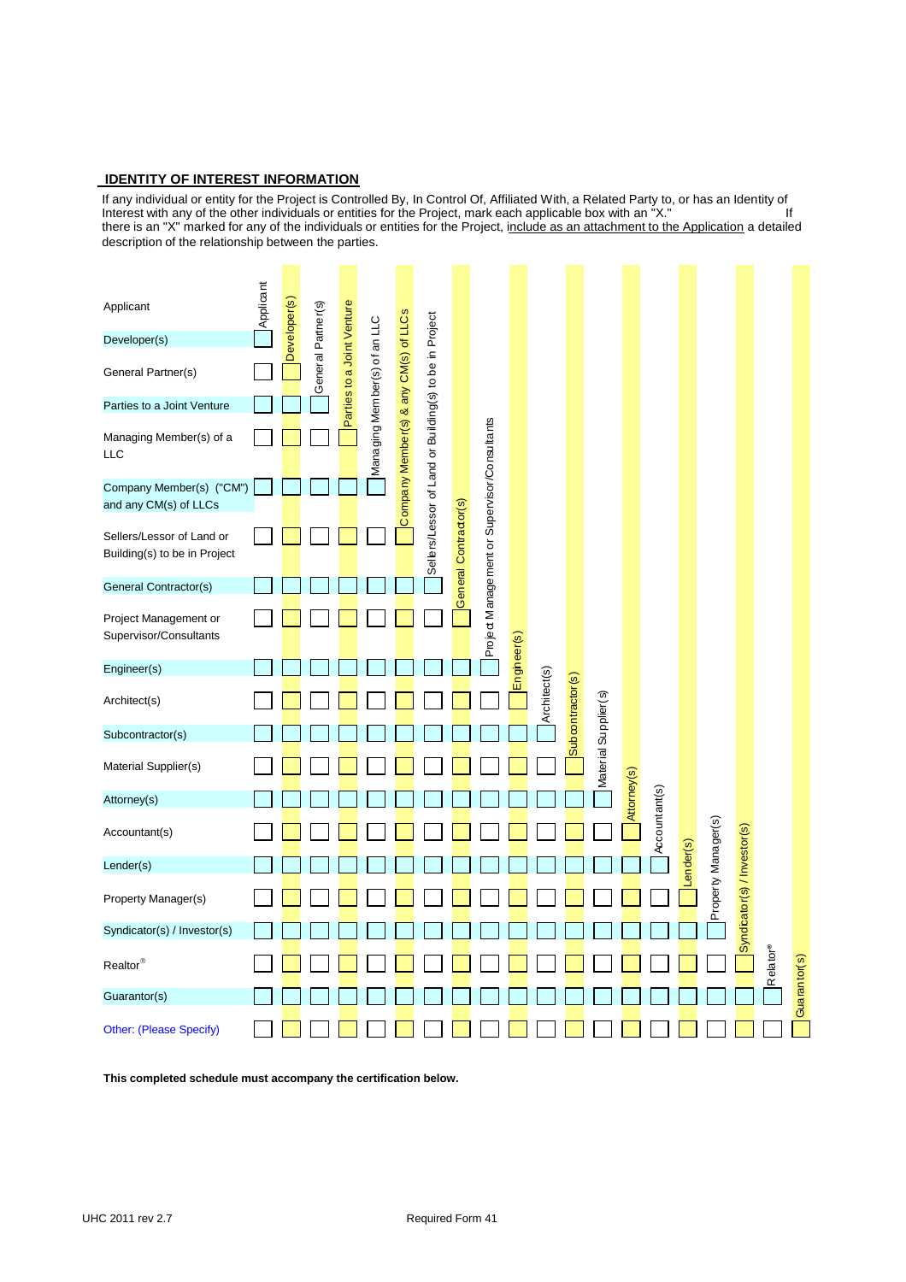#### **IDENTITY OF INTEREST INFORMATION**

If any individual or entity for the Project is Controlled By, In Control Of, Affiliated With, a Related Party to, or has an Identity of Interest with any of the other individuals or entities for the Project, mark each applicable box with an "X." If there is an "X" marked for any of the individuals or entities for the Project, include as an attachment to the Application a detailed description of the relationship between the parties.

| Applicant                                                 | Applicant | Developer(s) |                    |                            |                               |                                       |                                                        |                       |                                              |              |              |                    |                      |             |                |            |                      |                             |                      |               |
|-----------------------------------------------------------|-----------|--------------|--------------------|----------------------------|-------------------------------|---------------------------------------|--------------------------------------------------------|-----------------------|----------------------------------------------|--------------|--------------|--------------------|----------------------|-------------|----------------|------------|----------------------|-----------------------------|----------------------|---------------|
| Developer(s)                                              |           |              |                    |                            |                               |                                       |                                                        |                       |                                              |              |              |                    |                      |             |                |            |                      |                             |                      |               |
| General Partner(s)                                        |           |              | General Partner(s) | Parties to a Joint Venture |                               |                                       |                                                        |                       |                                              |              |              |                    |                      |             |                |            |                      |                             |                      |               |
| Parties to a Joint Venture                                |           |              |                    |                            |                               |                                       |                                                        |                       |                                              |              |              |                    |                      |             |                |            |                      |                             |                      |               |
| Managing Member(s) of a<br>LLC                            |           |              |                    |                            | Mana ging Member(s) of an LLC | Company Member(s) & any CM(s) of LLCs | Sellers/Lessor of Land or Building(s) to be in Project |                       | Project Management or Supervisor/Consultants |              |              |                    |                      |             |                |            |                      |                             |                      |               |
| Company Member(s) ("CM")<br>and any CM(s) of LLCs         |           |              |                    |                            |                               |                                       |                                                        |                       |                                              |              |              |                    |                      |             |                |            |                      |                             |                      |               |
| Sellers/Lessor of Land or<br>Building(s) to be in Project |           |              |                    |                            |                               |                                       |                                                        | General Contractor(s) |                                              |              |              |                    |                      |             |                |            |                      |                             |                      |               |
| General Contractor(s)                                     |           |              |                    |                            |                               |                                       |                                                        |                       |                                              |              |              |                    |                      |             |                |            |                      |                             |                      |               |
| Project Management or<br>Supervisor/Consultants           |           |              |                    |                            |                               |                                       |                                                        |                       |                                              |              |              |                    |                      |             |                |            |                      |                             |                      |               |
| Engineer(s)                                               |           |              |                    |                            |                               |                                       |                                                        |                       |                                              | En gineer(s) |              |                    |                      |             |                |            |                      |                             |                      |               |
| Architect(s)                                              |           |              |                    |                            |                               |                                       |                                                        |                       |                                              |              | Architect(s) | Sub con tractor(s) |                      |             |                |            |                      |                             |                      |               |
| Subcontractor(s)                                          |           |              |                    |                            |                               |                                       |                                                        |                       |                                              |              |              |                    |                      |             |                |            |                      |                             |                      |               |
| Material Supplier(s)                                      |           |              |                    |                            |                               |                                       |                                                        |                       |                                              |              |              |                    | Material Supplier(s) |             |                |            |                      |                             |                      |               |
| Attorney(s)                                               |           |              |                    |                            |                               |                                       |                                                        |                       |                                              |              |              |                    |                      | Attorney(s) |                |            |                      |                             |                      |               |
| Accountant(s)                                             |           |              |                    |                            |                               |                                       |                                                        |                       |                                              |              |              |                    |                      |             | Account ant(s) |            |                      |                             |                      |               |
| Lender(s)                                                 |           |              |                    |                            |                               |                                       |                                                        |                       |                                              |              |              |                    |                      |             |                | Len der(s) |                      |                             |                      |               |
| Property Manager(s)                                       |           |              |                    |                            |                               |                                       |                                                        |                       |                                              |              |              |                    |                      |             |                |            | Property Mana ger(s) | Syndicator(s) / Investor(s) |                      |               |
| Syndicator(s) / Investor(s)                               |           |              |                    |                            |                               |                                       |                                                        |                       |                                              |              |              |                    |                      |             |                |            |                      |                             |                      |               |
| Realtor <sup>®</sup>                                      |           |              |                    |                            |                               |                                       |                                                        |                       |                                              |              |              |                    |                      |             |                |            |                      |                             | Relator <sup>®</sup> | Gua rantor(s) |
| Guarantor(s)                                              |           |              |                    |                            |                               |                                       |                                                        |                       |                                              |              |              |                    |                      |             |                |            |                      |                             |                      |               |
| <b>Other: (Please Specify)</b>                            |           |              |                    |                            |                               |                                       |                                                        |                       |                                              |              |              |                    |                      |             |                |            |                      |                             |                      |               |

**This completed schedule must accompany the certification below.**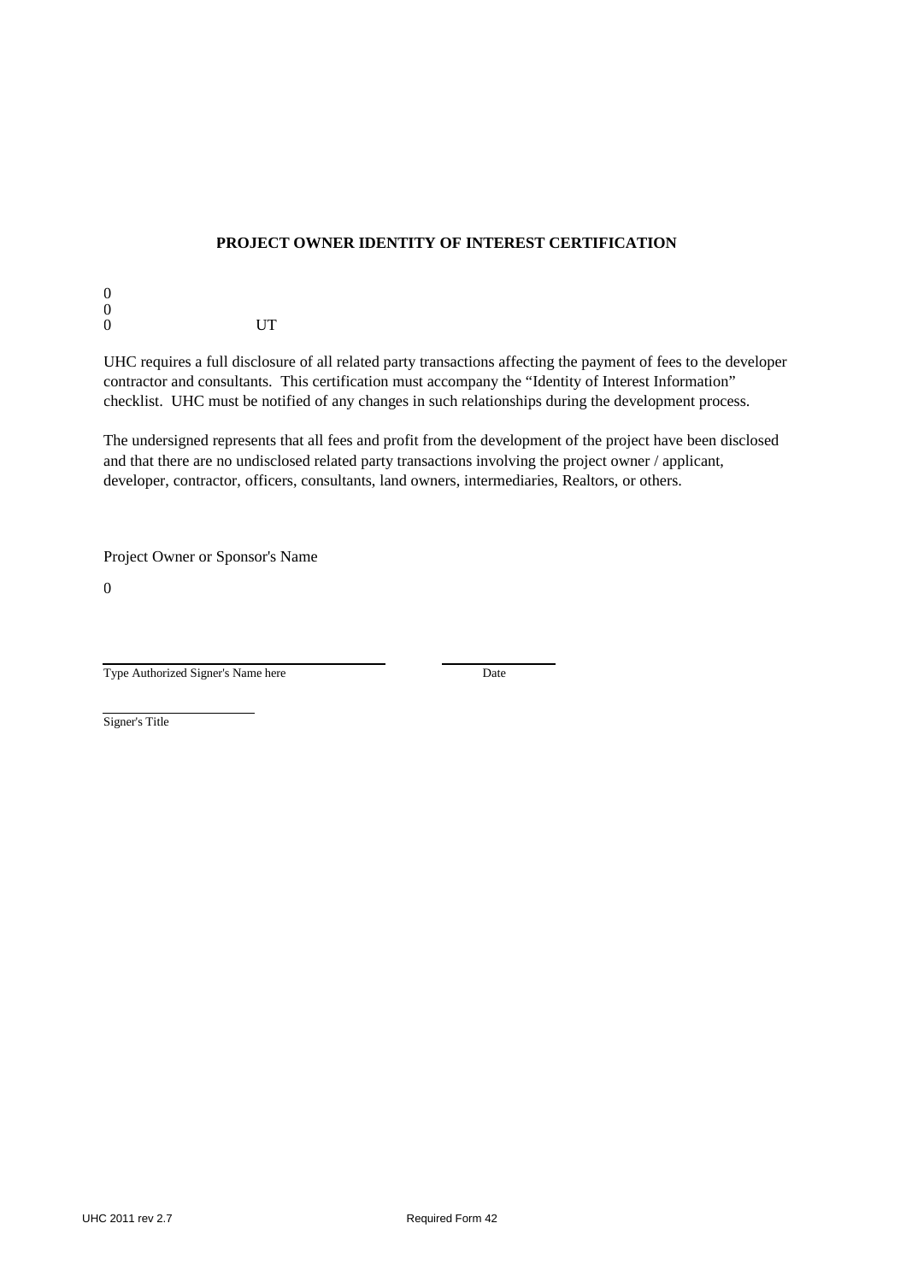## **PROJECT OWNER IDENTITY OF INTEREST CERTIFICATION**

| $\boldsymbol{0}$ |           |
|------------------|-----------|
| $\boldsymbol{0}$ |           |
| $\theta$         | <b>UT</b> |

UHC requires a full disclosure of all related party transactions affecting the payment of fees to the developer contractor and consultants. This certification must accompany the "Identity of Interest Information" checklist. UHC must be notified of any changes in such relationships during the development process.

The undersigned represents that all fees and profit from the development of the project have been disclosed and that there are no undisclosed related party transactions involving the project owner / applicant, developer, contractor, officers, consultants, land owners, intermediaries, Realtors, or others.

Project Owner or Sponsor's Name

0

Type Authorized Signer's Name here

Date

Signer's Title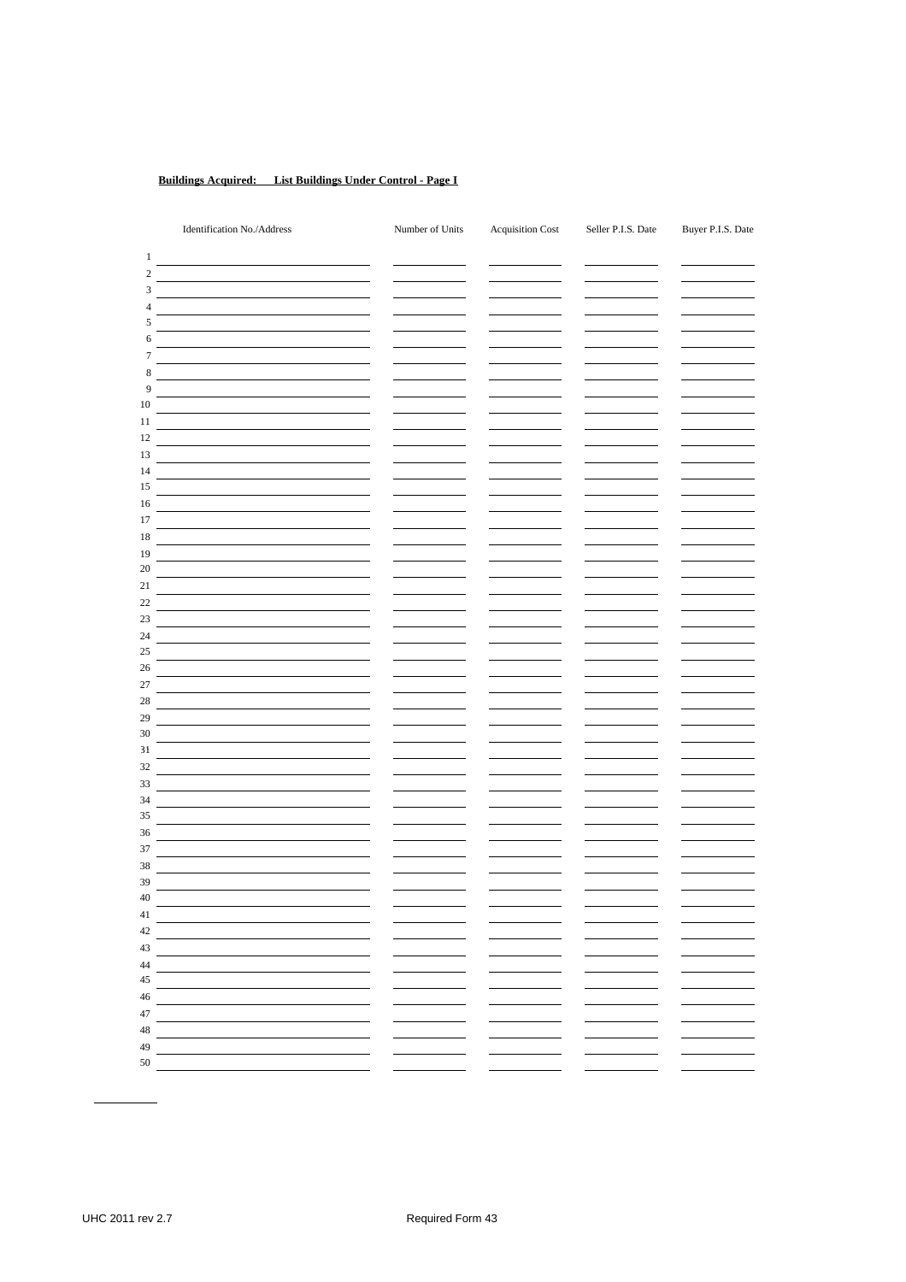## **Buildings Acquired: List Buildings Under Control - Page I**

|                  | Identification No./Address | Number of Units | Acquisition Cost | Seller P.I.S. Date | Buyer P.I.S. Date |
|------------------|----------------------------|-----------------|------------------|--------------------|-------------------|
| $\mathbf{1}$     |                            |                 |                  |                    |                   |
| $\boldsymbol{2}$ |                            |                 |                  |                    |                   |
| 3                |                            |                 |                  |                    |                   |
| $\overline{4}$   |                            |                 |                  |                    |                   |
| 5                |                            |                 |                  |                    |                   |
| 6                |                            |                 |                  |                    |                   |
| $\tau$           |                            |                 |                  |                    |                   |
| 8                |                            |                 |                  |                    |                   |
| 9                |                            |                 |                  |                    |                   |
| 10               |                            |                 |                  |                    |                   |
| 11               |                            |                 |                  |                    |                   |
| 12               |                            |                 |                  |                    |                   |
| 13               |                            |                 |                  |                    |                   |
| 14               |                            |                 |                  |                    |                   |
| 15<br>16         |                            |                 |                  |                    |                   |
| 17               |                            |                 |                  |                    |                   |
| 18               |                            |                 |                  |                    |                   |
| 19               |                            |                 |                  |                    |                   |
| 20               |                            |                 |                  |                    |                   |
| 21               |                            |                 |                  |                    |                   |
| 22               |                            |                 |                  |                    |                   |
| 23               |                            |                 |                  |                    |                   |
| 24               |                            |                 |                  |                    |                   |
| 25               |                            |                 |                  |                    |                   |
| 26               |                            |                 |                  |                    |                   |
| 27               |                            |                 |                  |                    |                   |
| 28               |                            |                 |                  |                    |                   |
| 29               |                            |                 |                  |                    |                   |
| 30               |                            |                 |                  |                    |                   |
| 31<br>32         |                            |                 |                  |                    |                   |
| 33               |                            |                 |                  |                    |                   |
| 34               |                            |                 |                  |                    |                   |
| 35               |                            |                 |                  |                    |                   |
| 36               |                            |                 |                  |                    |                   |
| 37               |                            |                 |                  |                    |                   |
| 38               |                            |                 |                  |                    |                   |
| 39               |                            |                 |                  |                    |                   |
| 40               |                            |                 |                  |                    |                   |
| 41               |                            |                 |                  |                    |                   |
| 42               |                            |                 |                  |                    |                   |
| 43               |                            |                 |                  |                    |                   |
| 44               |                            |                 |                  |                    |                   |
| 45               |                            |                 |                  |                    |                   |
| 46               |                            |                 |                  |                    |                   |
| 47               |                            |                 |                  |                    |                   |
| 48               |                            |                 |                  |                    |                   |
| 49<br>50         |                            |                 |                  |                    |                   |
|                  |                            |                 |                  |                    |                   |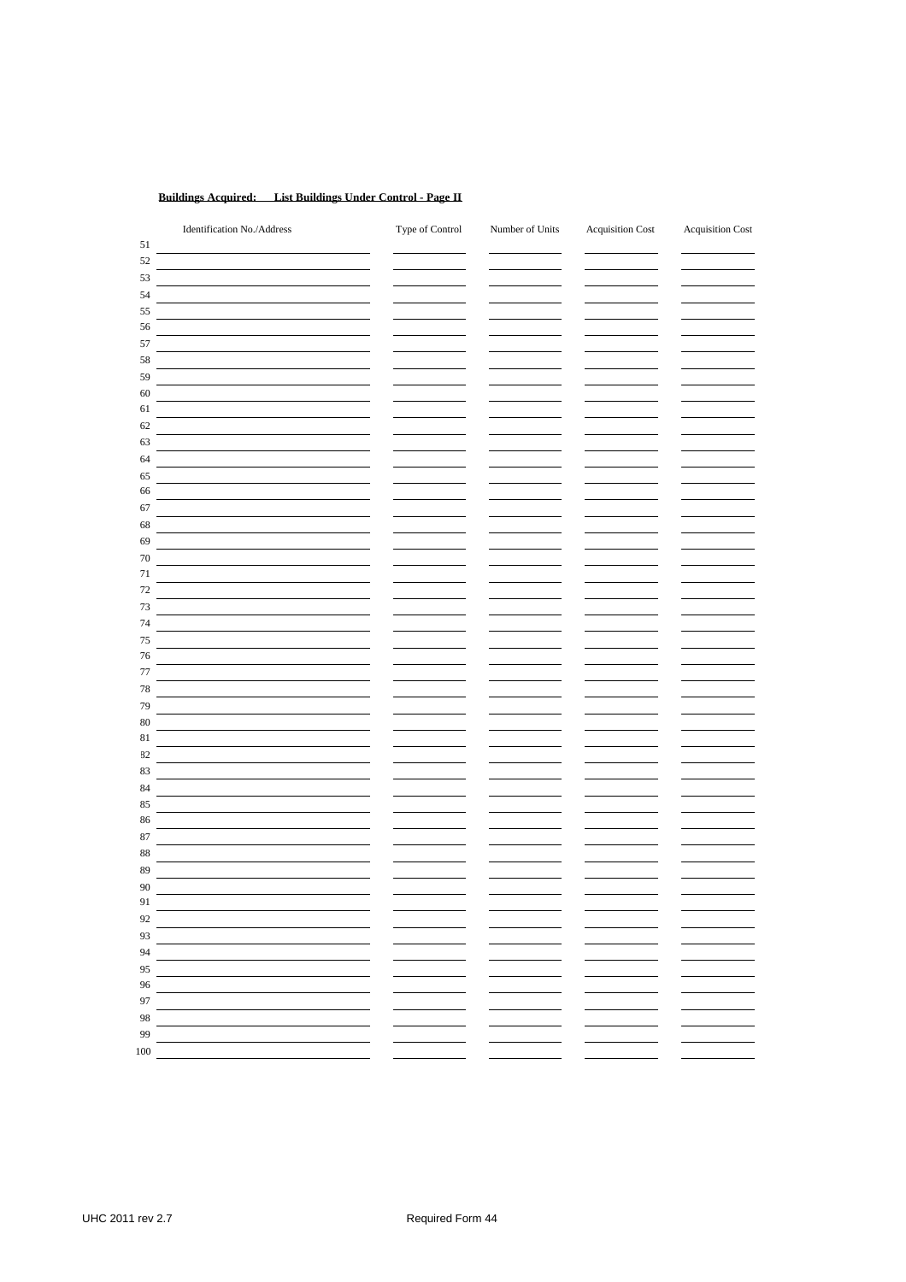### **Buildings Acquired: List Buildings Under Control - Page II**

|              | Identification No./Address | Type of Control | Number of Units | Acquisition Cost | Acquisition Cost |
|--------------|----------------------------|-----------------|-----------------|------------------|------------------|
| $51\,$       |                            |                 |                 |                  |                  |
| $52\,$       |                            |                 |                 |                  |                  |
| 53           |                            |                 |                 |                  |                  |
| 54           |                            |                 |                 |                  |                  |
| 55           |                            |                 |                 |                  |                  |
| 56           |                            |                 |                 |                  |                  |
| 57           |                            |                 |                 |                  |                  |
| 58           |                            |                 |                 |                  |                  |
| 59           |                            |                 |                 |                  |                  |
| 60           |                            |                 |                 |                  |                  |
| 61           |                            |                 |                 |                  |                  |
| 62           |                            |                 |                 |                  |                  |
| 63           |                            |                 |                 |                  |                  |
| 64           |                            |                 |                 |                  |                  |
| 65           |                            |                 |                 |                  |                  |
| 66           |                            |                 |                 |                  |                  |
| 67           |                            |                 |                 |                  |                  |
|              |                            |                 |                 |                  |                  |
| 68           |                            |                 |                 |                  |                  |
| 69           |                            |                 |                 |                  |                  |
| 70<br>$71\,$ |                            |                 |                 |                  |                  |
|              |                            |                 |                 |                  |                  |
| 72           |                            |                 |                 |                  |                  |
| 73           |                            |                 |                 |                  |                  |
| $74\,$       |                            |                 |                 |                  |                  |
| 75           |                            |                 |                 |                  |                  |
| 76           |                            |                 |                 |                  |                  |
| 77           |                            |                 |                 |                  |                  |
| 78           |                            |                 |                 |                  |                  |
| 79           |                            |                 |                 |                  |                  |
| 80           |                            |                 |                 |                  |                  |
| 81           |                            |                 |                 |                  |                  |
| 82           |                            |                 |                 |                  |                  |
| 83           |                            |                 |                 |                  |                  |
| 84           |                            |                 |                 |                  |                  |
| 85           |                            |                 |                 |                  |                  |
| 86           |                            |                 |                 |                  |                  |
| 87           |                            |                 |                 |                  |                  |
| $88\,$       |                            |                 |                 |                  |                  |
| 89           |                            |                 |                 |                  |                  |
| 90           |                            |                 |                 |                  |                  |
| 91           |                            |                 |                 |                  |                  |
| 92           |                            |                 |                 |                  |                  |
| 93           |                            |                 |                 |                  |                  |
| 94           |                            |                 |                 |                  |                  |
| 95           |                            |                 |                 |                  |                  |
| 96           |                            |                 |                 |                  |                  |
| 97           |                            |                 |                 |                  |                  |
| 98           |                            |                 |                 |                  |                  |
| 99           |                            |                 |                 |                  |                  |
| 100          |                            |                 |                 |                  |                  |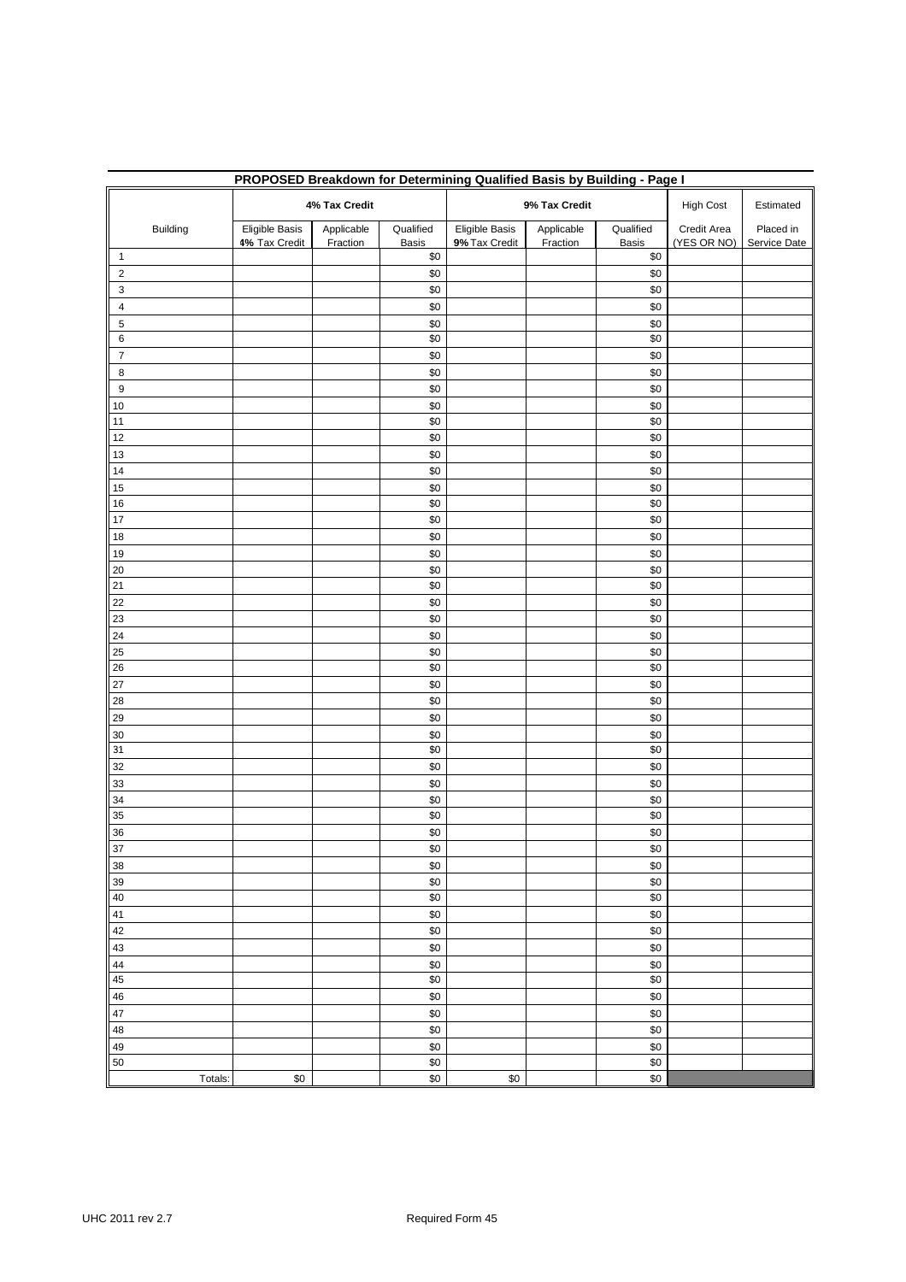| PROPOSED Breakdown for Determining Qualified Basis by Building - Page I |                                 |                        |                    |                                 |                        |                           |                            |                           |
|-------------------------------------------------------------------------|---------------------------------|------------------------|--------------------|---------------------------------|------------------------|---------------------------|----------------------------|---------------------------|
|                                                                         |                                 | 4% Tax Credit          |                    | 9% Tax Credit                   |                        |                           | High Cost                  | Estimated                 |
| Building                                                                | Eligible Basis<br>4% Tax Credit | Applicable<br>Fraction | Qualified<br>Basis | Eligible Basis<br>9% Tax Credit | Applicable<br>Fraction | Qualified<br><b>Basis</b> | Credit Area<br>(YES OR NO) | Placed in<br>Service Date |
| $\mathbf{1}$                                                            |                                 |                        | \$0                |                                 |                        | \$0                       |                            |                           |
| $\sqrt{2}$                                                              |                                 |                        | $\$0$              |                                 |                        | $\$0$                     |                            |                           |
| $\mathsf 3$                                                             |                                 |                        | \$0                |                                 |                        | \$0                       |                            |                           |
| $\overline{4}$                                                          |                                 |                        | \$0                |                                 |                        | \$0                       |                            |                           |
| $\sqrt{5}$                                                              |                                 |                        | \$0                |                                 |                        | \$0                       |                            |                           |
| $\,6$                                                                   |                                 |                        | $\$0$              |                                 |                        | \$0                       |                            |                           |
| $\overline{7}$                                                          |                                 |                        | $\$0$              |                                 |                        | \$0                       |                            |                           |
| $\,8\,$                                                                 |                                 |                        | $\$0$              |                                 |                        | $$0$$                     |                            |                           |
| 9                                                                       |                                 |                        | \$0                |                                 |                        | \$0                       |                            |                           |
| 10                                                                      |                                 |                        | \$0                |                                 |                        | \$0                       |                            |                           |
| 11                                                                      |                                 |                        | \$0                |                                 |                        | \$0                       |                            |                           |
| 12                                                                      |                                 |                        | \$0                |                                 |                        | \$0                       |                            |                           |
| 13                                                                      |                                 |                        | \$0                |                                 |                        | \$0                       |                            |                           |
| 14                                                                      |                                 |                        | \$0                |                                 |                        | \$0                       |                            |                           |
| 15                                                                      |                                 |                        | \$0                |                                 |                        | \$0                       |                            |                           |
| $16\,$                                                                  |                                 |                        | $\$0$              |                                 |                        | \$0                       |                            |                           |
| 17                                                                      |                                 |                        | $\$0$              |                                 |                        | \$0                       |                            |                           |
| 18                                                                      |                                 |                        | \$0                |                                 |                        | \$0                       |                            |                           |
| 19                                                                      |                                 |                        | \$0                |                                 |                        | \$0                       |                            |                           |
| 20                                                                      |                                 |                        | \$0                |                                 |                        | \$0                       |                            |                           |
| 21                                                                      |                                 |                        | $\$0$              |                                 |                        | \$0                       |                            |                           |
| 22                                                                      |                                 |                        | $\$0$              |                                 |                        | \$0                       |                            |                           |
| 23                                                                      |                                 |                        | \$0                |                                 |                        | \$0                       |                            |                           |
| 24                                                                      |                                 |                        | \$0                |                                 |                        | \$0                       |                            |                           |
| 25                                                                      |                                 |                        | \$0                |                                 |                        | \$0                       |                            |                           |
| $26\,$                                                                  |                                 |                        | $\$0$              |                                 |                        | \$0                       |                            |                           |
| 27                                                                      |                                 |                        | \$0                |                                 |                        | \$0                       |                            |                           |
| 28                                                                      |                                 |                        | \$0                |                                 |                        | $$0$$                     |                            |                           |
| 29                                                                      |                                 |                        | \$0                |                                 |                        | \$0                       |                            |                           |
| 30                                                                      |                                 |                        | \$0                |                                 |                        | \$0                       |                            |                           |
| 31                                                                      |                                 |                        | \$0                |                                 |                        | \$0                       |                            |                           |
| 32                                                                      |                                 |                        | \$0                |                                 |                        | \$0                       |                            |                           |
| 33                                                                      |                                 |                        | \$0                |                                 |                        | \$0                       |                            |                           |
| 34                                                                      |                                 |                        | \$0                |                                 |                        | \$0                       |                            |                           |
| 35                                                                      |                                 |                        | \$0                |                                 |                        | \$0                       |                            |                           |
| 36                                                                      |                                 |                        | \$0                |                                 |                        | \$0                       |                            |                           |
| 37                                                                      |                                 |                        | \$0                |                                 |                        | $$0$$                     |                            |                           |
| 38                                                                      |                                 |                        | \$0                |                                 |                        | $\$0$                     |                            |                           |
| 39                                                                      |                                 |                        | $\$0$              |                                 |                        | $$0$$                     |                            |                           |
| 40                                                                      |                                 |                        | $\$0$              |                                 |                        | $$0$                      |                            |                           |
| ${\bf 41}$                                                              |                                 |                        | $\$0$              |                                 |                        | $\$0$                     |                            |                           |
| 42                                                                      |                                 |                        | $\$0$              |                                 |                        | $$0$$                     |                            |                           |
| 43                                                                      |                                 |                        | \$0                |                                 |                        | $$0$$                     |                            |                           |
| 44                                                                      |                                 |                        | \$0                |                                 |                        | $\$0$                     |                            |                           |
| 45                                                                      |                                 |                        | \$0                |                                 |                        | $\$0$                     |                            |                           |
| 46                                                                      |                                 |                        | $\$0$              |                                 |                        | $\$0$                     |                            |                           |
| 47                                                                      |                                 |                        | $\$0$              |                                 |                        | $$0$$                     |                            |                           |
| 48                                                                      |                                 |                        | $$0$$              |                                 |                        | \$0                       |                            |                           |
| 49                                                                      |                                 |                        | $$0$$              |                                 |                        | $$0$$                     |                            |                           |
| 50                                                                      |                                 |                        | $\$0$              |                                 |                        | \$0                       |                            |                           |
| Totals:                                                                 | \$0                             |                        | $\$0$              | $\$0$                           |                        | $\$0$                     |                            |                           |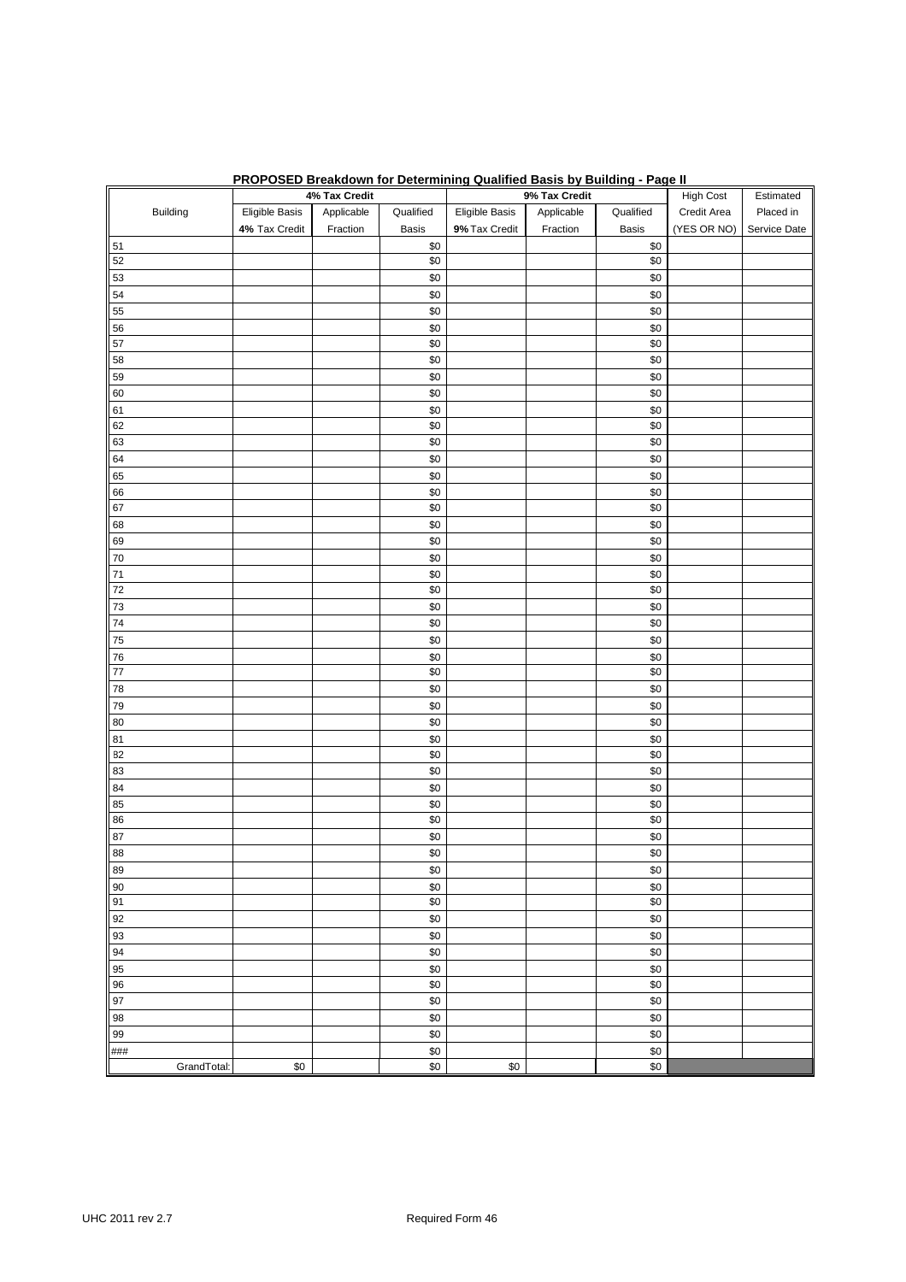|                 |                | 4% Tax Credit |              | 9% Tax Credit  |            |                | <b>High Cost</b> | Estimated    |
|-----------------|----------------|---------------|--------------|----------------|------------|----------------|------------------|--------------|
| <b>Building</b> | Eligible Basis | Applicable    | Qualified    | Eligible Basis | Applicable | Qualified      | Credit Area      | Placed in    |
|                 | 4% Tax Credit  | Fraction      | Basis        | 9% Tax Credit  | Fraction   | Basis          | (YES OR NO)      | Service Date |
| 51              |                |               | \$0          |                |            | \$0            |                  |              |
| 52              |                |               | \$0          |                |            | \$0            |                  |              |
| 53              |                |               | \$0          |                |            | \$0            |                  |              |
| 54              |                |               | \$0          |                |            | \$0            |                  |              |
| 55              |                |               | \$0          |                |            | \$0            |                  |              |
| 56              |                |               | \$0          |                |            | \$0            |                  |              |
| 57              |                |               | \$0          |                |            | \$0            |                  |              |
| 58              |                |               | \$0          |                |            | \$0            |                  |              |
| 59              |                |               | \$0          |                |            | \$0            |                  |              |
| 60              |                |               | \$0          |                |            | \$0            |                  |              |
| 61              |                |               | \$0          |                |            | \$0            |                  |              |
| 62              |                |               | \$0          |                |            | \$0            |                  |              |
| 63              |                |               | \$0          |                |            | \$0            |                  |              |
| 64              |                |               | \$0          |                |            | \$0            |                  |              |
| 65              |                |               | \$0          |                |            | \$0            |                  |              |
| 66              |                |               | \$0          |                |            | \$0            |                  |              |
| 67              |                |               | \$0          |                |            | \$0            |                  |              |
| 68              |                |               | \$0          |                |            | \$0            |                  |              |
| 69              |                |               | \$0          |                |            | \$0            |                  |              |
| 70              |                |               | \$0          |                |            | \$0            |                  |              |
| $\bf 71$        |                |               | \$0          |                |            | \$0            |                  |              |
| 72              |                |               | \$0          |                |            | \$0            |                  |              |
| 73              |                |               | \$0          |                |            | \$0            |                  |              |
| 74              |                |               | \$0          |                |            | \$0            |                  |              |
| 75              |                |               | \$0          |                |            | \$0            |                  |              |
| 76              |                |               | \$0          |                |            | \$0            |                  |              |
| $77 \,$         |                |               | \$0          |                |            | \$0            |                  |              |
| 78              |                |               | \$0          |                |            | \$0            |                  |              |
| 79              |                |               | \$0          |                |            | \$0            |                  |              |
| 80              |                |               | \$0          |                |            | \$0            |                  |              |
| 81              |                |               | \$0          |                |            | \$0            |                  |              |
| 82              |                |               | \$0          |                |            | \$0            |                  |              |
| 83              |                |               | \$0          |                |            | \$0            |                  |              |
| 84              |                |               | \$0          |                |            | \$0            |                  |              |
| 85              |                |               | \$0          |                |            | \$0            |                  |              |
| 86              |                |               | \$0          |                |            | \$0            |                  |              |
| 87              |                |               | \$0          |                |            | \$0            |                  |              |
| 88              |                |               | \$0          |                |            | \$0            |                  |              |
| 89              |                |               | \$0          |                |            | \$0            |                  |              |
| 90              |                |               | \$0          |                |            | \$0            |                  |              |
| 91              |                |               | $\$0$<br>\$0 |                |            | $\$0$<br>\$0   |                  |              |
| 92              |                |               |              |                |            |                |                  |              |
| 93<br>94        |                |               | \$0<br>$\$0$ |                |            | \$0<br>\$0     |                  |              |
|                 |                |               |              |                |            |                |                  |              |
| 95<br>96        |                |               | $\$0$<br>\$0 |                |            | $\$0$<br>$\$0$ |                  |              |
| $97\,$          |                |               | \$0          |                |            | $\$0$          |                  |              |
| 98              |                |               | \$0          |                |            | $$0$$          |                  |              |
| 99              |                |               | $\$0$        |                |            | \$0            |                  |              |
| ###             |                |               | \$0          |                |            | $$0$$          |                  |              |
| GrandTotal:     | $\$0$          |               | $\$0$        | $\$0$          |            | $\$0$          |                  |              |

**PROPOSED Breakdown for Determining Qualified Basis by Building - Page II**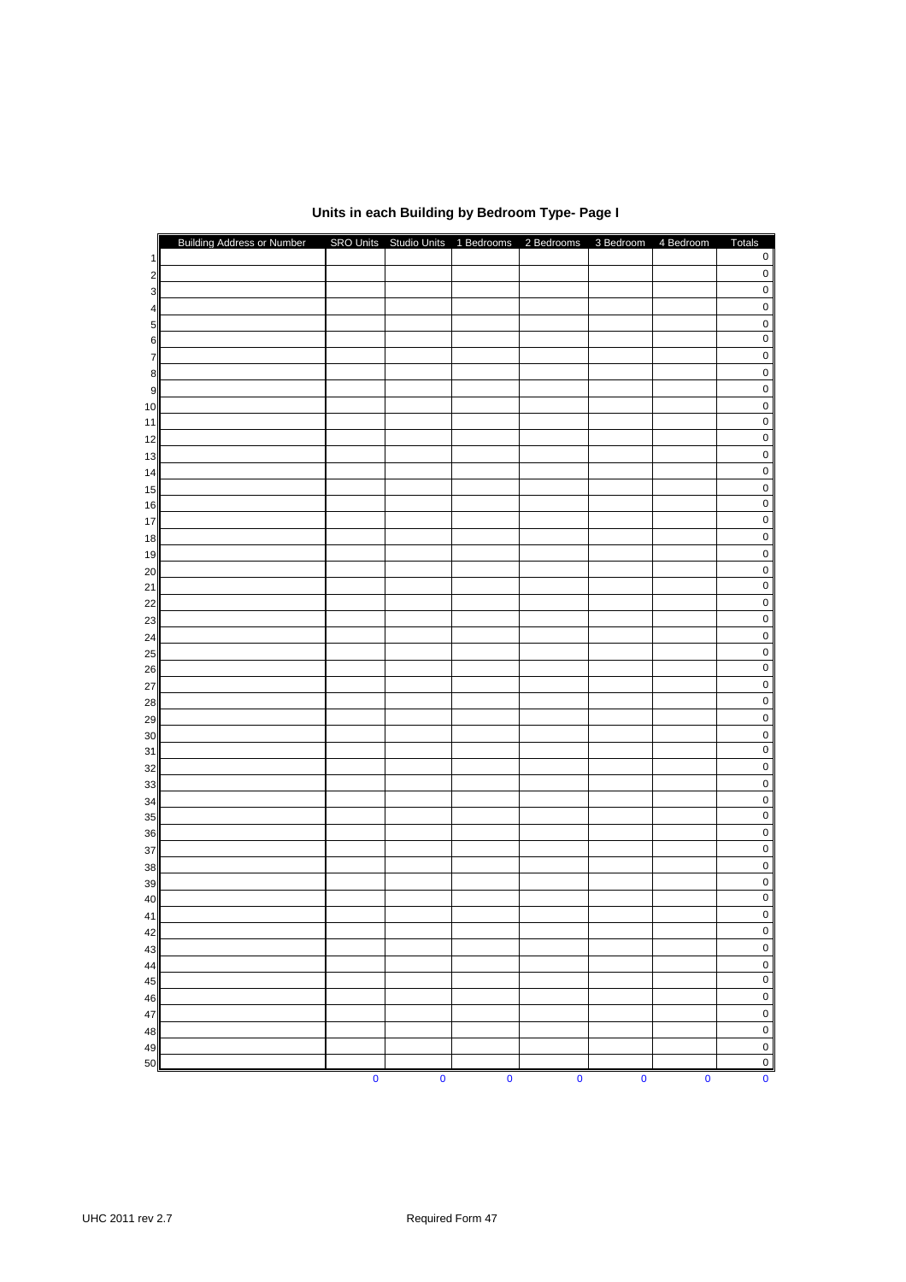|                         | <b>Building Address or Number</b> |           |           |           | SRO Units Studio Units 1 Bedrooms 2 Bedrooms 3 Bedroom 4 Bedroom |           |           | Totals                  |
|-------------------------|-----------------------------------|-----------|-----------|-----------|------------------------------------------------------------------|-----------|-----------|-------------------------|
| 1                       |                                   |           |           |           |                                                                  |           |           | $\mathbf 0$             |
| $\overline{\mathbf{c}}$ |                                   |           |           |           |                                                                  |           |           | $\mathbf 0$             |
| 3                       |                                   |           |           |           |                                                                  |           |           | $\pmb{0}$               |
| 4                       |                                   |           |           |           |                                                                  |           |           | $\pmb{0}$               |
| 5                       |                                   |           |           |           |                                                                  |           |           | $\pmb{0}$               |
| 6                       |                                   |           |           |           |                                                                  |           |           | $\mathbf 0$             |
| 7                       |                                   |           |           |           |                                                                  |           |           | $\pmb{0}$               |
| 8                       |                                   |           |           |           |                                                                  |           |           | $\bf{0}$                |
| $\boldsymbol{9}$        |                                   |           |           |           |                                                                  |           |           | $\pmb{0}$               |
| 10                      |                                   |           |           |           |                                                                  |           |           | $\pmb{0}$<br>$\pmb{0}$  |
| 11<br>12                |                                   |           |           |           |                                                                  |           |           | $\pmb{0}$               |
|                         |                                   |           |           |           |                                                                  |           |           | $\bf{0}$                |
| 13<br>14                |                                   |           |           |           |                                                                  |           |           | $\pmb{0}$               |
| 15                      |                                   |           |           |           |                                                                  |           |           | $\pmb{0}$               |
| 16                      |                                   |           |           |           |                                                                  |           |           | $\mathbf 0$             |
| 17                      |                                   |           |           |           |                                                                  |           |           | $\pmb{0}$               |
| 18                      |                                   |           |           |           |                                                                  |           |           | $\bf{0}$                |
| 19                      |                                   |           |           |           |                                                                  |           |           | $\pmb{0}$               |
| 20                      |                                   |           |           |           |                                                                  |           |           | $\pmb{0}$               |
| $21\,$                  |                                   |           |           |           |                                                                  |           |           | $\mathbf 0$             |
| 22                      |                                   |           |           |           |                                                                  |           |           | $\pmb{0}$               |
| 23                      |                                   |           |           |           |                                                                  |           |           | $\bf{0}$                |
| 24                      |                                   |           |           |           |                                                                  |           |           | $\pmb{0}$               |
| 25                      |                                   |           |           |           |                                                                  |           |           | $\pmb{0}$               |
| 26                      |                                   |           |           |           |                                                                  |           |           | $\mathbf 0$             |
| 27                      |                                   |           |           |           |                                                                  |           |           | $\pmb{0}$               |
| 28                      |                                   |           |           |           |                                                                  |           |           | $\pmb{0}$               |
| 29                      |                                   |           |           |           |                                                                  |           |           | $\pmb{0}$               |
| 30                      |                                   |           |           |           |                                                                  |           |           | $\pmb{0}$               |
| 31                      |                                   |           |           |           |                                                                  |           |           | $\pmb{0}$               |
| 32                      |                                   |           |           |           |                                                                  |           |           | $\pmb{0}$               |
| 33                      |                                   |           |           |           |                                                                  |           |           | $\bf{0}$<br>$\pmb{0}$   |
| 34                      |                                   |           |           |           |                                                                  |           |           | $\pmb{0}$               |
| 35                      |                                   |           |           |           |                                                                  |           |           | $\overline{\mathbf{0}}$ |
| 36<br>37                |                                   |           |           |           |                                                                  |           |           | $\pmb{0}$               |
| 38                      |                                   |           |           |           |                                                                  |           |           | $\mathbf 0$             |
| 39                      |                                   |           |           |           |                                                                  |           |           | $\mathbf 0$             |
| 40                      |                                   |           |           |           |                                                                  |           |           | $\mathbf 0$             |
| 41                      |                                   |           |           |           |                                                                  |           |           | 0                       |
| 42                      |                                   |           |           |           |                                                                  |           |           | $\bf{0}$                |
| 43                      |                                   |           |           |           |                                                                  |           |           | $\mathbf 0$             |
| 44                      |                                   |           |           |           |                                                                  |           |           | $\pmb{0}$               |
| 45                      |                                   |           |           |           |                                                                  |           |           | $\pmb{0}$               |
| 46                      |                                   |           |           |           |                                                                  |           |           | $\pmb{0}$               |
| 47                      |                                   |           |           |           |                                                                  |           |           | $\pmb{0}$               |
| 48                      |                                   |           |           |           |                                                                  |           |           | $\pmb{0}$               |
| 49                      |                                   |           |           |           |                                                                  |           |           | $\overline{0}$          |
| 50                      |                                   |           |           |           |                                                                  |           |           | $\pmb{0}$               |
|                         |                                   | $\pmb{0}$ | $\pmb{0}$ | $\pmb{0}$ | $\pmb{0}$                                                        | $\pmb{0}$ | $\pmb{0}$ | $\pmb{0}$               |

# **Units in each Building by Bedroom Type- Page I**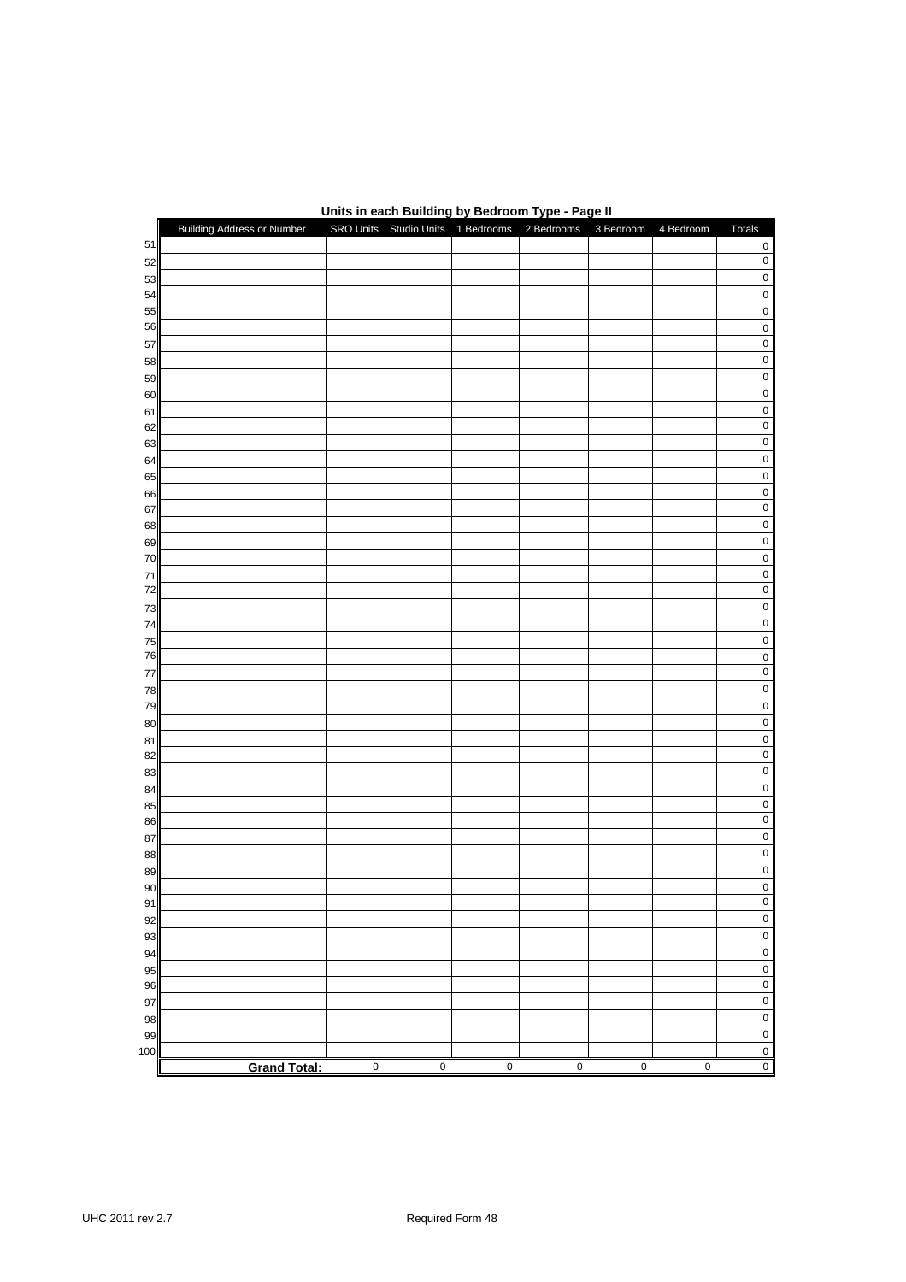|            | <b>Building Address or Number</b> |           | SRO Units Studio Units  | 1 Bedrooms  | aч<br>2 Bedrooms | 3 Bedroom   | 4 Bedroom | <b>Totals</b>                      |
|------------|-----------------------------------|-----------|-------------------------|-------------|------------------|-------------|-----------|------------------------------------|
| ${\bf 51}$ |                                   |           |                         |             |                  |             |           | $\pmb{0}$                          |
| 52         |                                   |           |                         |             |                  |             |           | $\mathbf 0$                        |
| 53         |                                   |           |                         |             |                  |             |           | $\pmb{0}$                          |
| 54         |                                   |           |                         |             |                  |             |           | $\pmb{0}$                          |
| 55         |                                   |           |                         |             |                  |             |           | $\mathbf 0$                        |
| 56         |                                   |           |                         |             |                  |             |           | $\mathbf 0$                        |
| 57         |                                   |           |                         |             |                  |             |           | $\mathbf 0$                        |
| 58         |                                   |           |                         |             |                  |             |           | $\mathbf 0$                        |
| 59         |                                   |           |                         |             |                  |             |           | $\pmb{0}$                          |
| 60         |                                   |           |                         |             |                  |             |           | $\mathbf 0$                        |
| 61         |                                   |           |                         |             |                  |             |           | $\mathbf 0$                        |
| 62         |                                   |           |                         |             |                  |             |           | $\mathbf 0$                        |
| 63         |                                   |           |                         |             |                  |             |           | $\pmb{0}$                          |
| 64         |                                   |           |                         |             |                  |             |           | $\pmb{0}$                          |
| 65         |                                   |           |                         |             |                  |             |           | $\mathbf 0$                        |
| 66         |                                   |           |                         |             |                  |             |           | $\mathbf 0$                        |
| 67         |                                   |           |                         |             |                  |             |           | $\mathbf 0$                        |
| 68         |                                   |           |                         |             |                  |             |           | $\pmb{0}$                          |
| 69         |                                   |           |                         |             |                  |             |           | $\pmb{0}$                          |
| 70         |                                   |           |                         |             |                  |             |           | $\mathbf 0$                        |
| 71         |                                   |           |                         |             |                  |             |           | $\mathbf 0$                        |
| 72         |                                   |           |                         |             |                  |             |           | $\mathbf 0$                        |
| 73         |                                   |           |                         |             |                  |             |           | $\pmb{0}$                          |
| 74         |                                   |           |                         |             |                  |             |           | $\pmb{0}$                          |
| 75         |                                   |           |                         |             |                  |             |           | $\mathbf 0$                        |
| 76         |                                   |           |                         |             |                  |             |           | $\mathbf 0$                        |
| 77         |                                   |           |                         |             |                  |             |           | $\mathbf 0$                        |
| 78         |                                   |           |                         |             |                  |             |           | $\mathbf 0$                        |
| 79         |                                   |           |                         |             |                  |             |           | $\pmb{0}$                          |
| 80         |                                   |           |                         |             |                  |             |           | $\mathbf 0$                        |
| 81         |                                   |           |                         |             |                  |             |           | $\mathbf 0$                        |
| 82         |                                   |           |                         |             |                  |             |           | $\mathbf 0$                        |
| 83         |                                   |           |                         |             |                  |             |           | $\pmb{0}$                          |
| 84         |                                   |           |                         |             |                  |             |           | $\pmb{0}$                          |
| 85         |                                   |           |                         |             |                  |             |           | $\mathbf 0$                        |
| 86         |                                   |           |                         |             |                  |             |           | $\mathbf 0$                        |
| 87         |                                   |           |                         |             |                  |             |           | $\pmb{0}$                          |
| 88         |                                   |           |                         |             |                  |             |           | $\pmb{0}$                          |
| 89         |                                   |           |                         |             |                  |             |           | $\mathbf 0$                        |
| $90\,$     |                                   |           |                         |             |                  |             |           | $\pmb{0}$                          |
| 91         |                                   |           |                         |             |                  |             |           | $\pmb{0}$<br>$\overline{\text{o}}$ |
| 92         |                                   |           |                         |             |                  |             |           |                                    |
| 93         |                                   |           |                         |             |                  |             |           | $\pmb{0}$                          |
| 94         |                                   |           |                         |             |                  |             |           | $\pmb{0}$                          |
| 95         |                                   |           |                         |             |                  |             |           | $\pmb{0}$<br>$\mathbf 0$           |
| 96         |                                   |           |                         |             |                  |             |           | $\mathbf 0$                        |
| 97         |                                   |           |                         |             |                  |             |           | $\pmb{0}$                          |
| 98         |                                   |           |                         |             |                  |             |           | $\mathbf 0$                        |
| 99<br>100  |                                   |           |                         |             |                  |             |           | $\overline{0}$                     |
|            | <b>Grand Total:</b>               | $\pmb{0}$ | $\overline{\mathbf{0}}$ | $\mathbf 0$ | $\mathbf 0$      | $\mathbf 0$ | $\pmb{0}$ | $\overline{0}$                     |
|            |                                   |           |                         |             |                  |             |           |                                    |

## **Units in each Building by Bedroom Type - Page II**